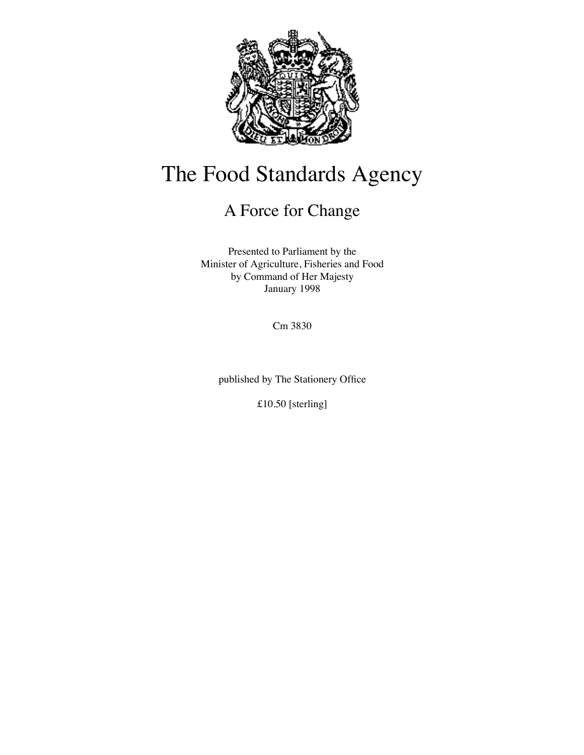

# The Food Standards Agency

# A Force for Change

Presented to Parliament by the Minister of Agriculture, Fisheries and Food by Command of Her Majesty January 1998

Cm 3830

published by The Stationery Office

£10.50 [sterling]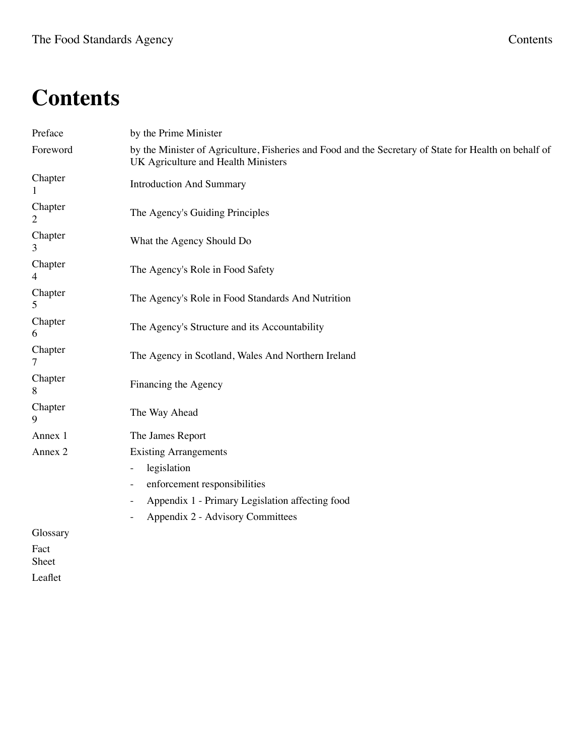# **Contents**

| Preface       | by the Prime Minister                                                                                                                        |  |  |  |  |  |
|---------------|----------------------------------------------------------------------------------------------------------------------------------------------|--|--|--|--|--|
| Foreword      | by the Minister of Agriculture, Fisheries and Food and the Secretary of State for Health on behalf of<br>UK Agriculture and Health Ministers |  |  |  |  |  |
| Chapter<br>1  | <b>Introduction And Summary</b>                                                                                                              |  |  |  |  |  |
| Chapter<br>2  | The Agency's Guiding Principles                                                                                                              |  |  |  |  |  |
| Chapter<br>3  | What the Agency Should Do                                                                                                                    |  |  |  |  |  |
| Chapter<br>4  | The Agency's Role in Food Safety                                                                                                             |  |  |  |  |  |
| Chapter<br>5  | The Agency's Role in Food Standards And Nutrition                                                                                            |  |  |  |  |  |
| Chapter<br>6  | The Agency's Structure and its Accountability                                                                                                |  |  |  |  |  |
| Chapter<br>7  | The Agency in Scotland, Wales And Northern Ireland                                                                                           |  |  |  |  |  |
| Chapter<br>8  | Financing the Agency                                                                                                                         |  |  |  |  |  |
| Chapter<br>9  | The Way Ahead                                                                                                                                |  |  |  |  |  |
| Annex 1       | The James Report                                                                                                                             |  |  |  |  |  |
| Annex 2       | <b>Existing Arrangements</b>                                                                                                                 |  |  |  |  |  |
|               | legislation<br>$\overline{\phantom{0}}$                                                                                                      |  |  |  |  |  |
|               | enforcement responsibilities                                                                                                                 |  |  |  |  |  |
|               | Appendix 1 - Primary Legislation affecting food<br>$\overline{\phantom{a}}$                                                                  |  |  |  |  |  |
|               | Appendix 2 - Advisory Committees                                                                                                             |  |  |  |  |  |
| Glossary      |                                                                                                                                              |  |  |  |  |  |
| Fact<br>Sheet |                                                                                                                                              |  |  |  |  |  |
| Leaflet       |                                                                                                                                              |  |  |  |  |  |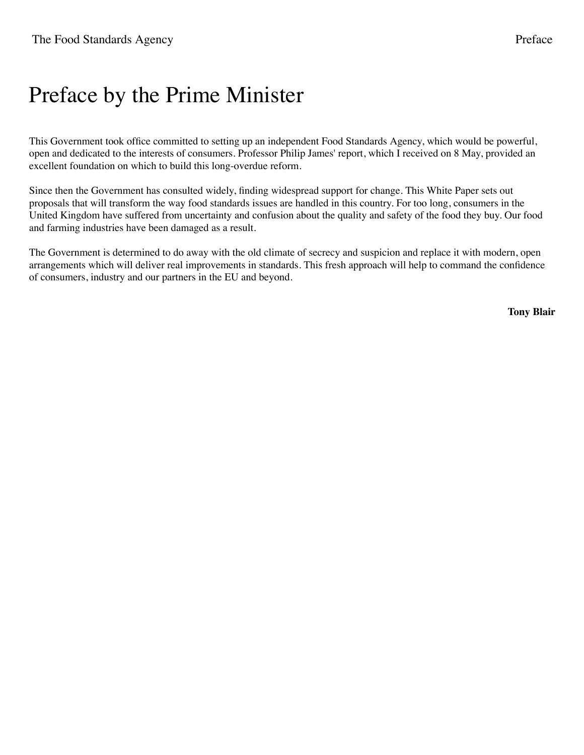# Preface by the Prime Minister

This Government took office committed to setting up an independent Food Standards Agency, which would be powerful, open and dedicated to the interests of consumers. Professor Philip James' report, which I received on 8 May, provided an excellent foundation on which to build this long-overdue reform.

Since then the Government has consulted widely, finding widespread support for change. This White Paper sets out proposals that will transform the way food standards issues are handled in this country. For too long, consumers in the United Kingdom have suffered from uncertainty and confusion about the quality and safety of the food they buy. Our food and farming industries have been damaged as a result.

The Government is determined to do away with the old climate of secrecy and suspicion and replace it with modern, open arrangements which will deliver real improvements in standards. This fresh approach will help to command the confidence of consumers, industry and our partners in the EU and beyond.

**Tony Blair**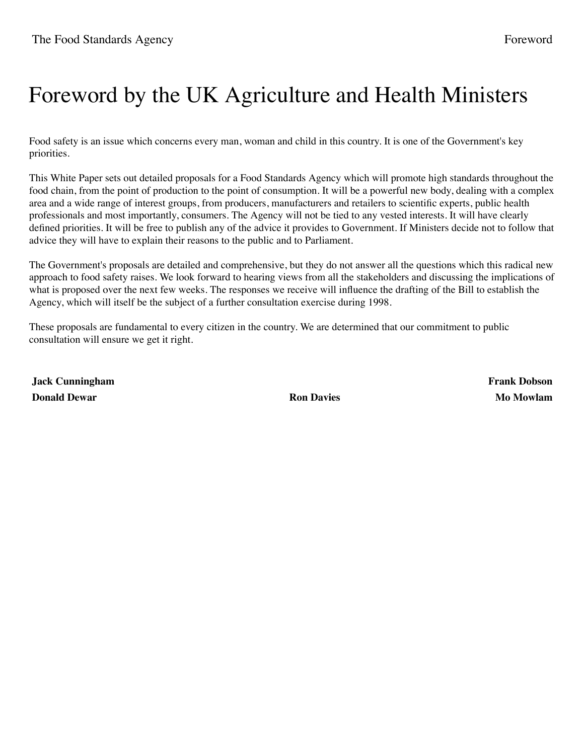# Foreword by the UK Agriculture and Health Ministers

Food safety is an issue which concerns every man, woman and child in this country. It is one of the Government's key priorities.

This White Paper sets out detailed proposals for a Food Standards Agency which will promote high standards throughout the food chain, from the point of production to the point of consumption. It will be a powerful new body, dealing with a complex area and a wide range of interest groups, from producers, manufacturers and retailers to scientific experts, public health professionals and most importantly, consumers. The Agency will not be tied to any vested interests. It will have clearly defined priorities. It will be free to publish any of the advice it provides to Government. If Ministers decide not to follow that advice they will have to explain their reasons to the public and to Parliament.

The Government's proposals are detailed and comprehensive, but they do not answer all the questions which this radical new approach to food safety raises. We look forward to hearing views from all the stakeholders and discussing the implications of what is proposed over the next few weeks. The responses we receive will influence the drafting of the Bill to establish the Agency, which will itself be the subject of a further consultation exercise during 1998.

These proposals are fundamental to every citizen in the country. We are determined that our commitment to public consultation will ensure we get it right.

**Jack Cunningham Frank Dobson Donald Dewar Ron Davies Mo Mowlam**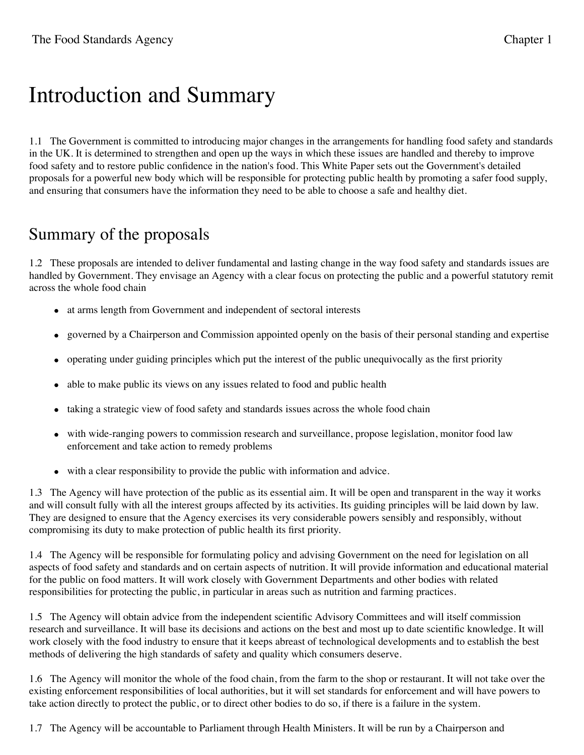# Introduction and Summary

1.1 The Government is committed to introducing major changes in the arrangements for handling food safety and standards in the UK. It is determined to strengthen and open up the ways in which these issues are handled and thereby to improve food safety and to restore public confidence in the nation's food. This White Paper sets out the Government's detailed proposals for a powerful new body which will be responsible for protecting public health by promoting a safer food supply, and ensuring that consumers have the information they need to be able to choose a safe and healthy diet.

## Summary of the proposals

1.2 These proposals are intended to deliver fundamental and lasting change in the way food safety and standards issues are handled by Government. They envisage an Agency with a clear focus on protecting the public and a powerful statutory remit across the whole food chain

- at arms length from Government and independent of sectoral interests
- governed by a Chairperson and Commission appointed openly on the basis of their personal standing and expertise
- operating under guiding principles which put the interest of the public unequivocally as the first priority
- able to make public its views on any issues related to food and public health
- taking a strategic view of food safety and standards issues across the whole food chain
- with wide-ranging powers to commission research and surveillance, propose legislation, monitor food law enforcement and take action to remedy problems
- with a clear responsibility to provide the public with information and advice.

1.3 The Agency will have protection of the public as its essential aim. It will be open and transparent in the way it works and will consult fully with all the interest groups affected by its activities. Its guiding principles will be laid down by law. They are designed to ensure that the Agency exercises its very considerable powers sensibly and responsibly, without compromising its duty to make protection of public health its first priority.

1.4 The Agency will be responsible for formulating policy and advising Government on the need for legislation on all aspects of food safety and standards and on certain aspects of nutrition. It will provide information and educational material for the public on food matters. It will work closely with Government Departments and other bodies with related responsibilities for protecting the public, in particular in areas such as nutrition and farming practices.

1.5 The Agency will obtain advice from the independent scientific Advisory Committees and will itself commission research and surveillance. It will base its decisions and actions on the best and most up to date scientific knowledge. It will work closely with the food industry to ensure that it keeps abreast of technological developments and to establish the best methods of delivering the high standards of safety and quality which consumers deserve.

1.6 The Agency will monitor the whole of the food chain, from the farm to the shop or restaurant. It will not take over the existing enforcement responsibilities of local authorities, but it will set standards for enforcement and will have powers to take action directly to protect the public, or to direct other bodies to do so, if there is a failure in the system.

1.7 The Agency will be accountable to Parliament through Health Ministers. It will be run by a Chairperson and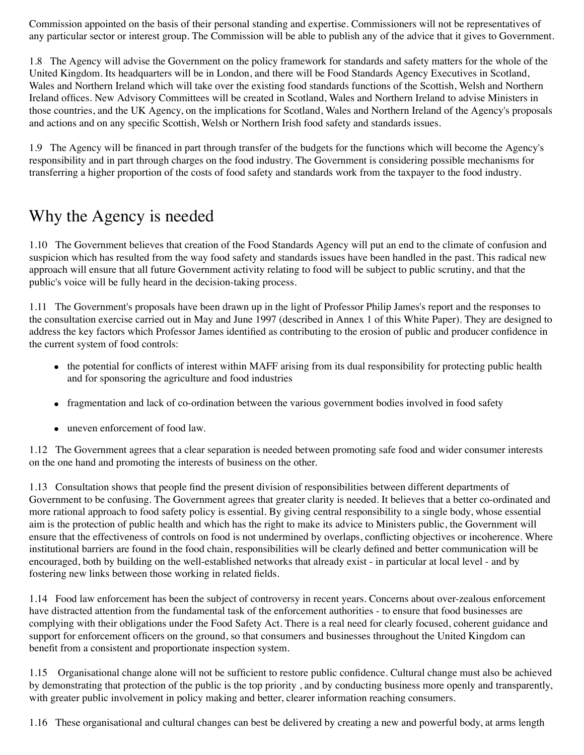Commission appointed on the basis of their personal standing and expertise. Commissioners will not be representatives of any particular sector or interest group. The Commission will be able to publish any of the advice that it gives to Government.

1.8 The Agency will advise the Government on the policy framework for standards and safety matters for the whole of the United Kingdom. Its headquarters will be in London, and there will be Food Standards Agency Executives in Scotland, Wales and Northern Ireland which will take over the existing food standards functions of the Scottish, Welsh and Northern Ireland offices. New Advisory Committees will be created in Scotland, Wales and Northern Ireland to advise Ministers in those countries, and the UK Agency, on the implications for Scotland, Wales and Northern Ireland of the Agency's proposals and actions and on any specific Scottish, Welsh or Northern Irish food safety and standards issues.

1.9 The Agency will be financed in part through transfer of the budgets for the functions which will become the Agency's responsibility and in part through charges on the food industry. The Government is considering possible mechanisms for transferring a higher proportion of the costs of food safety and standards work from the taxpayer to the food industry.

### Why the Agency is needed

1.10 The Government believes that creation of the Food Standards Agency will put an end to the climate of confusion and suspicion which has resulted from the way food safety and standards issues have been handled in the past. This radical new approach will ensure that all future Government activity relating to food will be subject to public scrutiny, and that the public's voice will be fully heard in the decision-taking process.

1.11 The Government's proposals have been drawn up in the light of Professor Philip James's report and the responses to the consultation exercise carried out in May and June 1997 (described in Annex 1 of this White Paper). They are designed to address the key factors which Professor James identified as contributing to the erosion of public and producer confidence in the current system of food controls:

- the potential for conflicts of interest within MAFF arising from its dual responsibility for protecting public health and for sponsoring the agriculture and food industries
- fragmentation and lack of co-ordination between the various government bodies involved in food safety
- uneven enforcement of food law.

1.12 The Government agrees that a clear separation is needed between promoting safe food and wider consumer interests on the one hand and promoting the interests of business on the other.

1.13 Consultation shows that people find the present division of responsibilities between different departments of Government to be confusing. The Government agrees that greater clarity is needed. It believes that a better co-ordinated and more rational approach to food safety policy is essential. By giving central responsibility to a single body, whose essential aim is the protection of public health and which has the right to make its advice to Ministers public, the Government will ensure that the effectiveness of controls on food is not undermined by overlaps, conflicting objectives or incoherence. Where institutional barriers are found in the food chain, responsibilities will be clearly defined and better communication will be encouraged, both by building on the well-established networks that already exist - in particular at local level - and by fostering new links between those working in related fields.

1.14 Food law enforcement has been the subject of controversy in recent years. Concerns about over-zealous enforcement have distracted attention from the fundamental task of the enforcement authorities - to ensure that food businesses are complying with their obligations under the Food Safety Act. There is a real need for clearly focused, coherent guidance and support for enforcement officers on the ground, so that consumers and businesses throughout the United Kingdom can benefit from a consistent and proportionate inspection system.

1.15 Organisational change alone will not be sufficient to restore public confidence. Cultural change must also be achieved by demonstrating that protection of the public is the top priority , and by conducting business more openly and transparently, with greater public involvement in policy making and better, clearer information reaching consumers.

1.16 These organisational and cultural changes can best be delivered by creating a new and powerful body, at arms length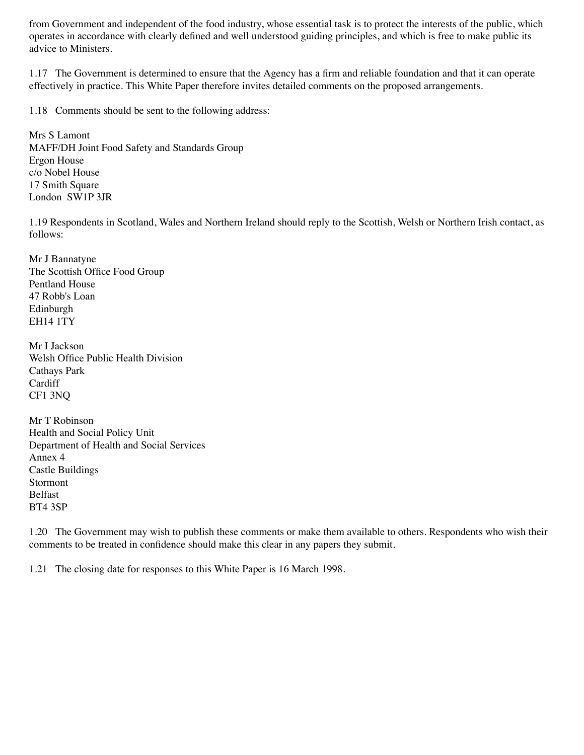from Government and independent of the food industry, whose essential task is to protect the interests of the public, which operates in accordance with clearly defined and well understood guiding principles, and which is free to make public its advice to Ministers.

1.17 The Government is determined to ensure that the Agency has a firm and reliable foundation and that it can operate effectively in practice. This White Paper therefore invites detailed comments on the proposed arrangements.

1.18 Comments should be sent to the following address:

Mrs S Lamont MAFF/DH Joint Food Safety and Standards Group Ergon House c/o Nobel House 17 Smith Square London SW1P 3JR

1.19 Respondents in Scotland, Wales and Northern Ireland should reply to the Scottish, Welsh or Northern Irish contact, as follows:

Mr J Bannatyne The Scottish Office Food Group Pentland House 47 Robb's Loan Edinburgh EH14 1TY

Mr I Jackson Welsh Office Public Health Division Cathays Park **Cardiff** CF1 3NQ

Mr T Robinson Health and Social Policy Unit Department of Health and Social Services Annex 4 Castle Buildings Stormont Belfast BT4 3SP

1.20 The Government may wish to publish these comments or make them available to others. Respondents who wish their comments to be treated in confidence should make this clear in any papers they submit.

1.21 The closing date for responses to this White Paper is 16 March 1998.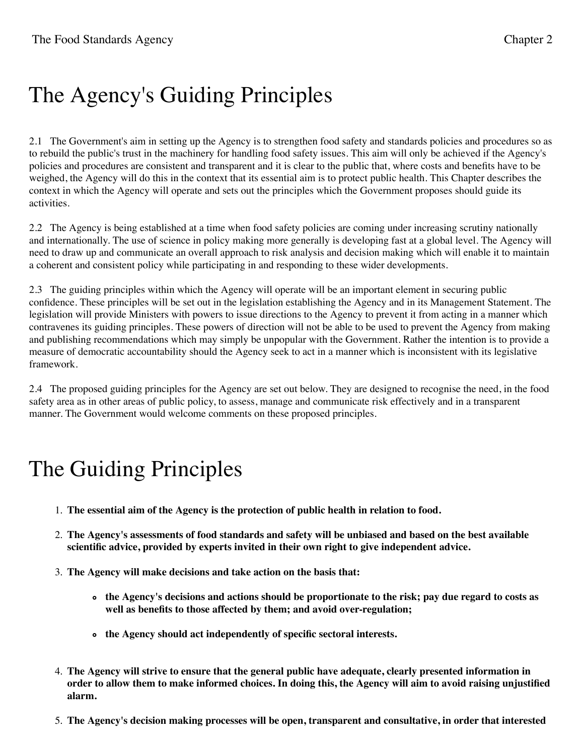# The Agency's Guiding Principles

2.1 The Government's aim in setting up the Agency is to strengthen food safety and standards policies and procedures so as to rebuild the public's trust in the machinery for handling food safety issues. This aim will only be achieved if the Agency's policies and procedures are consistent and transparent and it is clear to the public that, where costs and benefits have to be weighed, the Agency will do this in the context that its essential aim is to protect public health. This Chapter describes the context in which the Agency will operate and sets out the principles which the Government proposes should guide its activities.

2.2 The Agency is being established at a time when food safety policies are coming under increasing scrutiny nationally and internationally. The use of science in policy making more generally is developing fast at a global level. The Agency will need to draw up and communicate an overall approach to risk analysis and decision making which will enable it to maintain a coherent and consistent policy while participating in and responding to these wider developments.

2.3 The guiding principles within which the Agency will operate will be an important element in securing public confidence. These principles will be set out in the legislation establishing the Agency and in its Management Statement. The legislation will provide Ministers with powers to issue directions to the Agency to prevent it from acting in a manner which contravenes its guiding principles. These powers of direction will not be able to be used to prevent the Agency from making and publishing recommendations which may simply be unpopular with the Government. Rather the intention is to provide a measure of democratic accountability should the Agency seek to act in a manner which is inconsistent with its legislative framework.

2.4 The proposed guiding principles for the Agency are set out below. They are designed to recognise the need, in the food safety area as in other areas of public policy, to assess, manage and communicate risk effectively and in a transparent manner. The Government would welcome comments on these proposed principles.

# The Guiding Principles

- 1. **The essential aim of the Agency is the protection of public health in relation to food.**
- 2. **The Agency's assessments of food standards and safety will be unbiased and based on the best available scientific advice, provided by experts invited in their own right to give independent advice.**
- 3. **The Agency will make decisions and take action on the basis that:** 
	- **the Agency's decisions and actions should be proportionate to the risk; pay due regard to costs as well as benefits to those affected by them; and avoid over-regulation;**
	- **the Agency should act independently of specific sectoral interests.**
- 4. **The Agency will strive to ensure that the general public have adequate, clearly presented information in order to allow them to make informed choices. In doing this, the Agency will aim to avoid raising unjustified alarm.**
- 5. **The Agency's decision making processes will be open, transparent and consultative, in order that interested**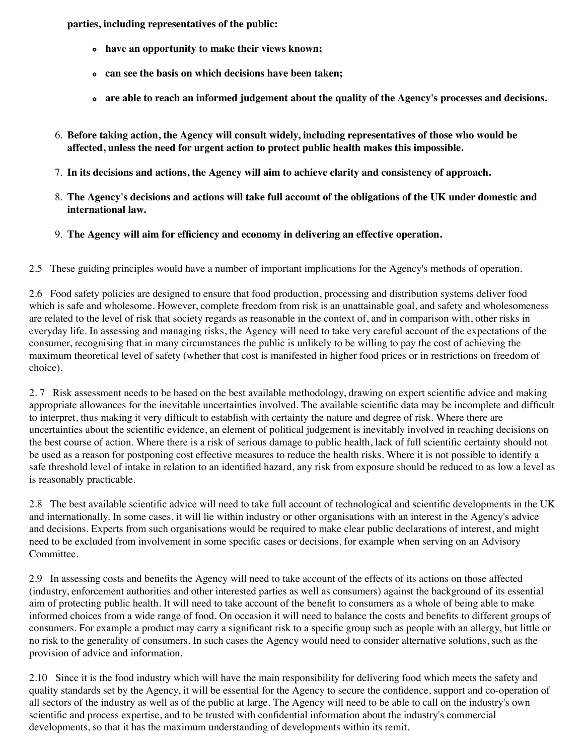**parties, including representatives of the public:** 

- **have an opportunity to make their views known;**
- **can see the basis on which decisions have been taken;**
- **are able to reach an informed judgement about the quality of the Agency's processes and decisions.**
- 6. **Before taking action, the Agency will consult widely, including representatives of those who would be affected, unless the need for urgent action to protect public health makes this impossible.**
- 7. **In its decisions and actions, the Agency will aim to achieve clarity and consistency of approach.**
- 8. **The Agency's decisions and actions will take full account of the obligations of the UK under domestic and international law.**
- 9. **The Agency will aim for efficiency and economy in delivering an effective operation.**

2.5 These guiding principles would have a number of important implications for the Agency's methods of operation.

2.6 Food safety policies are designed to ensure that food production, processing and distribution systems deliver food which is safe and wholesome. However, complete freedom from risk is an unattainable goal, and safety and wholesomeness are related to the level of risk that society regards as reasonable in the context of, and in comparison with, other risks in everyday life. In assessing and managing risks, the Agency will need to take very careful account of the expectations of the consumer, recognising that in many circumstances the public is unlikely to be willing to pay the cost of achieving the maximum theoretical level of safety (whether that cost is manifested in higher food prices or in restrictions on freedom of choice).

2. 7 Risk assessment needs to be based on the best available methodology, drawing on expert scientific advice and making appropriate allowances for the inevitable uncertainties involved. The available scientific data may be incomplete and difficult to interpret, thus making it very difficult to establish with certainty the nature and degree of risk. Where there are uncertainties about the scientific evidence, an element of political judgement is inevitably involved in reaching decisions on the best course of action. Where there is a risk of serious damage to public health, lack of full scientific certainty should not be used as a reason for postponing cost effective measures to reduce the health risks. Where it is not possible to identify a safe threshold level of intake in relation to an identified hazard, any risk from exposure should be reduced to as low a level as is reasonably practicable.

2.8 The best available scientific advice will need to take full account of technological and scientific developments in the UK and internationally. In some cases, it will lie within industry or other organisations with an interest in the Agency's advice and decisions. Experts from such organisations would be required to make clear public declarations of interest, and might need to be excluded from involvement in some specific cases or decisions, for example when serving on an Advisory Committee.

2.9 In assessing costs and benefits the Agency will need to take account of the effects of its actions on those affected (industry, enforcement authorities and other interested parties as well as consumers) against the background of its essential aim of protecting public health. It will need to take account of the benefit to consumers as a whole of being able to make informed choices from a wide range of food. On occasion it will need to balance the costs and benefits to different groups of consumers. For example a product may carry a significant risk to a specific group such as people with an allergy, but little or no risk to the generality of consumers. In such cases the Agency would need to consider alternative solutions, such as the provision of advice and information.

2.10 Since it is the food industry which will have the main responsibility for delivering food which meets the safety and quality standards set by the Agency, it will be essential for the Agency to secure the confidence, support and co-operation of all sectors of the industry as well as of the public at large. The Agency will need to be able to call on the industry's own scientific and process expertise, and to be trusted with confidential information about the industry's commercial developments, so that it has the maximum understanding of developments within its remit.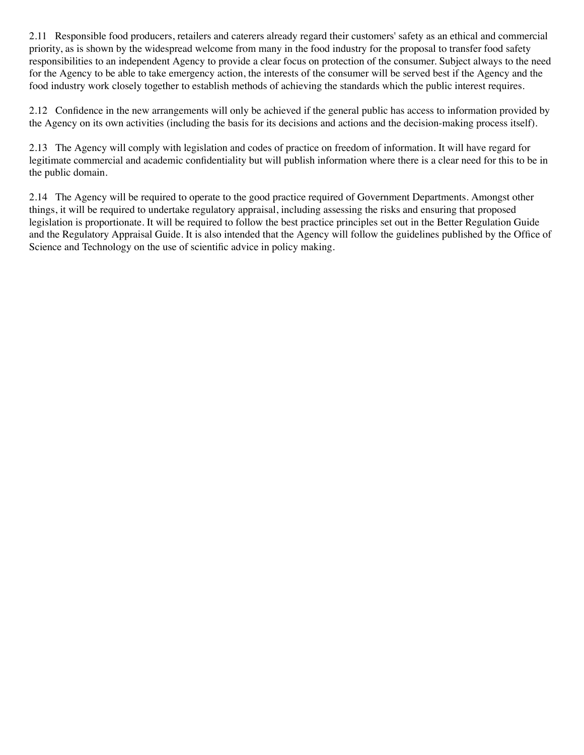2.11 Responsible food producers, retailers and caterers already regard their customers' safety as an ethical and commercial priority, as is shown by the widespread welcome from many in the food industry for the proposal to transfer food safety responsibilities to an independent Agency to provide a clear focus on protection of the consumer. Subject always to the need for the Agency to be able to take emergency action, the interests of the consumer will be served best if the Agency and the food industry work closely together to establish methods of achieving the standards which the public interest requires.

2.12 Confidence in the new arrangements will only be achieved if the general public has access to information provided by the Agency on its own activities (including the basis for its decisions and actions and the decision-making process itself).

2.13 The Agency will comply with legislation and codes of practice on freedom of information. It will have regard for legitimate commercial and academic confidentiality but will publish information where there is a clear need for this to be in the public domain.

2.14 The Agency will be required to operate to the good practice required of Government Departments. Amongst other things, it will be required to undertake regulatory appraisal, including assessing the risks and ensuring that proposed legislation is proportionate. It will be required to follow the best practice principles set out in the Better Regulation Guide and the Regulatory Appraisal Guide. It is also intended that the Agency will follow the guidelines published by the Office of Science and Technology on the use of scientific advice in policy making.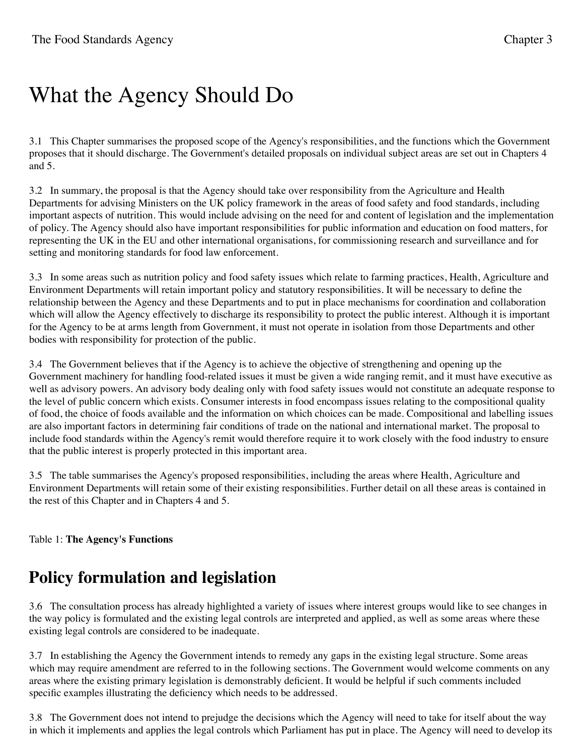# What the Agency Should Do

3.1 This Chapter summarises the proposed scope of the Agency's responsibilities, and the functions which the Government proposes that it should discharge. The Government's detailed proposals on individual subject areas are set out in Chapters 4 and 5.

3.2 In summary, the proposal is that the Agency should take over responsibility from the Agriculture and Health Departments for advising Ministers on the UK policy framework in the areas of food safety and food standards, including important aspects of nutrition. This would include advising on the need for and content of legislation and the implementation of policy. The Agency should also have important responsibilities for public information and education on food matters, for representing the UK in the EU and other international organisations, for commissioning research and surveillance and for setting and monitoring standards for food law enforcement.

3.3 In some areas such as nutrition policy and food safety issues which relate to farming practices, Health, Agriculture and Environment Departments will retain important policy and statutory responsibilities. It will be necessary to define the relationship between the Agency and these Departments and to put in place mechanisms for coordination and collaboration which will allow the Agency effectively to discharge its responsibility to protect the public interest. Although it is important for the Agency to be at arms length from Government, it must not operate in isolation from those Departments and other bodies with responsibility for protection of the public.

3.4 The Government believes that if the Agency is to achieve the objective of strengthening and opening up the Government machinery for handling food-related issues it must be given a wide ranging remit, and it must have executive as well as advisory powers. An advisory body dealing only with food safety issues would not constitute an adequate response to the level of public concern which exists. Consumer interests in food encompass issues relating to the compositional quality of food, the choice of foods available and the information on which choices can be made. Compositional and labelling issues are also important factors in determining fair conditions of trade on the national and international market. The proposal to include food standards within the Agency's remit would therefore require it to work closely with the food industry to ensure that the public interest is properly protected in this important area.

3.5 The table summarises the Agency's proposed responsibilities, including the areas where Health, Agriculture and Environment Departments will retain some of their existing responsibilities. Further detail on all these areas is contained in the rest of this Chapter and in Chapters 4 and 5.

Table 1: **The Agency's Functions**

## **Policy formulation and legislation**

3.6 The consultation process has already highlighted a variety of issues where interest groups would like to see changes in the way policy is formulated and the existing legal controls are interpreted and applied, as well as some areas where these existing legal controls are considered to be inadequate.

3.7 In establishing the Agency the Government intends to remedy any gaps in the existing legal structure. Some areas which may require amendment are referred to in the following sections. The Government would welcome comments on any areas where the existing primary legislation is demonstrably deficient. It would be helpful if such comments included specific examples illustrating the deficiency which needs to be addressed.

3.8 The Government does not intend to prejudge the decisions which the Agency will need to take for itself about the way in which it implements and applies the legal controls which Parliament has put in place. The Agency will need to develop its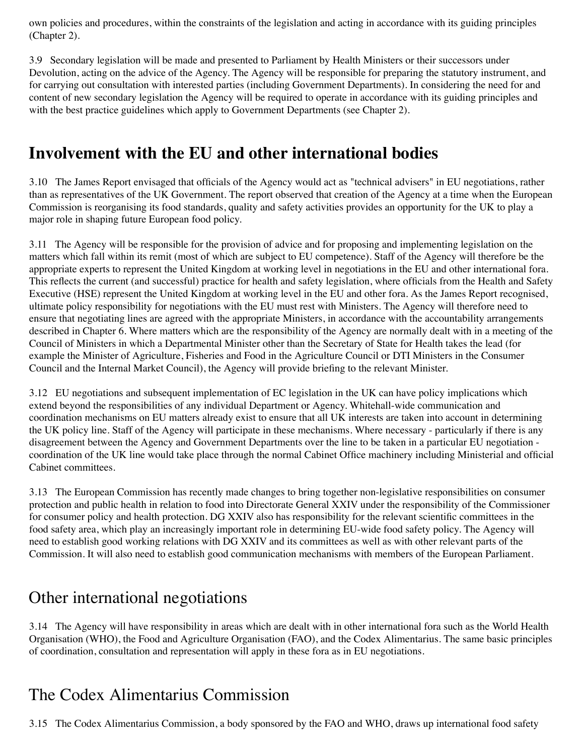own policies and procedures, within the constraints of the legislation and acting in accordance with its guiding principles (Chapter 2).

3.9 Secondary legislation will be made and presented to Parliament by Health Ministers or their successors under Devolution, acting on the advice of the Agency. The Agency will be responsible for preparing the statutory instrument, and for carrying out consultation with interested parties (including Government Departments). In considering the need for and content of new secondary legislation the Agency will be required to operate in accordance with its guiding principles and with the best practice guidelines which apply to Government Departments (see Chapter 2).

#### **Involvement with the EU and other international bodies**

3.10 The James Report envisaged that officials of the Agency would act as "technical advisers" in EU negotiations, rather than as representatives of the UK Government. The report observed that creation of the Agency at a time when the European Commission is reorganising its food standards, quality and safety activities provides an opportunity for the UK to play a major role in shaping future European food policy.

3.11 The Agency will be responsible for the provision of advice and for proposing and implementing legislation on the matters which fall within its remit (most of which are subject to EU competence). Staff of the Agency will therefore be the appropriate experts to represent the United Kingdom at working level in negotiations in the EU and other international fora. This reflects the current (and successful) practice for health and safety legislation, where officials from the Health and Safety Executive (HSE) represent the United Kingdom at working level in the EU and other fora. As the James Report recognised, ultimate policy responsibility for negotiations with the EU must rest with Ministers. The Agency will therefore need to ensure that negotiating lines are agreed with the appropriate Ministers, in accordance with the accountability arrangements described in Chapter 6. Where matters which are the responsibility of the Agency are normally dealt with in a meeting of the Council of Ministers in which a Departmental Minister other than the Secretary of State for Health takes the lead (for example the Minister of Agriculture, Fisheries and Food in the Agriculture Council or DTI Ministers in the Consumer Council and the Internal Market Council), the Agency will provide briefing to the relevant Minister.

3.12 EU negotiations and subsequent implementation of EC legislation in the UK can have policy implications which extend beyond the responsibilities of any individual Department or Agency. Whitehall-wide communication and coordination mechanisms on EU matters already exist to ensure that all UK interests are taken into account in determining the UK policy line. Staff of the Agency will participate in these mechanisms. Where necessary - particularly if there is any disagreement between the Agency and Government Departments over the line to be taken in a particular EU negotiation coordination of the UK line would take place through the normal Cabinet Office machinery including Ministerial and official Cabinet committees.

3.13 The European Commission has recently made changes to bring together non-legislative responsibilities on consumer protection and public health in relation to food into Directorate General XXIV under the responsibility of the Commissioner for consumer policy and health protection. DG XXIV also has responsibility for the relevant scientific committees in the food safety area, which play an increasingly important role in determining EU-wide food safety policy. The Agency will need to establish good working relations with DG XXIV and its committees as well as with other relevant parts of the Commission. It will also need to establish good communication mechanisms with members of the European Parliament.

## Other international negotiations

3.14 The Agency will have responsibility in areas which are dealt with in other international fora such as the World Health Organisation (WHO), the Food and Agriculture Organisation (FAO), and the Codex Alimentarius. The same basic principles of coordination, consultation and representation will apply in these fora as in EU negotiations.

## The Codex Alimentarius Commission

3.15 The Codex Alimentarius Commission, a body sponsored by the FAO and WHO, draws up international food safety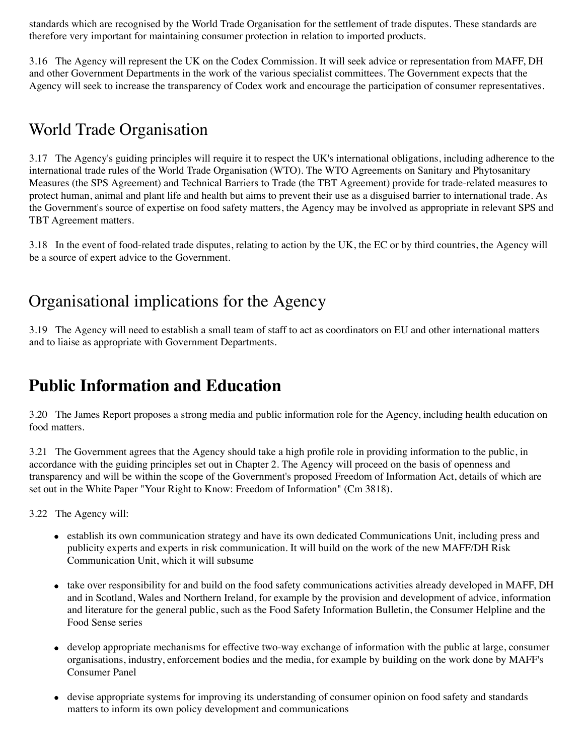standards which are recognised by the World Trade Organisation for the settlement of trade disputes. These standards are therefore very important for maintaining consumer protection in relation to imported products.

3.16 The Agency will represent the UK on the Codex Commission. It will seek advice or representation from MAFF, DH and other Government Departments in the work of the various specialist committees. The Government expects that the Agency will seek to increase the transparency of Codex work and encourage the participation of consumer representatives.

#### World Trade Organisation

3.17 The Agency's guiding principles will require it to respect the UK's international obligations, including adherence to the international trade rules of the World Trade Organisation (WTO). The WTO Agreements on Sanitary and Phytosanitary Measures (the SPS Agreement) and Technical Barriers to Trade (the TBT Agreement) provide for trade-related measures to protect human, animal and plant life and health but aims to prevent their use as a disguised barrier to international trade. As the Government's source of expertise on food safety matters, the Agency may be involved as appropriate in relevant SPS and TBT Agreement matters.

3.18 In the event of food-related trade disputes, relating to action by the UK, the EC or by third countries, the Agency will be a source of expert advice to the Government.

## Organisational implications for the Agency

3.19 The Agency will need to establish a small team of staff to act as coordinators on EU and other international matters and to liaise as appropriate with Government Departments.

#### **Public Information and Education**

3.20 The James Report proposes a strong media and public information role for the Agency, including health education on food matters.

3.21 The Government agrees that the Agency should take a high profile role in providing information to the public, in accordance with the guiding principles set out in Chapter 2. The Agency will proceed on the basis of openness and transparency and will be within the scope of the Government's proposed Freedom of Information Act, details of which are set out in the White Paper "Your Right to Know: Freedom of Information" (Cm 3818).

3.22 The Agency will:

- establish its own communication strategy and have its own dedicated Communications Unit, including press and publicity experts and experts in risk communication. It will build on the work of the new MAFF/DH Risk Communication Unit, which it will subsume
- take over responsibility for and build on the food safety communications activities already developed in MAFF, DH and in Scotland, Wales and Northern Ireland, for example by the provision and development of advice, information and literature for the general public, such as the Food Safety Information Bulletin, the Consumer Helpline and the Food Sense series
- develop appropriate mechanisms for effective two-way exchange of information with the public at large, consumer organisations, industry, enforcement bodies and the media, for example by building on the work done by MAFF's Consumer Panel
- devise appropriate systems for improving its understanding of consumer opinion on food safety and standards matters to inform its own policy development and communications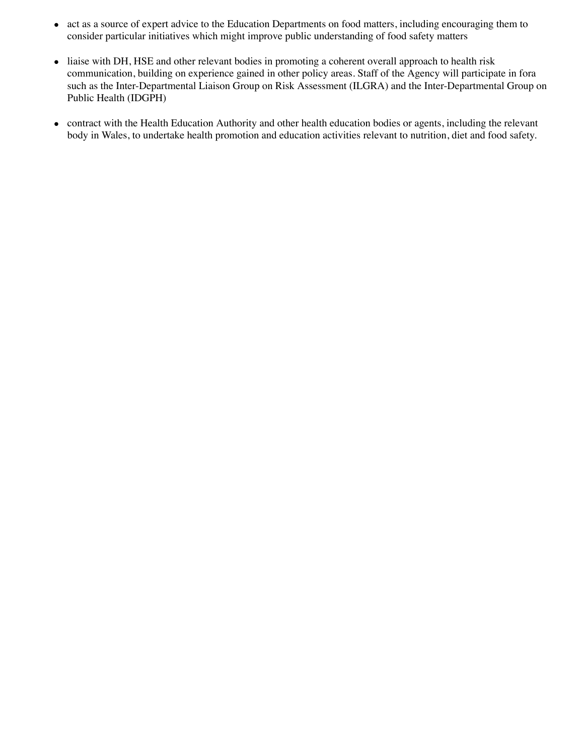- act as a source of expert advice to the Education Departments on food matters, including encouraging them to consider particular initiatives which might improve public understanding of food safety matters
- liaise with DH, HSE and other relevant bodies in promoting a coherent overall approach to health risk communication, building on experience gained in other policy areas. Staff of the Agency will participate in fora such as the Inter-Departmental Liaison Group on Risk Assessment (ILGRA) and the Inter-Departmental Group on Public Health (IDGPH)
- contract with the Health Education Authority and other health education bodies or agents, including the relevant  $\bullet$ body in Wales, to undertake health promotion and education activities relevant to nutrition, diet and food safety.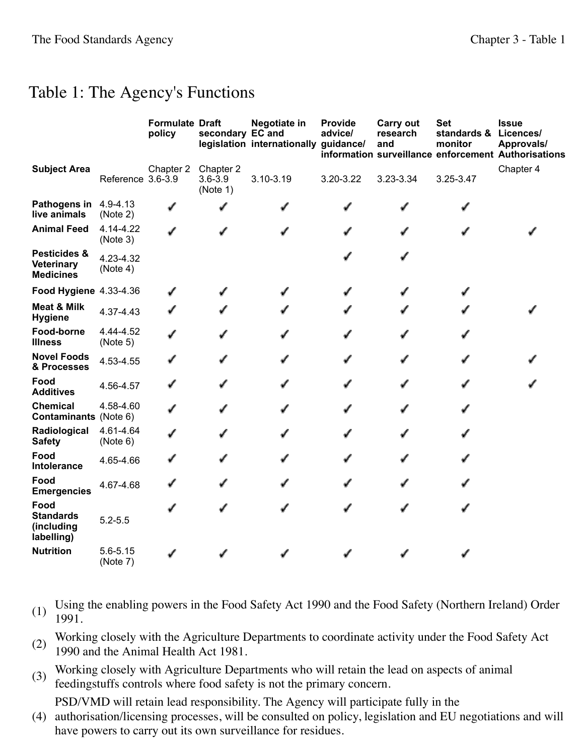## Table 1: The Agency's Functions

|                                                       |                          | <b>Formulate Draft</b><br>policy | secondary EC and                     | Negotiate in<br>legislation internationally guidance/ | <b>Provide</b><br>advice/ | <b>Carry out</b><br>research<br>and | <b>Set</b><br>standards & Licences/<br>monitor | <b>Issue</b><br>Approvals/<br>information surveillance enforcement Authorisations |
|-------------------------------------------------------|--------------------------|----------------------------------|--------------------------------------|-------------------------------------------------------|---------------------------|-------------------------------------|------------------------------------------------|-----------------------------------------------------------------------------------|
| <b>Subject Area</b>                                   | Reference 3.6-3.9        | Chapter 2                        | Chapter 2<br>$3.6 - 3.9$<br>(Note 1) | 3.10-3.19                                             | 3.20-3.22                 | 3.23-3.34                           | 3.25-3.47                                      | Chapter 4                                                                         |
| Pathogens in<br>live animals                          | 4.9-4.13<br>(Note 2)     |                                  |                                      |                                                       |                           |                                     |                                                |                                                                                   |
| <b>Animal Feed</b>                                    | 4.14-4.22<br>(Note 3)    |                                  |                                      |                                                       |                           |                                     |                                                |                                                                                   |
| Pesticides &<br><b>Veterinary</b><br><b>Medicines</b> | 4.23-4.32<br>(Note 4)    |                                  |                                      |                                                       |                           |                                     |                                                |                                                                                   |
| Food Hygiene 4.33-4.36                                |                          |                                  |                                      |                                                       |                           |                                     |                                                |                                                                                   |
| <b>Meat &amp; Milk</b><br><b>Hygiene</b>              | 4.37-4.43                |                                  |                                      |                                                       |                           |                                     |                                                |                                                                                   |
| Food-borne<br><b>Illness</b>                          | 4.44-4.52<br>(Note 5)    |                                  |                                      |                                                       |                           |                                     |                                                |                                                                                   |
| <b>Novel Foods</b><br>& Processes                     | 4.53-4.55                |                                  |                                      |                                                       |                           |                                     |                                                |                                                                                   |
| Food<br><b>Additives</b>                              | 4.56-4.57                |                                  |                                      |                                                       |                           |                                     |                                                |                                                                                   |
| <b>Chemical</b><br>Contaminants (Note 6)              | 4.58-4.60                |                                  |                                      |                                                       |                           |                                     |                                                |                                                                                   |
| Radiological<br><b>Safety</b>                         | 4.61-4.64<br>(Note 6)    |                                  |                                      |                                                       |                           |                                     |                                                |                                                                                   |
| Food<br>Intolerance                                   | 4.65-4.66                |                                  |                                      |                                                       |                           |                                     |                                                |                                                                                   |
| Food<br><b>Emergencies</b>                            | 4.67-4.68                |                                  |                                      |                                                       |                           |                                     |                                                |                                                                                   |
| Food<br><b>Standards</b><br>(including<br>labelling)  | $5.2 - 5.5$              |                                  |                                      |                                                       |                           |                                     |                                                |                                                                                   |
| <b>Nutrition</b>                                      | $5.6 - 5.15$<br>(Note 7) |                                  |                                      |                                                       |                           |                                     |                                                |                                                                                   |

- (1) Using the enabling powers in the Food Safety Act 1990 and the Food Safety (Northern Ireland) Order 1991.
- (2) Working closely with the Agriculture Departments to coordinate activity under the Food Safety Act 1990 and the Animal Health Act 1981.
- (3) Working closely with Agriculture Departments who will retain the lead on aspects of animal feedingstuffs controls where food safety is not the primary concern.

PSD/VMD will retain lead responsibility. The Agency will participate fully in the

(4) authorisation/licensing processes, will be consulted on policy, legislation and EU negotiations and will have powers to carry out its own surveillance for residues.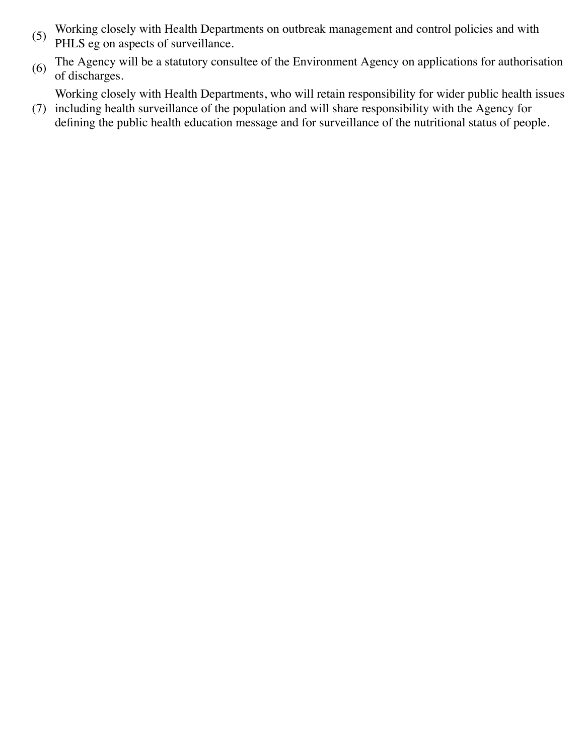(5) Working closely with Health Departments on outbreak management and control policies and with  $(5)$ PHLS eg on aspects of surveillance.

have powers to carry out its own surveillance for residues.

(6) The Agency will be a statutory consultee of the Environment Agency on applications for authorisation of discharges.

Working closely with Health Departments, who will retain responsibility for wider public health issues

(7) including health surveillance of the population and will share responsibility with the Agency for defining the public health education message and for surveillance of the nutritional status of people.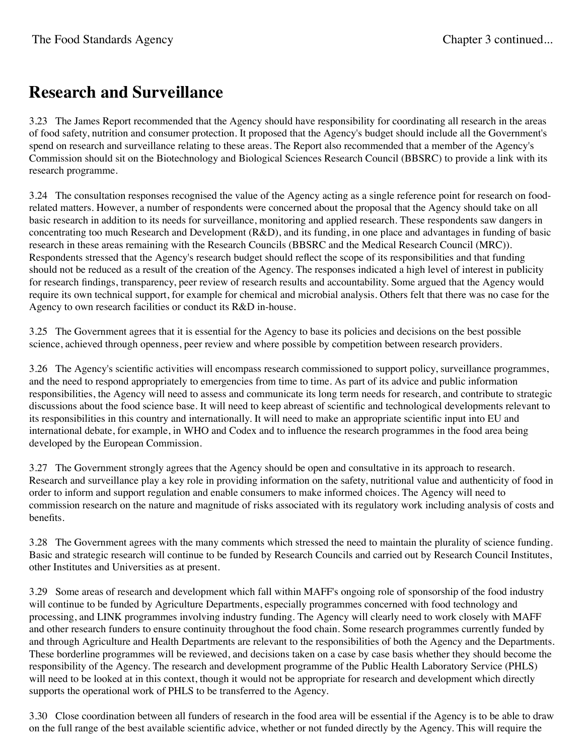## **Research and Surveillance**

3.23 The James Report recommended that the Agency should have responsibility for coordinating all research in the areas of food safety, nutrition and consumer protection. It proposed that the Agency's budget should include all the Government's spend on research and surveillance relating to these areas. The Report also recommended that a member of the Agency's Commission should sit on the Biotechnology and Biological Sciences Research Council (BBSRC) to provide a link with its research programme.

3.24 The consultation responses recognised the value of the Agency acting as a single reference point for research on foodrelated matters. However, a number of respondents were concerned about the proposal that the Agency should take on all basic research in addition to its needs for surveillance, monitoring and applied research. These respondents saw dangers in concentrating too much Research and Development (R&D), and its funding, in one place and advantages in funding of basic research in these areas remaining with the Research Councils (BBSRC and the Medical Research Council (MRC)). Respondents stressed that the Agency's research budget should reflect the scope of its responsibilities and that funding should not be reduced as a result of the creation of the Agency. The responses indicated a high level of interest in publicity for research findings, transparency, peer review of research results and accountability. Some argued that the Agency would require its own technical support, for example for chemical and microbial analysis. Others felt that there was no case for the Agency to own research facilities or conduct its R&D in-house.

3.25 The Government agrees that it is essential for the Agency to base its policies and decisions on the best possible science, achieved through openness, peer review and where possible by competition between research providers.

3.26 The Agency's scientific activities will encompass research commissioned to support policy, surveillance programmes, and the need to respond appropriately to emergencies from time to time. As part of its advice and public information responsibilities, the Agency will need to assess and communicate its long term needs for research, and contribute to strategic discussions about the food science base. It will need to keep abreast of scientific and technological developments relevant to its responsibilities in this country and internationally. It will need to make an appropriate scientific input into EU and international debate, for example, in WHO and Codex and to influence the research programmes in the food area being developed by the European Commission.

3.27 The Government strongly agrees that the Agency should be open and consultative in its approach to research. Research and surveillance play a key role in providing information on the safety, nutritional value and authenticity of food in order to inform and support regulation and enable consumers to make informed choices. The Agency will need to commission research on the nature and magnitude of risks associated with its regulatory work including analysis of costs and benefits.

3.28 The Government agrees with the many comments which stressed the need to maintain the plurality of science funding. Basic and strategic research will continue to be funded by Research Councils and carried out by Research Council Institutes, other Institutes and Universities as at present.

3.29 Some areas of research and development which fall within MAFF's ongoing role of sponsorship of the food industry will continue to be funded by Agriculture Departments, especially programmes concerned with food technology and processing, and LINK programmes involving industry funding. The Agency will clearly need to work closely with MAFF and other research funders to ensure continuity throughout the food chain. Some research programmes currently funded by and through Agriculture and Health Departments are relevant to the responsibilities of both the Agency and the Departments. These borderline programmes will be reviewed, and decisions taken on a case by case basis whether they should become the responsibility of the Agency. The research and development programme of the Public Health Laboratory Service (PHLS) will need to be looked at in this context, though it would not be appropriate for research and development which directly supports the operational work of PHLS to be transferred to the Agency.

3.30 Close coordination between all funders of research in the food area will be essential if the Agency is to be able to draw on the full range of the best available scientific advice, whether or not funded directly by the Agency. This will require the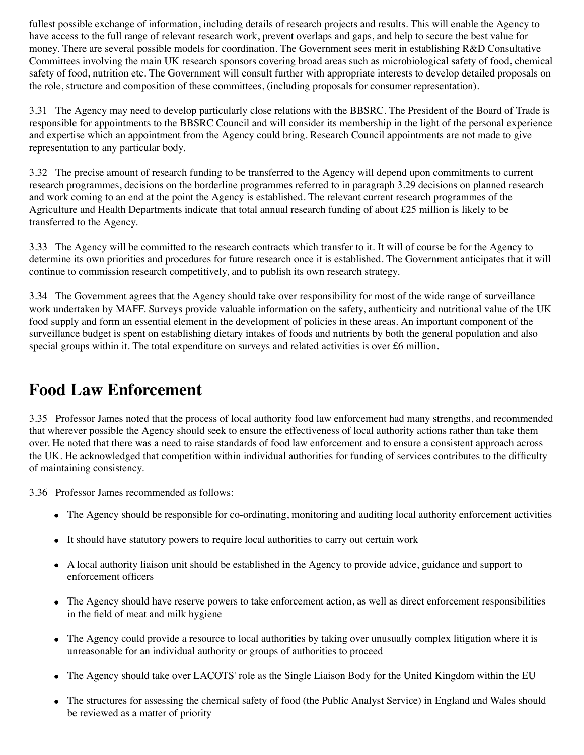fullest possible exchange of information, including details of research projects and results. This will enable the Agency to have access to the full range of relevant research work, prevent overlaps and gaps, and help to secure the best value for money. There are several possible models for coordination. The Government sees merit in establishing R&D Consultative Committees involving the main UK research sponsors covering broad areas such as microbiological safety of food, chemical safety of food, nutrition etc. The Government will consult further with appropriate interests to develop detailed proposals on the role, structure and composition of these committees, (including proposals for consumer representation).

3.31 The Agency may need to develop particularly close relations with the BBSRC. The President of the Board of Trade is responsible for appointments to the BBSRC Council and will consider its membership in the light of the personal experience and expertise which an appointment from the Agency could bring. Research Council appointments are not made to give representation to any particular body.

3.32 The precise amount of research funding to be transferred to the Agency will depend upon commitments to current research programmes, decisions on the borderline programmes referred to in paragraph 3.29 decisions on planned research and work coming to an end at the point the Agency is established. The relevant current research programmes of the Agriculture and Health Departments indicate that total annual research funding of about £25 million is likely to be transferred to the Agency.

3.33 The Agency will be committed to the research contracts which transfer to it. It will of course be for the Agency to determine its own priorities and procedures for future research once it is established. The Government anticipates that it will continue to commission research competitively, and to publish its own research strategy.

3.34 The Government agrees that the Agency should take over responsibility for most of the wide range of surveillance work undertaken by MAFF. Surveys provide valuable information on the safety, authenticity and nutritional value of the UK food supply and form an essential element in the development of policies in these areas. An important component of the surveillance budget is spent on establishing dietary intakes of foods and nutrients by both the general population and also special groups within it. The total expenditure on surveys and related activities is over £6 million.

#### **Food Law Enforcement**

3.35 Professor James noted that the process of local authority food law enforcement had many strengths, and recommended that wherever possible the Agency should seek to ensure the effectiveness of local authority actions rather than take them over. He noted that there was a need to raise standards of food law enforcement and to ensure a consistent approach across the UK. He acknowledged that competition within individual authorities for funding of services contributes to the difficulty of maintaining consistency.

3.36 Professor James recommended as follows:

- The Agency should be responsible for co-ordinating, monitoring and auditing local authority enforcement activities
- It should have statutory powers to require local authorities to carry out certain work
- A local authority liaison unit should be established in the Agency to provide advice, guidance and support to enforcement officers
- The Agency should have reserve powers to take enforcement action, as well as direct enforcement responsibilities in the field of meat and milk hygiene
- The Agency could provide a resource to local authorities by taking over unusually complex litigation where it is unreasonable for an individual authority or groups of authorities to proceed
- The Agency should take over LACOTS' role as the Single Liaison Body for the United Kingdom within the EU
- The structures for assessing the chemical safety of food (the Public Analyst Service) in England and Wales should be reviewed as a matter of priority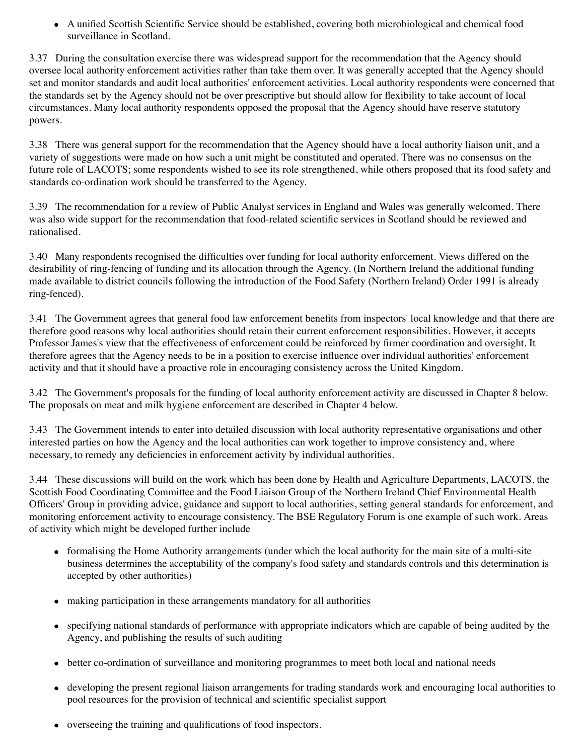A unified Scottish Scientific Service should be established, covering both microbiological and chemical food surveillance in Scotland.

3.37 During the consultation exercise there was widespread support for the recommendation that the Agency should oversee local authority enforcement activities rather than take them over. It was generally accepted that the Agency should set and monitor standards and audit local authorities' enforcement activities. Local authority respondents were concerned that the standards set by the Agency should not be over prescriptive but should allow for flexibility to take account of local circumstances. Many local authority respondents opposed the proposal that the Agency should have reserve statutory powers.

3.38 There was general support for the recommendation that the Agency should have a local authority liaison unit, and a variety of suggestions were made on how such a unit might be constituted and operated. There was no consensus on the future role of LACOTS; some respondents wished to see its role strengthened, while others proposed that its food safety and standards co-ordination work should be transferred to the Agency.

3.39 The recommendation for a review of Public Analyst services in England and Wales was generally welcomed. There was also wide support for the recommendation that food-related scientific services in Scotland should be reviewed and rationalised.

3.40 Many respondents recognised the difficulties over funding for local authority enforcement. Views differed on the desirability of ring-fencing of funding and its allocation through the Agency. (In Northern Ireland the additional funding made available to district councils following the introduction of the Food Safety (Northern Ireland) Order 1991 is already ring-fenced).

3.41 The Government agrees that general food law enforcement benefits from inspectors' local knowledge and that there are therefore good reasons why local authorities should retain their current enforcement responsibilities. However, it accepts Professor James's view that the effectiveness of enforcement could be reinforced by firmer coordination and oversight. It therefore agrees that the Agency needs to be in a position to exercise influence over individual authorities' enforcement activity and that it should have a proactive role in encouraging consistency across the United Kingdom.

3.42 The Government's proposals for the funding of local authority enforcement activity are discussed in Chapter 8 below. The proposals on meat and milk hygiene enforcement are described in Chapter 4 below.

3.43 The Government intends to enter into detailed discussion with local authority representative organisations and other interested parties on how the Agency and the local authorities can work together to improve consistency and, where necessary, to remedy any deficiencies in enforcement activity by individual authorities.

3.44 These discussions will build on the work which has been done by Health and Agriculture Departments, LACOTS, the Scottish Food Coordinating Committee and the Food Liaison Group of the Northern Ireland Chief Environmental Health Officers' Group in providing advice, guidance and support to local authorities, setting general standards for enforcement, and monitoring enforcement activity to encourage consistency. The BSE Regulatory Forum is one example of such work. Areas of activity which might be developed further include

- formalising the Home Authority arrangements (under which the local authority for the main site of a multi-site business determines the acceptability of the company's food safety and standards controls and this determination is accepted by other authorities)
- making participation in these arrangements mandatory for all authorities
- specifying national standards of performance with appropriate indicators which are capable of being audited by the Agency, and publishing the results of such auditing
- better co-ordination of surveillance and monitoring programmes to meet both local and national needs
- developing the present regional liaison arrangements for trading standards work and encouraging local authorities to pool resources for the provision of technical and scientific specialist support
- overseeing the training and qualifications of food inspectors.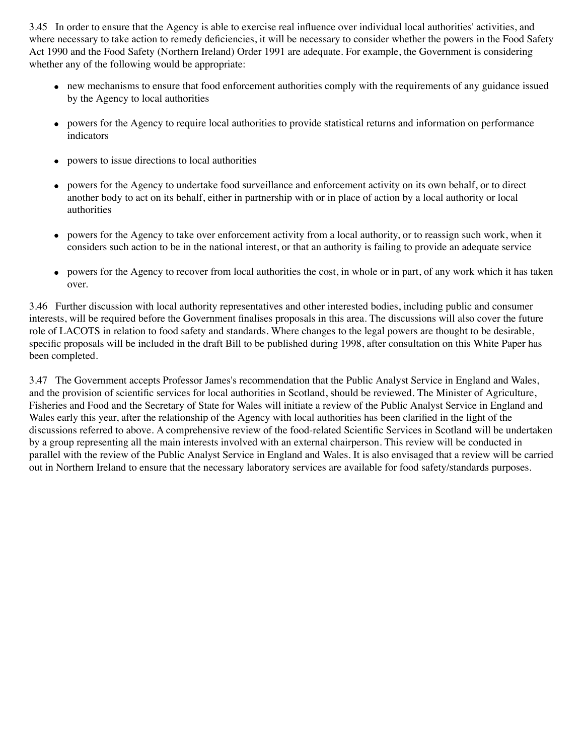3.45 In order to ensure that the Agency is able to exercise real influence over individual local authorities' activities, and where necessary to take action to remedy deficiencies, it will be necessary to consider whether the powers in the Food Safety Act 1990 and the Food Safety (Northern Ireland) Order 1991 are adequate. For example, the Government is considering whether any of the following would be appropriate:

- new mechanisms to ensure that food enforcement authorities comply with the requirements of any guidance issued by the Agency to local authorities
- powers for the Agency to require local authorities to provide statistical returns and information on performance indicators
- powers to issue directions to local authorities
- powers for the Agency to undertake food surveillance and enforcement activity on its own behalf, or to direct another body to act on its behalf, either in partnership with or in place of action by a local authority or local authorities
- powers for the Agency to take over enforcement activity from a local authority, or to reassign such work, when it considers such action to be in the national interest, or that an authority is failing to provide an adequate service
- powers for the Agency to recover from local authorities the cost, in whole or in part, of any work which it has taken over.

3.46 Further discussion with local authority representatives and other interested bodies, including public and consumer interests, will be required before the Government finalises proposals in this area. The discussions will also cover the future role of LACOTS in relation to food safety and standards. Where changes to the legal powers are thought to be desirable, specific proposals will be included in the draft Bill to be published during 1998, after consultation on this White Paper has been completed.

3.47 The Government accepts Professor James's recommendation that the Public Analyst Service in England and Wales, and the provision of scientific services for local authorities in Scotland, should be reviewed. The Minister of Agriculture, Fisheries and Food and the Secretary of State for Wales will initiate a review of the Public Analyst Service in England and Wales early this year, after the relationship of the Agency with local authorities has been clarified in the light of the discussions referred to above. A comprehensive review of the food-related Scientific Services in Scotland will be undertaken by a group representing all the main interests involved with an external chairperson. This review will be conducted in parallel with the review of the Public Analyst Service in England and Wales. It is also envisaged that a review will be carried out in Northern Ireland to ensure that the necessary laboratory services are available for food safety/standards purposes.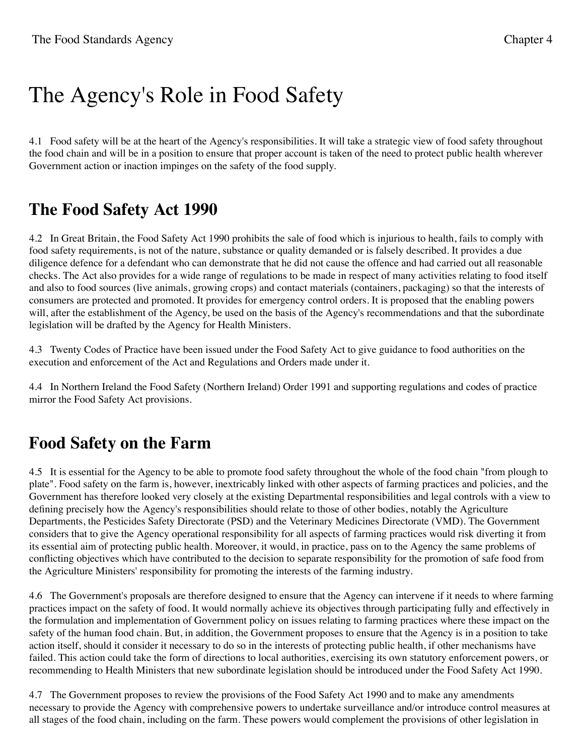# The Agency's Role in Food Safety

4.1 Food safety will be at the heart of the Agency's responsibilities. It will take a strategic view of food safety throughout the food chain and will be in a position to ensure that proper account is taken of the need to protect public health wherever Government action or inaction impinges on the safety of the food supply.

### **The Food Safety Act 1990**

4.2 In Great Britain, the Food Safety Act 1990 prohibits the sale of food which is injurious to health, fails to comply with food safety requirements, is not of the nature, substance or quality demanded or is falsely described. It provides a due diligence defence for a defendant who can demonstrate that he did not cause the offence and had carried out all reasonable checks. The Act also provides for a wide range of regulations to be made in respect of many activities relating to food itself and also to food sources (live animals, growing crops) and contact materials (containers, packaging) so that the interests of consumers are protected and promoted. It provides for emergency control orders. It is proposed that the enabling powers will, after the establishment of the Agency, be used on the basis of the Agency's recommendations and that the subordinate legislation will be drafted by the Agency for Health Ministers.

4.3 Twenty Codes of Practice have been issued under the Food Safety Act to give guidance to food authorities on the execution and enforcement of the Act and Regulations and Orders made under it.

4.4 In Northern Ireland the Food Safety (Northern Ireland) Order 1991 and supporting regulations and codes of practice mirror the Food Safety Act provisions.

## **Food Safety on the Farm**

4.5 It is essential for the Agency to be able to promote food safety throughout the whole of the food chain "from plough to plate". Food safety on the farm is, however, inextricably linked with other aspects of farming practices and policies, and the Government has therefore looked very closely at the existing Departmental responsibilities and legal controls with a view to defining precisely how the Agency's responsibilities should relate to those of other bodies, notably the Agriculture Departments, the Pesticides Safety Directorate (PSD) and the Veterinary Medicines Directorate (VMD). The Government considers that to give the Agency operational responsibility for all aspects of farming practices would risk diverting it from its essential aim of protecting public health. Moreover, it would, in practice, pass on to the Agency the same problems of conflicting objectives which have contributed to the decision to separate responsibility for the promotion of safe food from the Agriculture Ministers' responsibility for promoting the interests of the farming industry.

4.6 The Government's proposals are therefore designed to ensure that the Agency can intervene if it needs to where farming practices impact on the safety of food. It would normally achieve its objectives through participating fully and effectively in the formulation and implementation of Government policy on issues relating to farming practices where these impact on the safety of the human food chain. But, in addition, the Government proposes to ensure that the Agency is in a position to take action itself, should it consider it necessary to do so in the interests of protecting public health, if other mechanisms have failed. This action could take the form of directions to local authorities, exercising its own statutory enforcement powers, or recommending to Health Ministers that new subordinate legislation should be introduced under the Food Safety Act 1990.

4.7 The Government proposes to review the provisions of the Food Safety Act 1990 and to make any amendments necessary to provide the Agency with comprehensive powers to undertake surveillance and/or introduce control measures at all stages of the food chain, including on the farm. These powers would complement the provisions of other legislation in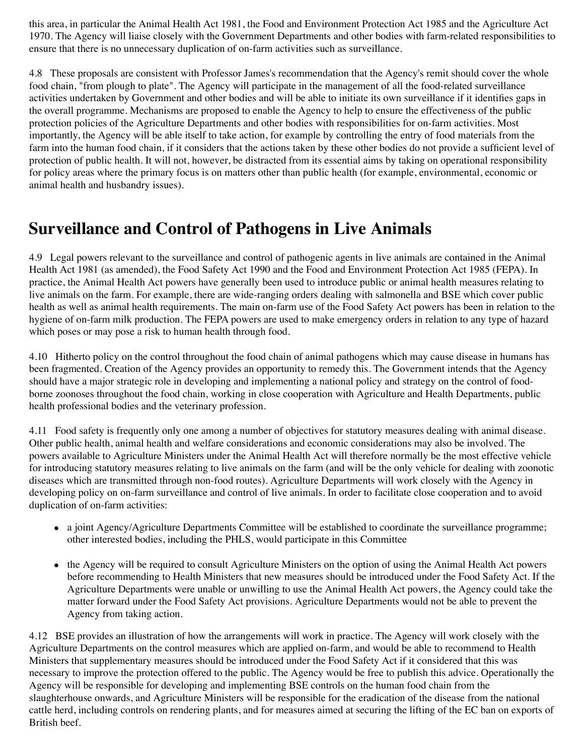this area, in particular the Animal Health Act 1981, the Food and Environment Protection Act 1985 and the Agriculture Act 1970. The Agency will liaise closely with the Government Departments and other bodies with farm-related responsibilities to ensure that there is no unnecessary duplication of on-farm activities such as surveillance.

4.8 These proposals are consistent with Professor James's recommendation that the Agency's remit should cover the whole food chain, "from plough to plate". The Agency will participate in the management of all the food-related surveillance activities undertaken by Government and other bodies and will be able to initiate its own surveillance if it identifies gaps in the overall programme. Mechanisms are proposed to enable the Agency to help to ensure the effectiveness of the public protection policies of the Agriculture Departments and other bodies with responsibilities for on-farm activities. Most importantly, the Agency will be able itself to take action, for example by controlling the entry of food materials from the farm into the human food chain, if it considers that the actions taken by these other bodies do not provide a sufficient level of protection of public health. It will not, however, be distracted from its essential aims by taking on operational responsibility for policy areas where the primary focus is on matters other than public health (for example, environmental, economic or animal health and husbandry issues).

#### **Surveillance and Control of Pathogens in Live Animals**

4.9 Legal powers relevant to the surveillance and control of pathogenic agents in live animals are contained in the Animal Health Act 1981 (as amended), the Food Safety Act 1990 and the Food and Environment Protection Act 1985 (FEPA). In practice, the Animal Health Act powers have generally been used to introduce public or animal health measures relating to live animals on the farm. For example, there are wide-ranging orders dealing with salmonella and BSE which cover public health as well as animal health requirements. The main on-farm use of the Food Safety Act powers has been in relation to the hygiene of on-farm milk production. The FEPA powers are used to make emergency orders in relation to any type of hazard which poses or may pose a risk to human health through food.

4.10 Hitherto policy on the control throughout the food chain of animal pathogens which may cause disease in humans has been fragmented. Creation of the Agency provides an opportunity to remedy this. The Government intends that the Agency should have a major strategic role in developing and implementing a national policy and strategy on the control of foodborne zoonoses throughout the food chain, working in close cooperation with Agriculture and Health Departments, public health professional bodies and the veterinary profession.

4.11 Food safety is frequently only one among a number of objectives for statutory measures dealing with animal disease. Other public health, animal health and welfare considerations and economic considerations may also be involved. The powers available to Agriculture Ministers under the Animal Health Act will therefore normally be the most effective vehicle for introducing statutory measures relating to live animals on the farm (and will be the only vehicle for dealing with zoonotic diseases which are transmitted through non-food routes). Agriculture Departments will work closely with the Agency in developing policy on on-farm surveillance and control of live animals. In order to facilitate close cooperation and to avoid duplication of on-farm activities:

- a joint Agency/Agriculture Departments Committee will be established to coordinate the surveillance programme; other interested bodies, including the PHLS, would participate in this Committee
- the Agency will be required to consult Agriculture Ministers on the option of using the Animal Health Act powers before recommending to Health Ministers that new measures should be introduced under the Food Safety Act. If the Agriculture Departments were unable or unwilling to use the Animal Health Act powers, the Agency could take the matter forward under the Food Safety Act provisions. Agriculture Departments would not be able to prevent the Agency from taking action.

4.12 BSE provides an illustration of how the arrangements will work in practice. The Agency will work closely with the Agriculture Departments on the control measures which are applied on-farm, and would be able to recommend to Health Ministers that supplementary measures should be introduced under the Food Safety Act if it considered that this was necessary to improve the protection offered to the public. The Agency would be free to publish this advice. Operationally the Agency will be responsible for developing and implementing BSE controls on the human food chain from the slaughterhouse onwards, and Agriculture Ministers will be responsible for the eradication of the disease from the national cattle herd, including controls on rendering plants, and for measures aimed at securing the lifting of the EC ban on exports of British beef.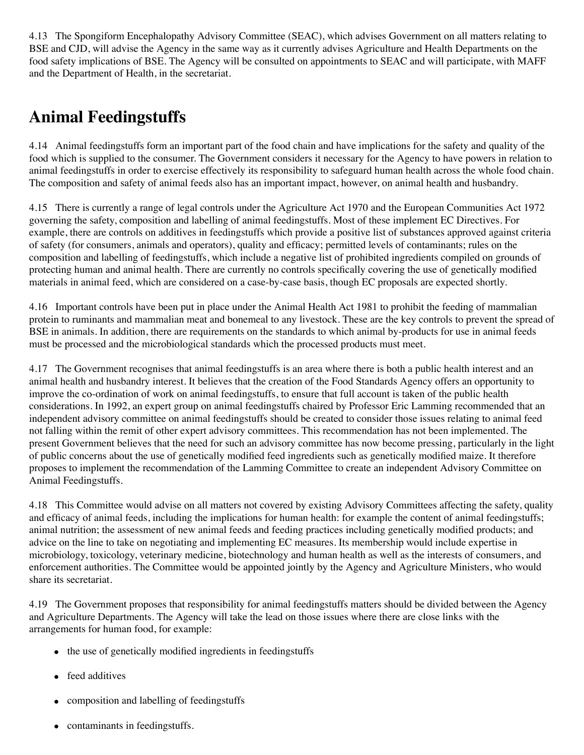4.13 The Spongiform Encephalopathy Advisory Committee (SEAC), which advises Government on all matters relating to BSE and CJD, will advise the Agency in the same way as it currently advises Agriculture and Health Departments on the food safety implications of BSE. The Agency will be consulted on appointments to SEAC and will participate, with MAFF and the Department of Health, in the secretariat.

### **Animal Feedingstuffs**

4.14 Animal feedingstuffs form an important part of the food chain and have implications for the safety and quality of the food which is supplied to the consumer. The Government considers it necessary for the Agency to have powers in relation to animal feedingstuffs in order to exercise effectively its responsibility to safeguard human health across the whole food chain. The composition and safety of animal feeds also has an important impact, however, on animal health and husbandry.

4.15 There is currently a range of legal controls under the Agriculture Act 1970 and the European Communities Act 1972 governing the safety, composition and labelling of animal feedingstuffs. Most of these implement EC Directives. For example, there are controls on additives in feedingstuffs which provide a positive list of substances approved against criteria of safety (for consumers, animals and operators), quality and efficacy; permitted levels of contaminants; rules on the composition and labelling of feedingstuffs, which include a negative list of prohibited ingredients compiled on grounds of protecting human and animal health. There are currently no controls specifically covering the use of genetically modified materials in animal feed, which are considered on a case-by-case basis, though EC proposals are expected shortly.

4.16 Important controls have been put in place under the Animal Health Act 1981 to prohibit the feeding of mammalian protein to ruminants and mammalian meat and bonemeal to any livestock. These are the key controls to prevent the spread of BSE in animals. In addition, there are requirements on the standards to which animal by-products for use in animal feeds must be processed and the microbiological standards which the processed products must meet.

4.17 The Government recognises that animal feedingstuffs is an area where there is both a public health interest and an animal health and husbandry interest. It believes that the creation of the Food Standards Agency offers an opportunity to improve the co-ordination of work on animal feedingstuffs, to ensure that full account is taken of the public health considerations. In 1992, an expert group on animal feedingstuffs chaired by Professor Eric Lamming recommended that an independent advisory committee on animal feedingstuffs should be created to consider those issues relating to animal feed not falling within the remit of other expert advisory committees. This recommendation has not been implemented. The present Government believes that the need for such an advisory committee has now become pressing, particularly in the light of public concerns about the use of genetically modified feed ingredients such as genetically modified maize. It therefore proposes to implement the recommendation of the Lamming Committee to create an independent Advisory Committee on Animal Feedingstuffs.

4.18 This Committee would advise on all matters not covered by existing Advisory Committees affecting the safety, quality and efficacy of animal feeds, including the implications for human health: for example the content of animal feedingstuffs; animal nutrition; the assessment of new animal feeds and feeding practices including genetically modified products; and advice on the line to take on negotiating and implementing EC measures. Its membership would include expertise in microbiology, toxicology, veterinary medicine, biotechnology and human health as well as the interests of consumers, and enforcement authorities. The Committee would be appointed jointly by the Agency and Agriculture Ministers, who would share its secretariat.

4.19 The Government proposes that responsibility for animal feedingstuffs matters should be divided between the Agency and Agriculture Departments. The Agency will take the lead on those issues where there are close links with the arrangements for human food, for example:

- the use of genetically modified ingredients in feedingstuffs
- feed additives
- composition and labelling of feedingstuffs
- contaminants in feedingstuffs.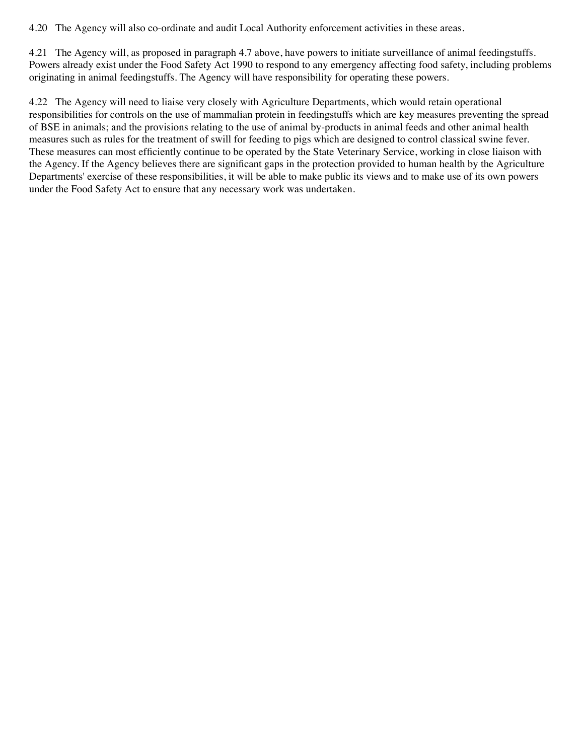4.20 The Agency will also co-ordinate and audit Local Authority enforcement activities in these areas.

4.21 The Agency will, as proposed in paragraph 4.7 above, have powers to initiate surveillance of animal feedingstuffs. Powers already exist under the Food Safety Act 1990 to respond to any emergency affecting food safety, including problems originating in animal feedingstuffs. The Agency will have responsibility for operating these powers.

4.22 The Agency will need to liaise very closely with Agriculture Departments, which would retain operational responsibilities for controls on the use of mammalian protein in feedingstuffs which are key measures preventing the spread of BSE in animals; and the provisions relating to the use of animal by-products in animal feeds and other animal health measures such as rules for the treatment of swill for feeding to pigs which are designed to control classical swine fever. These measures can most efficiently continue to be operated by the State Veterinary Service, working in close liaison with the Agency. If the Agency believes there are significant gaps in the protection provided to human health by the Agriculture Departments' exercise of these responsibilities, it will be able to make public its views and to make use of its own powers under the Food Safety Act to ensure that any necessary work was undertaken.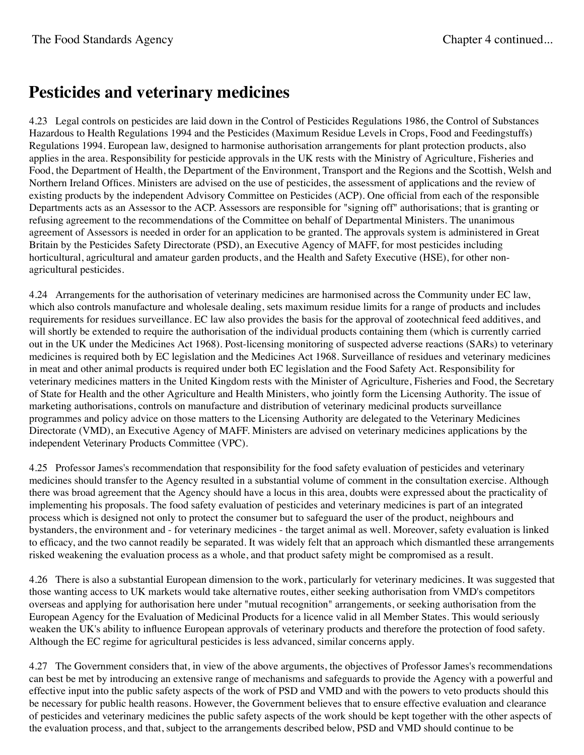#### **Pesticides and veterinary medicines**

4.23 Legal controls on pesticides are laid down in the Control of Pesticides Regulations 1986, the Control of Substances Hazardous to Health Regulations 1994 and the Pesticides (Maximum Residue Levels in Crops, Food and Feedingstuffs) Regulations 1994. European law, designed to harmonise authorisation arrangements for plant protection products, also applies in the area. Responsibility for pesticide approvals in the UK rests with the Ministry of Agriculture, Fisheries and Food, the Department of Health, the Department of the Environment, Transport and the Regions and the Scottish, Welsh and Northern Ireland Offices. Ministers are advised on the use of pesticides, the assessment of applications and the review of existing products by the independent Advisory Committee on Pesticides (ACP). One official from each of the responsible Departments acts as an Assessor to the ACP. Assessors are responsible for "signing off" authorisations; that is granting or refusing agreement to the recommendations of the Committee on behalf of Departmental Ministers. The unanimous agreement of Assessors is needed in order for an application to be granted. The approvals system is administered in Great Britain by the Pesticides Safety Directorate (PSD), an Executive Agency of MAFF, for most pesticides including horticultural, agricultural and amateur garden products, and the Health and Safety Executive (HSE), for other nonagricultural pesticides.

4.24 Arrangements for the authorisation of veterinary medicines are harmonised across the Community under EC law, which also controls manufacture and wholesale dealing, sets maximum residue limits for a range of products and includes requirements for residues surveillance. EC law also provides the basis for the approval of zootechnical feed additives, and will shortly be extended to require the authorisation of the individual products containing them (which is currently carried out in the UK under the Medicines Act 1968). Post-licensing monitoring of suspected adverse reactions (SARs) to veterinary medicines is required both by EC legislation and the Medicines Act 1968. Surveillance of residues and veterinary medicines in meat and other animal products is required under both EC legislation and the Food Safety Act. Responsibility for veterinary medicines matters in the United Kingdom rests with the Minister of Agriculture, Fisheries and Food, the Secretary of State for Health and the other Agriculture and Health Ministers, who jointly form the Licensing Authority. The issue of marketing authorisations, controls on manufacture and distribution of veterinary medicinal products surveillance programmes and policy advice on those matters to the Licensing Authority are delegated to the Veterinary Medicines Directorate (VMD), an Executive Agency of MAFF. Ministers are advised on veterinary medicines applications by the independent Veterinary Products Committee (VPC).

4.25 Professor James's recommendation that responsibility for the food safety evaluation of pesticides and veterinary medicines should transfer to the Agency resulted in a substantial volume of comment in the consultation exercise. Although there was broad agreement that the Agency should have a locus in this area, doubts were expressed about the practicality of implementing his proposals. The food safety evaluation of pesticides and veterinary medicines is part of an integrated process which is designed not only to protect the consumer but to safeguard the user of the product, neighbours and bystanders, the environment and - for veterinary medicines - the target animal as well. Moreover, safety evaluation is linked to efficacy, and the two cannot readily be separated. It was widely felt that an approach which dismantled these arrangements risked weakening the evaluation process as a whole, and that product safety might be compromised as a result.

4.26 There is also a substantial European dimension to the work, particularly for veterinary medicines. It was suggested that those wanting access to UK markets would take alternative routes, either seeking authorisation from VMD's competitors overseas and applying for authorisation here under "mutual recognition" arrangements, or seeking authorisation from the European Agency for the Evaluation of Medicinal Products for a licence valid in all Member States. This would seriously weaken the UK's ability to influence European approvals of veterinary products and therefore the protection of food safety. Although the EC regime for agricultural pesticides is less advanced, similar concerns apply.

4.27 The Government considers that, in view of the above arguments, the objectives of Professor James's recommendations can best be met by introducing an extensive range of mechanisms and safeguards to provide the Agency with a powerful and effective input into the public safety aspects of the work of PSD and VMD and with the powers to veto products should this be necessary for public health reasons. However, the Government believes that to ensure effective evaluation and clearance of pesticides and veterinary medicines the public safety aspects of the work should be kept together with the other aspects of the evaluation process, and that, subject to the arrangements described below, PSD and VMD should continue to be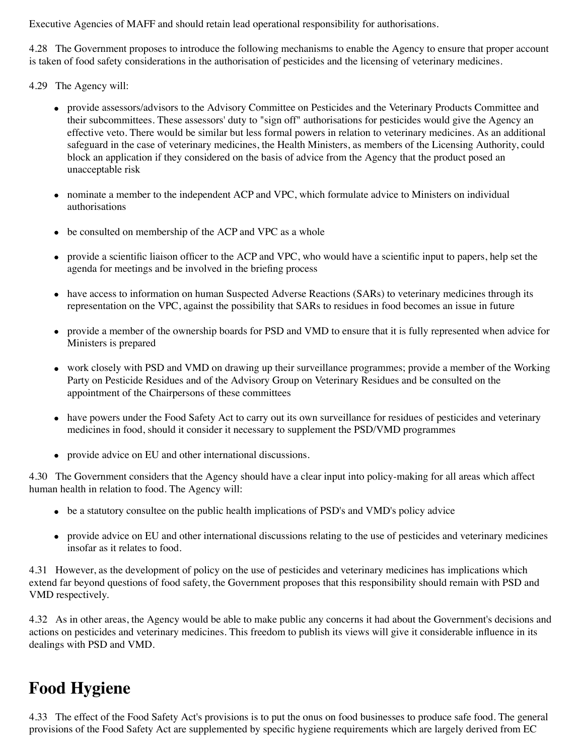Executive Agencies of MAFF and should retain lead operational responsibility for authorisations.

4.28 The Government proposes to introduce the following mechanisms to enable the Agency to ensure that proper account is taken of food safety considerations in the authorisation of pesticides and the licensing of veterinary medicines.

4.29 The Agency will:

- provide assessors/advisors to the Advisory Committee on Pesticides and the Veterinary Products Committee and their subcommittees. These assessors' duty to "sign off" authorisations for pesticides would give the Agency an effective veto. There would be similar but less formal powers in relation to veterinary medicines. As an additional safeguard in the case of veterinary medicines, the Health Ministers, as members of the Licensing Authority, could block an application if they considered on the basis of advice from the Agency that the product posed an unacceptable risk
- nominate a member to the independent ACP and VPC, which formulate advice to Ministers on individual authorisations
- be consulted on membership of the ACP and VPC as a whole
- provide a scientific liaison officer to the ACP and VPC, who would have a scientific input to papers, help set the agenda for meetings and be involved in the briefing process
- have access to information on human Suspected Adverse Reactions (SARs) to veterinary medicines through its representation on the VPC, against the possibility that SARs to residues in food becomes an issue in future
- provide a member of the ownership boards for PSD and VMD to ensure that it is fully represented when advice for Ministers is prepared
- work closely with PSD and VMD on drawing up their surveillance programmes; provide a member of the Working Party on Pesticide Residues and of the Advisory Group on Veterinary Residues and be consulted on the appointment of the Chairpersons of these committees
- have powers under the Food Safety Act to carry out its own surveillance for residues of pesticides and veterinary medicines in food, should it consider it necessary to supplement the PSD/VMD programmes
- provide advice on EU and other international discussions.

4.30 The Government considers that the Agency should have a clear input into policy-making for all areas which affect human health in relation to food. The Agency will:

- be a statutory consultee on the public health implications of PSD's and VMD's policy advice
- provide advice on EU and other international discussions relating to the use of pesticides and veterinary medicines insofar as it relates to food.

4.31 However, as the development of policy on the use of pesticides and veterinary medicines has implications which extend far beyond questions of food safety, the Government proposes that this responsibility should remain with PSD and VMD respectively.

4.32 As in other areas, the Agency would be able to make public any concerns it had about the Government's decisions and actions on pesticides and veterinary medicines. This freedom to publish its views will give it considerable influence in its dealings with PSD and VMD.

## **Food Hygiene**

4.33 The effect of the Food Safety Act's provisions is to put the onus on food businesses to produce safe food. The general provisions of the Food Safety Act are supplemented by specific hygiene requirements which are largely derived from EC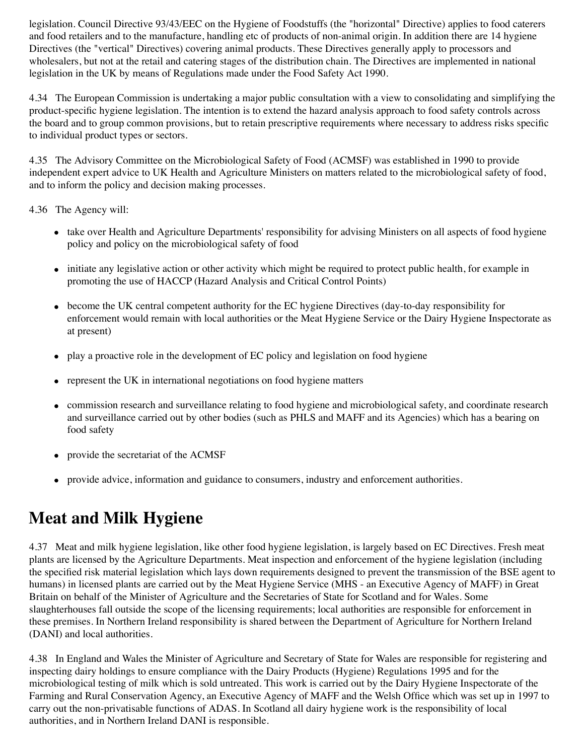legislation. Council Directive 93/43/EEC on the Hygiene of Foodstuffs (the "horizontal" Directive) applies to food caterers and food retailers and to the manufacture, handling etc of products of non-animal origin. In addition there are 14 hygiene Directives (the "vertical" Directives) covering animal products. These Directives generally apply to processors and wholesalers, but not at the retail and catering stages of the distribution chain. The Directives are implemented in national legislation in the UK by means of Regulations made under the Food Safety Act 1990.

4.34 The European Commission is undertaking a major public consultation with a view to consolidating and simplifying the product-specific hygiene legislation. The intention is to extend the hazard analysis approach to food safety controls across the board and to group common provisions, but to retain prescriptive requirements where necessary to address risks specific to individual product types or sectors.

4.35 The Advisory Committee on the Microbiological Safety of Food (ACMSF) was established in 1990 to provide independent expert advice to UK Health and Agriculture Ministers on matters related to the microbiological safety of food, and to inform the policy and decision making processes.

4.36 The Agency will:

- take over Health and Agriculture Departments' responsibility for advising Ministers on all aspects of food hygiene policy and policy on the microbiological safety of food
- initiate any legislative action or other activity which might be required to protect public health, for example in promoting the use of HACCP (Hazard Analysis and Critical Control Points)
- become the UK central competent authority for the EC hygiene Directives (day-to-day responsibility for enforcement would remain with local authorities or the Meat Hygiene Service or the Dairy Hygiene Inspectorate as at present)
- play a proactive role in the development of EC policy and legislation on food hygiene
- represent the UK in international negotiations on food hygiene matters
- commission research and surveillance relating to food hygiene and microbiological safety, and coordinate research and surveillance carried out by other bodies (such as PHLS and MAFF and its Agencies) which has a bearing on food safety
- provide the secretariat of the ACMSF
- provide advice, information and guidance to consumers, industry and enforcement authorities.

## **Meat and Milk Hygiene**

4.37 Meat and milk hygiene legislation, like other food hygiene legislation, is largely based on EC Directives. Fresh meat plants are licensed by the Agriculture Departments. Meat inspection and enforcement of the hygiene legislation (including the specified risk material legislation which lays down requirements designed to prevent the transmission of the BSE agent to humans) in licensed plants are carried out by the Meat Hygiene Service (MHS - an Executive Agency of MAFF) in Great Britain on behalf of the Minister of Agriculture and the Secretaries of State for Scotland and for Wales. Some slaughterhouses fall outside the scope of the licensing requirements; local authorities are responsible for enforcement in these premises. In Northern Ireland responsibility is shared between the Department of Agriculture for Northern Ireland (DANI) and local authorities.

4.38 In England and Wales the Minister of Agriculture and Secretary of State for Wales are responsible for registering and inspecting dairy holdings to ensure compliance with the Dairy Products (Hygiene) Regulations 1995 and for the microbiological testing of milk which is sold untreated. This work is carried out by the Dairy Hygiene Inspectorate of the Farming and Rural Conservation Agency, an Executive Agency of MAFF and the Welsh Office which was set up in 1997 to carry out the non-privatisable functions of ADAS. In Scotland all dairy hygiene work is the responsibility of local authorities, and in Northern Ireland DANI is responsible.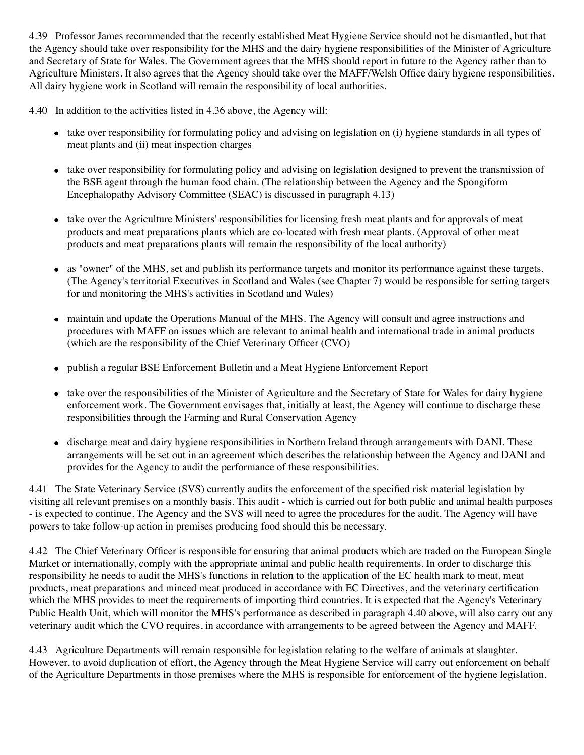4.39 Professor James recommended that the recently established Meat Hygiene Service should not be dismantled, but that the Agency should take over responsibility for the MHS and the dairy hygiene responsibilities of the Minister of Agriculture and Secretary of State for Wales. The Government agrees that the MHS should report in future to the Agency rather than to Agriculture Ministers. It also agrees that the Agency should take over the MAFF/Welsh Office dairy hygiene responsibilities. All dairy hygiene work in Scotland will remain the responsibility of local authorities.

4.40 In addition to the activities listed in 4.36 above, the Agency will:

- take over responsibility for formulating policy and advising on legislation on (i) hygiene standards in all types of meat plants and (ii) meat inspection charges
- take over responsibility for formulating policy and advising on legislation designed to prevent the transmission of the BSE agent through the human food chain. (The relationship between the Agency and the Spongiform Encephalopathy Advisory Committee (SEAC) is discussed in paragraph 4.13)
- take over the Agriculture Ministers' responsibilities for licensing fresh meat plants and for approvals of meat  $\bullet$ products and meat preparations plants which are co-located with fresh meat plants. (Approval of other meat products and meat preparations plants will remain the responsibility of the local authority)
- as "owner" of the MHS, set and publish its performance targets and monitor its performance against these targets. (The Agency's territorial Executives in Scotland and Wales (see Chapter 7) would be responsible for setting targets for and monitoring the MHS's activities in Scotland and Wales)
- maintain and update the Operations Manual of the MHS. The Agency will consult and agree instructions and procedures with MAFF on issues which are relevant to animal health and international trade in animal products (which are the responsibility of the Chief Veterinary Officer (CVO)
- publish a regular BSE Enforcement Bulletin and a Meat Hygiene Enforcement Report
- take over the responsibilities of the Minister of Agriculture and the Secretary of State for Wales for dairy hygiene enforcement work. The Government envisages that, initially at least, the Agency will continue to discharge these responsibilities through the Farming and Rural Conservation Agency
- discharge meat and dairy hygiene responsibilities in Northern Ireland through arrangements with DANI. These arrangements will be set out in an agreement which describes the relationship between the Agency and DANI and provides for the Agency to audit the performance of these responsibilities.

4.41 The State Veterinary Service (SVS) currently audits the enforcement of the specified risk material legislation by visiting all relevant premises on a monthly basis. This audit - which is carried out for both public and animal health purposes - is expected to continue. The Agency and the SVS will need to agree the procedures for the audit. The Agency will have powers to take follow-up action in premises producing food should this be necessary.

4.42 The Chief Veterinary Officer is responsible for ensuring that animal products which are traded on the European Single Market or internationally, comply with the appropriate animal and public health requirements. In order to discharge this responsibility he needs to audit the MHS's functions in relation to the application of the EC health mark to meat, meat products, meat preparations and minced meat produced in accordance with EC Directives, and the veterinary certification which the MHS provides to meet the requirements of importing third countries. It is expected that the Agency's Veterinary Public Health Unit, which will monitor the MHS's performance as described in paragraph 4.40 above, will also carry out any veterinary audit which the CVO requires, in accordance with arrangements to be agreed between the Agency and MAFF.

4.43 Agriculture Departments will remain responsible for legislation relating to the welfare of animals at slaughter. However, to avoid duplication of effort, the Agency through the Meat Hygiene Service will carry out enforcement on behalf of the Agriculture Departments in those premises where the MHS is responsible for enforcement of the hygiene legislation.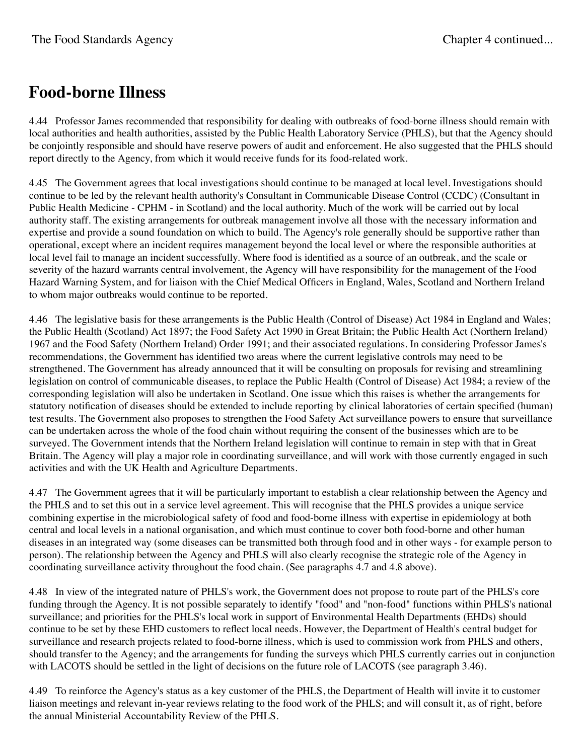#### **Food-borne Illness**

4.44 Professor James recommended that responsibility for dealing with outbreaks of food-borne illness should remain with local authorities and health authorities, assisted by the Public Health Laboratory Service (PHLS), but that the Agency should be conjointly responsible and should have reserve powers of audit and enforcement. He also suggested that the PHLS should report directly to the Agency, from which it would receive funds for its food-related work.

4.45 The Government agrees that local investigations should continue to be managed at local level. Investigations should continue to be led by the relevant health authority's Consultant in Communicable Disease Control (CCDC) (Consultant in Public Health Medicine - CPHM - in Scotland) and the local authority. Much of the work will be carried out by local authority staff. The existing arrangements for outbreak management involve all those with the necessary information and expertise and provide a sound foundation on which to build. The Agency's role generally should be supportive rather than operational, except where an incident requires management beyond the local level or where the responsible authorities at local level fail to manage an incident successfully. Where food is identified as a source of an outbreak, and the scale or severity of the hazard warrants central involvement, the Agency will have responsibility for the management of the Food Hazard Warning System, and for liaison with the Chief Medical Officers in England, Wales, Scotland and Northern Ireland to whom major outbreaks would continue to be reported.

4.46 The legislative basis for these arrangements is the Public Health (Control of Disease) Act 1984 in England and Wales; the Public Health (Scotland) Act 1897; the Food Safety Act 1990 in Great Britain; the Public Health Act (Northern Ireland) 1967 and the Food Safety (Northern Ireland) Order 1991; and their associated regulations. In considering Professor James's recommendations, the Government has identified two areas where the current legislative controls may need to be strengthened. The Government has already announced that it will be consulting on proposals for revising and streamlining legislation on control of communicable diseases, to replace the Public Health (Control of Disease) Act 1984; a review of the corresponding legislation will also be undertaken in Scotland. One issue which this raises is whether the arrangements for statutory notification of diseases should be extended to include reporting by clinical laboratories of certain specified (human) test results. The Government also proposes to strengthen the Food Safety Act surveillance powers to ensure that surveillance can be undertaken across the whole of the food chain without requiring the consent of the businesses which are to be surveyed. The Government intends that the Northern Ireland legislation will continue to remain in step with that in Great Britain. The Agency will play a major role in coordinating surveillance, and will work with those currently engaged in such activities and with the UK Health and Agriculture Departments.

4.47 The Government agrees that it will be particularly important to establish a clear relationship between the Agency and the PHLS and to set this out in a service level agreement. This will recognise that the PHLS provides a unique service combining expertise in the microbiological safety of food and food-borne illness with expertise in epidemiology at both central and local levels in a national organisation, and which must continue to cover both food-borne and other human diseases in an integrated way (some diseases can be transmitted both through food and in other ways - for example person to person). The relationship between the Agency and PHLS will also clearly recognise the strategic role of the Agency in coordinating surveillance activity throughout the food chain. (See paragraphs 4.7 and 4.8 above).

4.48 In view of the integrated nature of PHLS's work, the Government does not propose to route part of the PHLS's core funding through the Agency. It is not possible separately to identify "food" and "non-food" functions within PHLS's national surveillance; and priorities for the PHLS's local work in support of Environmental Health Departments (EHDs) should continue to be set by these EHD customers to reflect local needs. However, the Department of Health's central budget for surveillance and research projects related to food-borne illness, which is used to commission work from PHLS and others, should transfer to the Agency; and the arrangements for funding the surveys which PHLS currently carries out in conjunction with LACOTS should be settled in the light of decisions on the future role of LACOTS (see paragraph 3.46).

4.49 To reinforce the Agency's status as a key customer of the PHLS, the Department of Health will invite it to customer liaison meetings and relevant in-year reviews relating to the food work of the PHLS; and will consult it, as of right, before the annual Ministerial Accountability Review of the PHLS.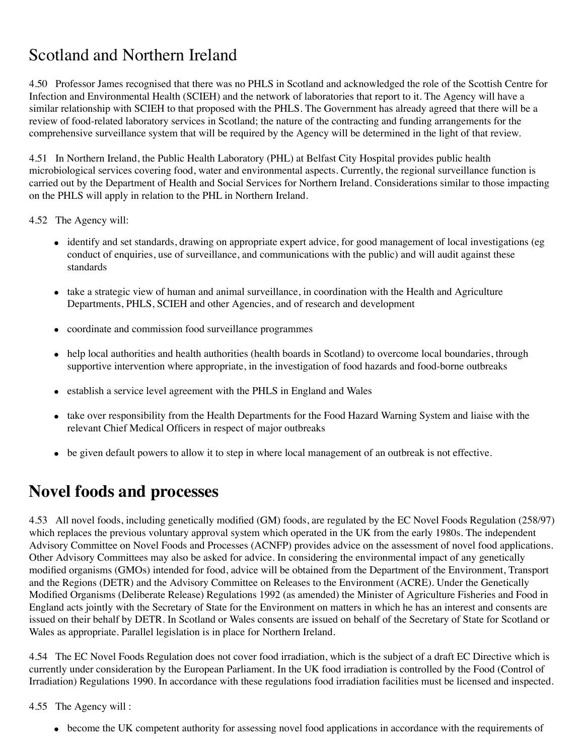## Scotland and Northern Ireland

4.50 Professor James recognised that there was no PHLS in Scotland and acknowledged the role of the Scottish Centre for Infection and Environmental Health (SCIEH) and the network of laboratories that report to it. The Agency will have a similar relationship with SCIEH to that proposed with the PHLS. The Government has already agreed that there will be a review of food-related laboratory services in Scotland; the nature of the contracting and funding arrangements for the comprehensive surveillance system that will be required by the Agency will be determined in the light of that review.

4.51 In Northern Ireland, the Public Health Laboratory (PHL) at Belfast City Hospital provides public health microbiological services covering food, water and environmental aspects. Currently, the regional surveillance function is carried out by the Department of Health and Social Services for Northern Ireland. Considerations similar to those impacting on the PHLS will apply in relation to the PHL in Northern Ireland.

4.52 The Agency will:

- identify and set standards, drawing on appropriate expert advice, for good management of local investigations (eg conduct of enquiries, use of surveillance, and communications with the public) and will audit against these standards
- take a strategic view of human and animal surveillance, in coordination with the Health and Agriculture Departments, PHLS, SCIEH and other Agencies, and of research and development
- coordinate and commission food surveillance programmes
- help local authorities and health authorities (health boards in Scotland) to overcome local boundaries, through supportive intervention where appropriate, in the investigation of food hazards and food-borne outbreaks
- establish a service level agreement with the PHLS in England and Wales
- take over responsibility from the Health Departments for the Food Hazard Warning System and liaise with the relevant Chief Medical Officers in respect of major outbreaks
- be given default powers to allow it to step in where local management of an outbreak is not effective.

#### **Novel foods and processes**

4.53 All novel foods, including genetically modified (GM) foods, are regulated by the EC Novel Foods Regulation (258/97) which replaces the previous voluntary approval system which operated in the UK from the early 1980s. The independent Advisory Committee on Novel Foods and Processes (ACNFP) provides advice on the assessment of novel food applications. Other Advisory Committees may also be asked for advice. In considering the environmental impact of any genetically modified organisms (GMOs) intended for food, advice will be obtained from the Department of the Environment, Transport and the Regions (DETR) and the Advisory Committee on Releases to the Environment (ACRE). Under the Genetically Modified Organisms (Deliberate Release) Regulations 1992 (as amended) the Minister of Agriculture Fisheries and Food in England acts jointly with the Secretary of State for the Environment on matters in which he has an interest and consents are issued on their behalf by DETR. In Scotland or Wales consents are issued on behalf of the Secretary of State for Scotland or Wales as appropriate. Parallel legislation is in place for Northern Ireland.

4.54 The EC Novel Foods Regulation does not cover food irradiation, which is the subject of a draft EC Directive which is currently under consideration by the European Parliament. In the UK food irradiation is controlled by the Food (Control of Irradiation) Regulations 1990. In accordance with these regulations food irradiation facilities must be licensed and inspected.

4.55 The Agency will :

become the UK competent authority for assessing novel food applications in accordance with the requirements of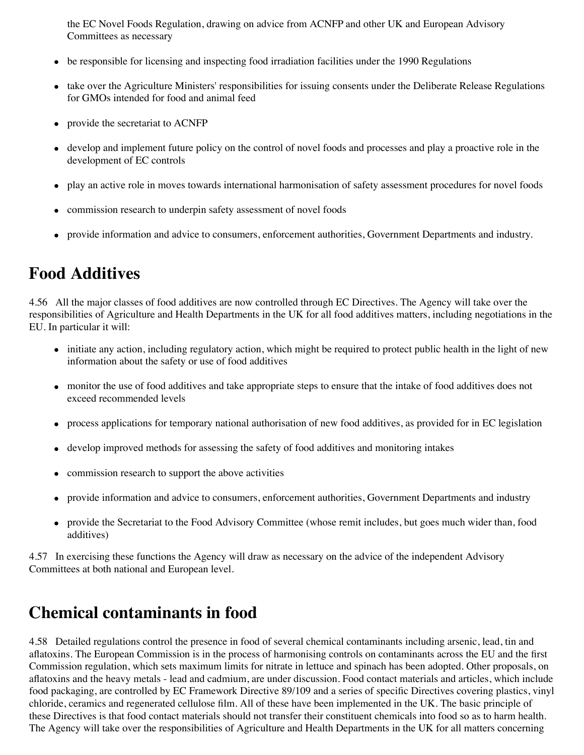the EC Novel Foods Regulation, drawing on advice from ACNFP and other UK and European Advisory Committees as necessary

- be responsible for licensing and inspecting food irradiation facilities under the 1990 Regulations
- take over the Agriculture Ministers' responsibilities for issuing consents under the Deliberate Release Regulations for GMOs intended for food and animal feed
- provide the secretariat to ACNFP  $\bullet$
- develop and implement future policy on the control of novel foods and processes and play a proactive role in the development of EC controls
- play an active role in moves towards international harmonisation of safety assessment procedures for novel foods
- commission research to underpin safety assessment of novel foods
- provide information and advice to consumers, enforcement authorities, Government Departments and industry.

#### **Food Additives**

4.56 All the major classes of food additives are now controlled through EC Directives. The Agency will take over the responsibilities of Agriculture and Health Departments in the UK for all food additives matters, including negotiations in the EU. In particular it will:

- initiate any action, including regulatory action, which might be required to protect public health in the light of new information about the safety or use of food additives
- monitor the use of food additives and take appropriate steps to ensure that the intake of food additives does not exceed recommended levels
- process applications for temporary national authorisation of new food additives, as provided for in EC legislation  $\bullet$
- develop improved methods for assessing the safety of food additives and monitoring intakes
- commission research to support the above activities  $\bullet$
- provide information and advice to consumers, enforcement authorities, Government Departments and industry
- provide the Secretariat to the Food Advisory Committee (whose remit includes, but goes much wider than, food  $\bullet$ additives)

4.57 In exercising these functions the Agency will draw as necessary on the advice of the independent Advisory Committees at both national and European level.

#### **Chemical contaminants in food**

4.58 Detailed regulations control the presence in food of several chemical contaminants including arsenic, lead, tin and aflatoxins. The European Commission is in the process of harmonising controls on contaminants across the EU and the first Commission regulation, which sets maximum limits for nitrate in lettuce and spinach has been adopted. Other proposals, on aflatoxins and the heavy metals - lead and cadmium, are under discussion. Food contact materials and articles, which include food packaging, are controlled by EC Framework Directive 89/109 and a series of specific Directives covering plastics, vinyl chloride, ceramics and regenerated cellulose film. All of these have been implemented in the UK. The basic principle of these Directives is that food contact materials should not transfer their constituent chemicals into food so as to harm health. The Agency will take over the responsibilities of Agriculture and Health Departments in the UK for all matters concerning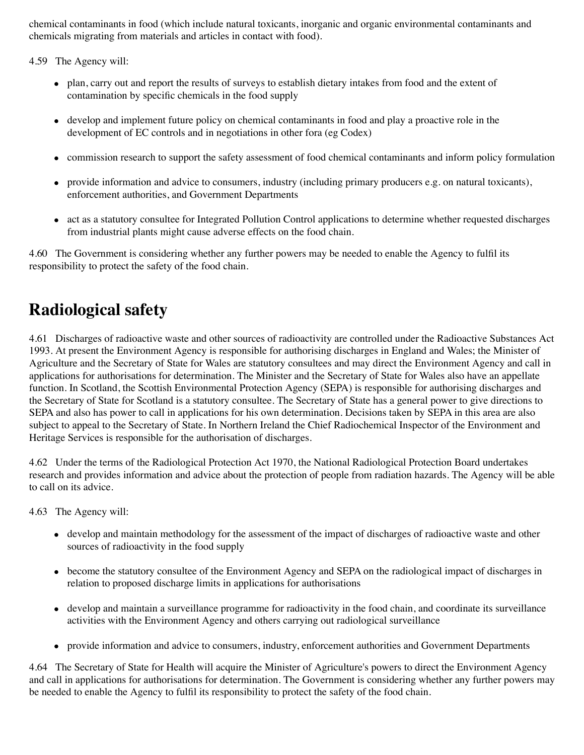chemical contaminants in food (which include natural toxicants, inorganic and organic environmental contaminants and chemicals migrating from materials and articles in contact with food).

4.59 The Agency will:

- plan, carry out and report the results of surveys to establish dietary intakes from food and the extent of contamination by specific chemicals in the food supply
- develop and implement future policy on chemical contaminants in food and play a proactive role in the development of EC controls and in negotiations in other fora (eg Codex)
- commission research to support the safety assessment of food chemical contaminants and inform policy formulation
- provide information and advice to consumers, industry (including primary producers e.g. on natural toxicants), enforcement authorities, and Government Departments
- act as a statutory consultee for Integrated Pollution Control applications to determine whether requested discharges from industrial plants might cause adverse effects on the food chain.

4.60 The Government is considering whether any further powers may be needed to enable the Agency to fulfil its responsibility to protect the safety of the food chain.

## **Radiological safety**

4.61 Discharges of radioactive waste and other sources of radioactivity are controlled under the Radioactive Substances Act 1993. At present the Environment Agency is responsible for authorising discharges in England and Wales; the Minister of Agriculture and the Secretary of State for Wales are statutory consultees and may direct the Environment Agency and call in applications for authorisations for determination. The Minister and the Secretary of State for Wales also have an appellate function. In Scotland, the Scottish Environmental Protection Agency (SEPA) is responsible for authorising discharges and the Secretary of State for Scotland is a statutory consultee. The Secretary of State has a general power to give directions to SEPA and also has power to call in applications for his own determination. Decisions taken by SEPA in this area are also subject to appeal to the Secretary of State. In Northern Ireland the Chief Radiochemical Inspector of the Environment and Heritage Services is responsible for the authorisation of discharges.

4.62 Under the terms of the Radiological Protection Act 1970, the National Radiological Protection Board undertakes research and provides information and advice about the protection of people from radiation hazards. The Agency will be able to call on its advice.

4.63 The Agency will:

- develop and maintain methodology for the assessment of the impact of discharges of radioactive waste and other sources of radioactivity in the food supply
- become the statutory consultee of the Environment Agency and SEPA on the radiological impact of discharges in relation to proposed discharge limits in applications for authorisations
- develop and maintain a surveillance programme for radioactivity in the food chain, and coordinate its surveillance activities with the Environment Agency and others carrying out radiological surveillance
- provide information and advice to consumers, industry, enforcement authorities and Government Departments

4.64 The Secretary of State for Health will acquire the Minister of Agriculture's powers to direct the Environment Agency and call in applications for authorisations for determination. The Government is considering whether any further powers may be needed to enable the Agency to fulfil its responsibility to protect the safety of the food chain.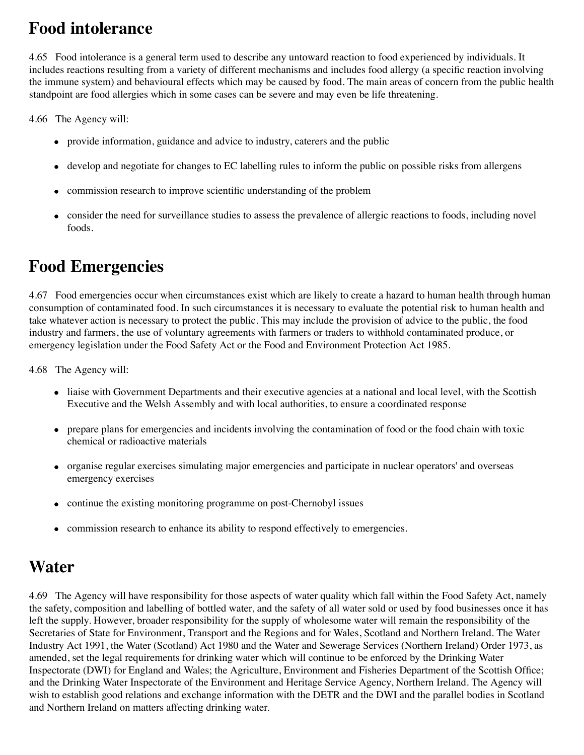### **Food intolerance**

4.65 Food intolerance is a general term used to describe any untoward reaction to food experienced by individuals. It includes reactions resulting from a variety of different mechanisms and includes food allergy (a specific reaction involving the immune system) and behavioural effects which may be caused by food. The main areas of concern from the public health standpoint are food allergies which in some cases can be severe and may even be life threatening.

4.66 The Agency will:

- provide information, guidance and advice to industry, caterers and the public
- develop and negotiate for changes to EC labelling rules to inform the public on possible risks from allergens
- commission research to improve scientific understanding of the problem
- consider the need for surveillance studies to assess the prevalence of allergic reactions to foods, including novel foods.

## **Food Emergencies**

4.67 Food emergencies occur when circumstances exist which are likely to create a hazard to human health through human consumption of contaminated food. In such circumstances it is necessary to evaluate the potential risk to human health and take whatever action is necessary to protect the public. This may include the provision of advice to the public, the food industry and farmers, the use of voluntary agreements with farmers or traders to withhold contaminated produce, or emergency legislation under the Food Safety Act or the Food and Environment Protection Act 1985.

4.68 The Agency will:

- liaise with Government Departments and their executive agencies at a national and local level, with the Scottish Executive and the Welsh Assembly and with local authorities, to ensure a coordinated response
- prepare plans for emergencies and incidents involving the contamination of food or the food chain with toxic chemical or radioactive materials
- organise regular exercises simulating major emergencies and participate in nuclear operators' and overseas emergency exercises
- continue the existing monitoring programme on post-Chernobyl issues
- commission research to enhance its ability to respond effectively to emergencies.

## **Water**

4.69 The Agency will have responsibility for those aspects of water quality which fall within the Food Safety Act, namely the safety, composition and labelling of bottled water, and the safety of all water sold or used by food businesses once it has left the supply. However, broader responsibility for the supply of wholesome water will remain the responsibility of the Secretaries of State for Environment, Transport and the Regions and for Wales, Scotland and Northern Ireland. The Water Industry Act 1991, the Water (Scotland) Act 1980 and the Water and Sewerage Services (Northern Ireland) Order 1973, as amended, set the legal requirements for drinking water which will continue to be enforced by the Drinking Water Inspectorate (DWI) for England and Wales; the Agriculture, Environment and Fisheries Department of the Scottish Office; and the Drinking Water Inspectorate of the Environment and Heritage Service Agency, Northern Ireland. The Agency will wish to establish good relations and exchange information with the DETR and the DWI and the parallel bodies in Scotland and Northern Ireland on matters affecting drinking water.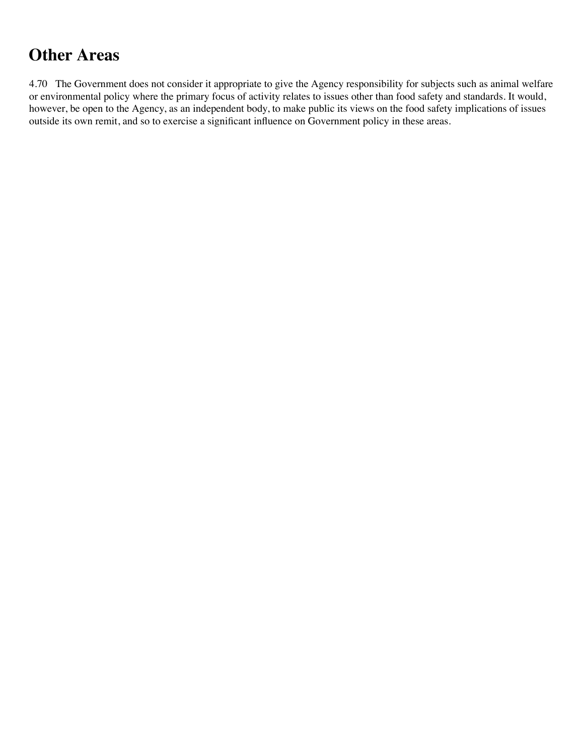## **Other Areas**

4.70 The Government does not consider it appropriate to give the Agency responsibility for subjects such as animal welfare or environmental policy where the primary focus of activity relates to issues other than food safety and standards. It would, however, be open to the Agency, as an independent body, to make public its views on the food safety implications of issues outside its own remit, and so to exercise a significant influence on Government policy in these areas.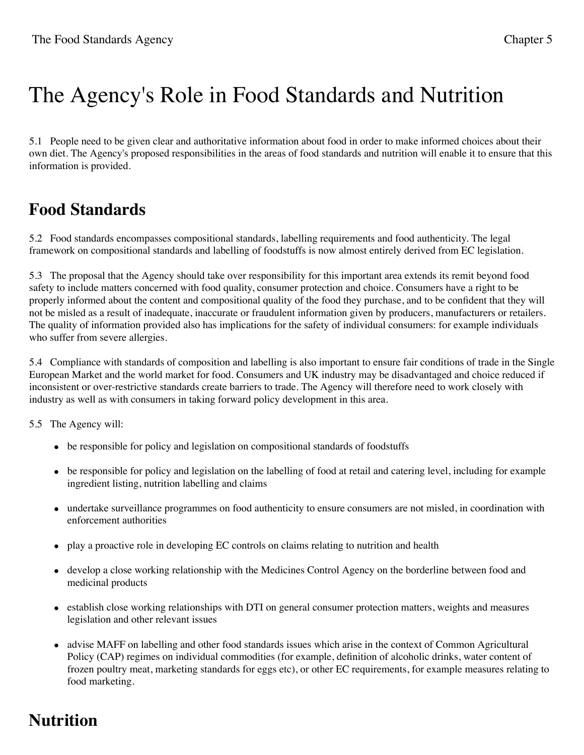5.1 People need to be given clear and authoritative information about food in order to make informed choices about their own diet. The Agency's proposed responsibilities in the areas of food standards and nutrition will enable it to ensure that this information is provided.

## **Food Standards**

5.2 Food standards encompasses compositional standards, labelling requirements and food authenticity. The legal framework on compositional standards and labelling of foodstuffs is now almost entirely derived from EC legislation.

5.3 The proposal that the Agency should take over responsibility for this important area extends its remit beyond food safety to include matters concerned with food quality, consumer protection and choice. Consumers have a right to be properly informed about the content and compositional quality of the food they purchase, and to be confident that they will not be misled as a result of inadequate, inaccurate or fraudulent information given by producers, manufacturers or retailers. The quality of information provided also has implications for the safety of individual consumers: for example individuals who suffer from severe allergies.

5.4 Compliance with standards of composition and labelling is also important to ensure fair conditions of trade in the Single European Market and the world market for food. Consumers and UK industry may be disadvantaged and choice reduced if inconsistent or over-restrictive standards create barriers to trade. The Agency will therefore need to work closely with industry as well as with consumers in taking forward policy development in this area.

5.5 The Agency will:

- be responsible for policy and legislation on compositional standards of foodstuffs
- be responsible for policy and legislation on the labelling of food at retail and catering level, including for example ingredient listing, nutrition labelling and claims
- undertake surveillance programmes on food authenticity to ensure consumers are not misled, in coordination with enforcement authorities
- play a proactive role in developing EC controls on claims relating to nutrition and health
- develop a close working relationship with the Medicines Control Agency on the borderline between food and medicinal products
- establish close working relationships with DTI on general consumer protection matters, weights and measures legislation and other relevant issues
- advise MAFF on labelling and other food standards issues which arise in the context of Common Agricultural Policy (CAP) regimes on individual commodities (for example, definition of alcoholic drinks, water content of frozen poultry meat, marketing standards for eggs etc), or other EC requirements, for example measures relating to food marketing.

## **Nutrition**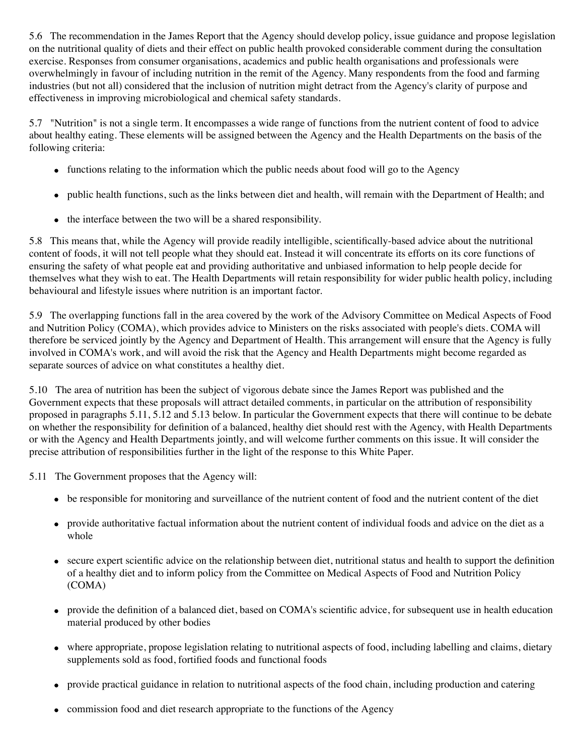5.6 The recommendation in the James Report that the Agency should develop policy, issue guidance and propose legislation on the nutritional quality of diets and their effect on public health provoked considerable comment during the consultation exercise. Responses from consumer organisations, academics and public health organisations and professionals were overwhelmingly in favour of including nutrition in the remit of the Agency. Many respondents from the food and farming industries (but not all) considered that the inclusion of nutrition might detract from the Agency's clarity of purpose and effectiveness in improving microbiological and chemical safety standards.

5.7 "Nutrition" is not a single term. It encompasses a wide range of functions from the nutrient content of food to advice about healthy eating. These elements will be assigned between the Agency and the Health Departments on the basis of the following criteria:

- functions relating to the information which the public needs about food will go to the Agency
- public health functions, such as the links between diet and health, will remain with the Department of Health; and
- the interface between the two will be a shared responsibility.  $\bullet$

5.8 This means that, while the Agency will provide readily intelligible, scientifically-based advice about the nutritional content of foods, it will not tell people what they should eat. Instead it will concentrate its efforts on its core functions of ensuring the safety of what people eat and providing authoritative and unbiased information to help people decide for themselves what they wish to eat. The Health Departments will retain responsibility for wider public health policy, including behavioural and lifestyle issues where nutrition is an important factor.

5.9 The overlapping functions fall in the area covered by the work of the Advisory Committee on Medical Aspects of Food and Nutrition Policy (COMA), which provides advice to Ministers on the risks associated with people's diets. COMA will therefore be serviced jointly by the Agency and Department of Health. This arrangement will ensure that the Agency is fully involved in COMA's work, and will avoid the risk that the Agency and Health Departments might become regarded as separate sources of advice on what constitutes a healthy diet.

5.10 The area of nutrition has been the subject of vigorous debate since the James Report was published and the Government expects that these proposals will attract detailed comments, in particular on the attribution of responsibility proposed in paragraphs 5.11, 5.12 and 5.13 below. In particular the Government expects that there will continue to be debate on whether the responsibility for definition of a balanced, healthy diet should rest with the Agency, with Health Departments or with the Agency and Health Departments jointly, and will welcome further comments on this issue. It will consider the precise attribution of responsibilities further in the light of the response to this White Paper.

5.11 The Government proposes that the Agency will:

- be responsible for monitoring and surveillance of the nutrient content of food and the nutrient content of the diet
- provide authoritative factual information about the nutrient content of individual foods and advice on the diet as a whole
- secure expert scientific advice on the relationship between diet, nutritional status and health to support the definition of a healthy diet and to inform policy from the Committee on Medical Aspects of Food and Nutrition Policy (COMA)
- provide the definition of a balanced diet, based on COMA's scientific advice, for subsequent use in health education material produced by other bodies
- where appropriate, propose legislation relating to nutritional aspects of food, including labelling and claims, dietary supplements sold as food, fortified foods and functional foods
- provide practical guidance in relation to nutritional aspects of the food chain, including production and catering
- commission food and diet research appropriate to the functions of the Agency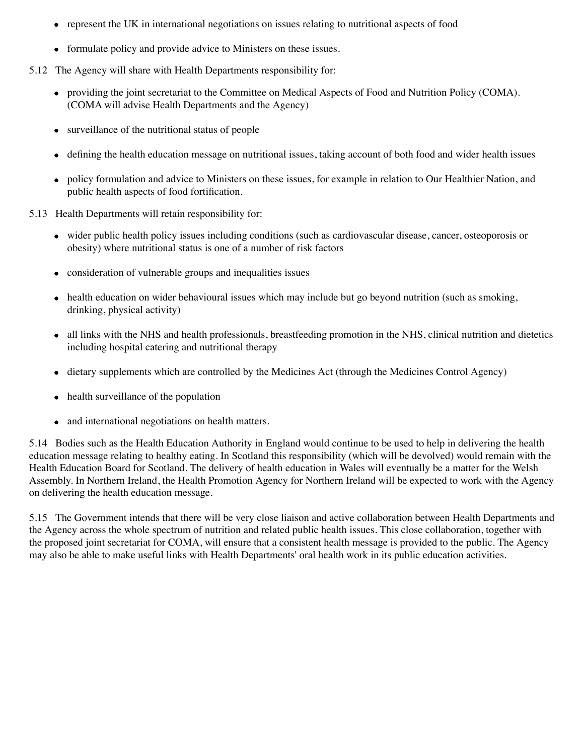- represent the UK in international negotiations on issues relating to nutritional aspects of food
- formulate policy and provide advice to Ministers on these issues.
- 5.12 The Agency will share with Health Departments responsibility for:
	- providing the joint secretariat to the Committee on Medical Aspects of Food and Nutrition Policy (COMA). (COMA will advise Health Departments and the Agency)
	- surveillance of the nutritional status of people
	- defining the health education message on nutritional issues, taking account of both food and wider health issues
	- policy formulation and advice to Ministers on these issues, for example in relation to Our Healthier Nation, and  $\bullet$ public health aspects of food fortification.
- 5.13 Health Departments will retain responsibility for:
	- wider public health policy issues including conditions (such as cardiovascular disease, cancer, osteoporosis or obesity) where nutritional status is one of a number of risk factors
	- consideration of vulnerable groups and inequalities issues
	- health education on wider behavioural issues which may include but go beyond nutrition (such as smoking, drinking, physical activity)
	- all links with the NHS and health professionals, breastfeeding promotion in the NHS, clinical nutrition and dietetics including hospital catering and nutritional therapy
	- dietary supplements which are controlled by the Medicines Act (through the Medicines Control Agency)
	- health surveillance of the population
	- and international negotiations on health matters.

5.14 Bodies such as the Health Education Authority in England would continue to be used to help in delivering the health education message relating to healthy eating. In Scotland this responsibility (which will be devolved) would remain with the Health Education Board for Scotland. The delivery of health education in Wales will eventually be a matter for the Welsh Assembly. In Northern Ireland, the Health Promotion Agency for Northern Ireland will be expected to work with the Agency on delivering the health education message.

5.15 The Government intends that there will be very close liaison and active collaboration between Health Departments and the Agency across the whole spectrum of nutrition and related public health issues. This close collaboration, together with the proposed joint secretariat for COMA, will ensure that a consistent health message is provided to the public. The Agency may also be able to make useful links with Health Departments' oral health work in its public education activities.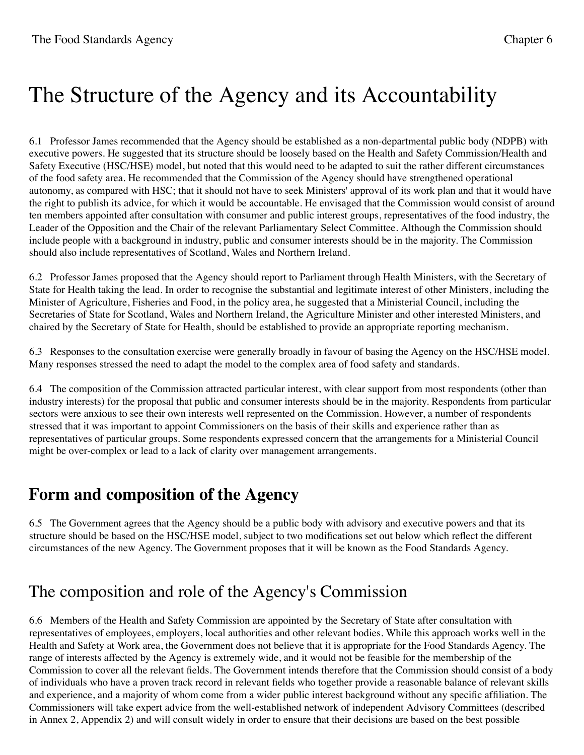# The Structure of the Agency and its Accountability

6.1 Professor James recommended that the Agency should be established as a non-departmental public body (NDPB) with executive powers. He suggested that its structure should be loosely based on the Health and Safety Commission/Health and Safety Executive (HSC/HSE) model, but noted that this would need to be adapted to suit the rather different circumstances of the food safety area. He recommended that the Commission of the Agency should have strengthened operational autonomy, as compared with HSC; that it should not have to seek Ministers' approval of its work plan and that it would have the right to publish its advice, for which it would be accountable. He envisaged that the Commission would consist of around ten members appointed after consultation with consumer and public interest groups, representatives of the food industry, the Leader of the Opposition and the Chair of the relevant Parliamentary Select Committee. Although the Commission should include people with a background in industry, public and consumer interests should be in the majority. The Commission should also include representatives of Scotland, Wales and Northern Ireland.

6.2 Professor James proposed that the Agency should report to Parliament through Health Ministers, with the Secretary of State for Health taking the lead. In order to recognise the substantial and legitimate interest of other Ministers, including the Minister of Agriculture, Fisheries and Food, in the policy area, he suggested that a Ministerial Council, including the Secretaries of State for Scotland, Wales and Northern Ireland, the Agriculture Minister and other interested Ministers, and chaired by the Secretary of State for Health, should be established to provide an appropriate reporting mechanism.

6.3 Responses to the consultation exercise were generally broadly in favour of basing the Agency on the HSC/HSE model. Many responses stressed the need to adapt the model to the complex area of food safety and standards.

6.4 The composition of the Commission attracted particular interest, with clear support from most respondents (other than industry interests) for the proposal that public and consumer interests should be in the majority. Respondents from particular sectors were anxious to see their own interests well represented on the Commission. However, a number of respondents stressed that it was important to appoint Commissioners on the basis of their skills and experience rather than as representatives of particular groups. Some respondents expressed concern that the arrangements for a Ministerial Council might be over-complex or lead to a lack of clarity over management arrangements.

#### **Form and composition of the Agency**

6.5 The Government agrees that the Agency should be a public body with advisory and executive powers and that its structure should be based on the HSC/HSE model, subject to two modifications set out below which reflect the different circumstances of the new Agency. The Government proposes that it will be known as the Food Standards Agency.

### The composition and role of the Agency's Commission

6.6 Members of the Health and Safety Commission are appointed by the Secretary of State after consultation with representatives of employees, employers, local authorities and other relevant bodies. While this approach works well in the Health and Safety at Work area, the Government does not believe that it is appropriate for the Food Standards Agency. The range of interests affected by the Agency is extremely wide, and it would not be feasible for the membership of the Commission to cover all the relevant fields. The Government intends therefore that the Commission should consist of a body of individuals who have a proven track record in relevant fields who together provide a reasonable balance of relevant skills and experience, and a majority of whom come from a wider public interest background without any specific affiliation. The Commissioners will take expert advice from the well-established network of independent Advisory Committees (described in Annex 2, Appendix 2) and will consult widely in order to ensure that their decisions are based on the best possible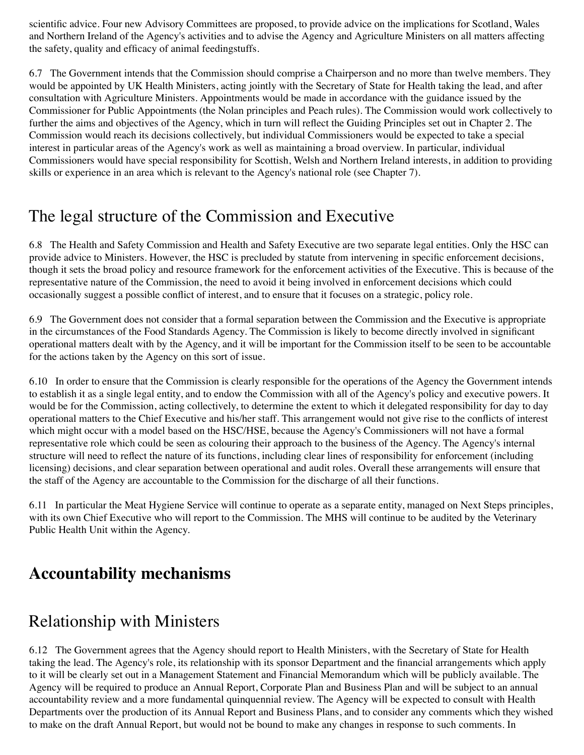scientific advice. Four new Advisory Committees are proposed, to provide advice on the implications for Scotland, Wales and Northern Ireland of the Agency's activities and to advise the Agency and Agriculture Ministers on all matters affecting the safety, quality and efficacy of animal feedingstuffs.

6.7 The Government intends that the Commission should comprise a Chairperson and no more than twelve members. They would be appointed by UK Health Ministers, acting jointly with the Secretary of State for Health taking the lead, and after consultation with Agriculture Ministers. Appointments would be made in accordance with the guidance issued by the Commissioner for Public Appointments (the Nolan principles and Peach rules). The Commission would work collectively to further the aims and objectives of the Agency, which in turn will reflect the Guiding Principles set out in Chapter 2. The Commission would reach its decisions collectively, but individual Commissioners would be expected to take a special interest in particular areas of the Agency's work as well as maintaining a broad overview. In particular, individual Commissioners would have special responsibility for Scottish, Welsh and Northern Ireland interests, in addition to providing skills or experience in an area which is relevant to the Agency's national role (see Chapter 7).

#### The legal structure of the Commission and Executive

6.8 The Health and Safety Commission and Health and Safety Executive are two separate legal entities. Only the HSC can provide advice to Ministers. However, the HSC is precluded by statute from intervening in specific enforcement decisions, though it sets the broad policy and resource framework for the enforcement activities of the Executive. This is because of the representative nature of the Commission, the need to avoid it being involved in enforcement decisions which could occasionally suggest a possible conflict of interest, and to ensure that it focuses on a strategic, policy role.

6.9 The Government does not consider that a formal separation between the Commission and the Executive is appropriate in the circumstances of the Food Standards Agency. The Commission is likely to become directly involved in significant operational matters dealt with by the Agency, and it will be important for the Commission itself to be seen to be accountable for the actions taken by the Agency on this sort of issue.

6.10 In order to ensure that the Commission is clearly responsible for the operations of the Agency the Government intends to establish it as a single legal entity, and to endow the Commission with all of the Agency's policy and executive powers. It would be for the Commission, acting collectively, to determine the extent to which it delegated responsibility for day to day operational matters to the Chief Executive and his/her staff. This arrangement would not give rise to the conflicts of interest which might occur with a model based on the HSC/HSE, because the Agency's Commissioners will not have a formal representative role which could be seen as colouring their approach to the business of the Agency. The Agency's internal structure will need to reflect the nature of its functions, including clear lines of responsibility for enforcement (including licensing) decisions, and clear separation between operational and audit roles. Overall these arrangements will ensure that the staff of the Agency are accountable to the Commission for the discharge of all their functions.

6.11 In particular the Meat Hygiene Service will continue to operate as a separate entity, managed on Next Steps principles, with its own Chief Executive who will report to the Commission. The MHS will continue to be audited by the Veterinary Public Health Unit within the Agency.

#### **Accountability mechanisms**

### Relationship with Ministers

6.12 The Government agrees that the Agency should report to Health Ministers, with the Secretary of State for Health taking the lead. The Agency's role, its relationship with its sponsor Department and the financial arrangements which apply to it will be clearly set out in a Management Statement and Financial Memorandum which will be publicly available. The Agency will be required to produce an Annual Report, Corporate Plan and Business Plan and will be subject to an annual accountability review and a more fundamental quinquennial review. The Agency will be expected to consult with Health Departments over the production of its Annual Report and Business Plans, and to consider any comments which they wished to make on the draft Annual Report, but would not be bound to make any changes in response to such comments. In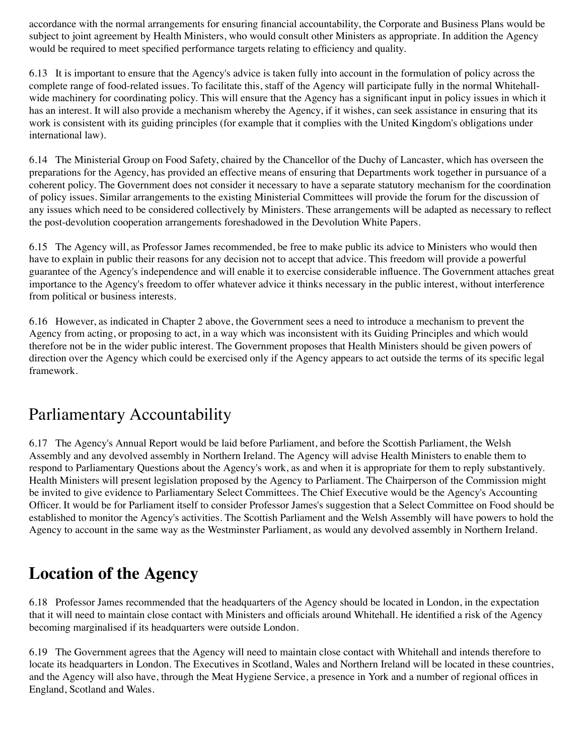accordance with the normal arrangements for ensuring financial accountability, the Corporate and Business Plans would be subject to joint agreement by Health Ministers, who would consult other Ministers as appropriate. In addition the Agency would be required to meet specified performance targets relating to efficiency and quality.

6.13 It is important to ensure that the Agency's advice is taken fully into account in the formulation of policy across the complete range of food-related issues. To facilitate this, staff of the Agency will participate fully in the normal Whitehallwide machinery for coordinating policy. This will ensure that the Agency has a significant input in policy issues in which it has an interest. It will also provide a mechanism whereby the Agency, if it wishes, can seek assistance in ensuring that its work is consistent with its guiding principles (for example that it complies with the United Kingdom's obligations under international law).

6.14 The Ministerial Group on Food Safety, chaired by the Chancellor of the Duchy of Lancaster, which has overseen the preparations for the Agency, has provided an effective means of ensuring that Departments work together in pursuance of a coherent policy. The Government does not consider it necessary to have a separate statutory mechanism for the coordination of policy issues. Similar arrangements to the existing Ministerial Committees will provide the forum for the discussion of any issues which need to be considered collectively by Ministers. These arrangements will be adapted as necessary to reflect the post-devolution cooperation arrangements foreshadowed in the Devolution White Papers.

6.15 The Agency will, as Professor James recommended, be free to make public its advice to Ministers who would then have to explain in public their reasons for any decision not to accept that advice. This freedom will provide a powerful guarantee of the Agency's independence and will enable it to exercise considerable influence. The Government attaches great importance to the Agency's freedom to offer whatever advice it thinks necessary in the public interest, without interference from political or business interests.

6.16 However, as indicated in Chapter 2 above, the Government sees a need to introduce a mechanism to prevent the Agency from acting, or proposing to act, in a way which was inconsistent with its Guiding Principles and which would therefore not be in the wider public interest. The Government proposes that Health Ministers should be given powers of direction over the Agency which could be exercised only if the Agency appears to act outside the terms of its specific legal framework.

#### Parliamentary Accountability

6.17 The Agency's Annual Report would be laid before Parliament, and before the Scottish Parliament, the Welsh Assembly and any devolved assembly in Northern Ireland. The Agency will advise Health Ministers to enable them to respond to Parliamentary Questions about the Agency's work, as and when it is appropriate for them to reply substantively. Health Ministers will present legislation proposed by the Agency to Parliament. The Chairperson of the Commission might be invited to give evidence to Parliamentary Select Committees. The Chief Executive would be the Agency's Accounting Officer. It would be for Parliament itself to consider Professor James's suggestion that a Select Committee on Food should be established to monitor the Agency's activities. The Scottish Parliament and the Welsh Assembly will have powers to hold the Agency to account in the same way as the Westminster Parliament, as would any devolved assembly in Northern Ireland.

### **Location of the Agency**

6.18 Professor James recommended that the headquarters of the Agency should be located in London, in the expectation that it will need to maintain close contact with Ministers and officials around Whitehall. He identified a risk of the Agency becoming marginalised if its headquarters were outside London.

6.19 The Government agrees that the Agency will need to maintain close contact with Whitehall and intends therefore to locate its headquarters in London. The Executives in Scotland, Wales and Northern Ireland will be located in these countries, and the Agency will also have, through the Meat Hygiene Service, a presence in York and a number of regional offices in England, Scotland and Wales.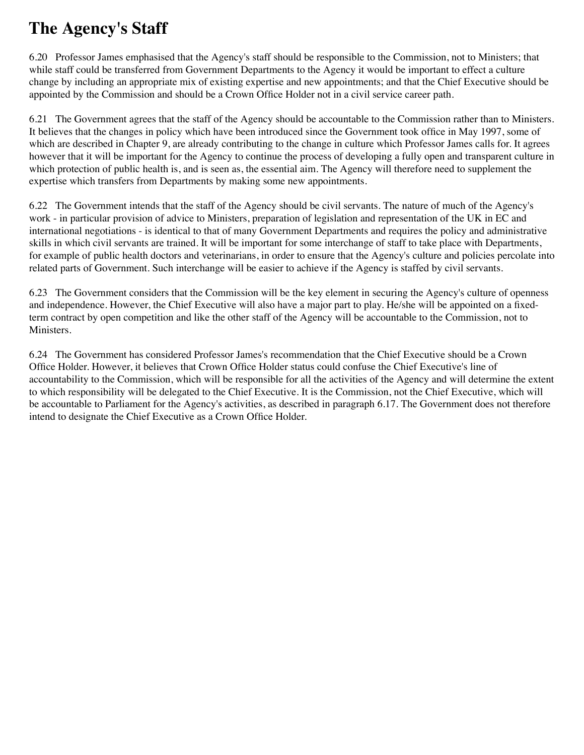# **The Agency's Staff**

6.20 Professor James emphasised that the Agency's staff should be responsible to the Commission, not to Ministers; that while staff could be transferred from Government Departments to the Agency it would be important to effect a culture change by including an appropriate mix of existing expertise and new appointments; and that the Chief Executive should be appointed by the Commission and should be a Crown Office Holder not in a civil service career path.

6.21 The Government agrees that the staff of the Agency should be accountable to the Commission rather than to Ministers. It believes that the changes in policy which have been introduced since the Government took office in May 1997, some of which are described in Chapter 9, are already contributing to the change in culture which Professor James calls for. It agrees however that it will be important for the Agency to continue the process of developing a fully open and transparent culture in which protection of public health is, and is seen as, the essential aim. The Agency will therefore need to supplement the expertise which transfers from Departments by making some new appointments.

6.22 The Government intends that the staff of the Agency should be civil servants. The nature of much of the Agency's work - in particular provision of advice to Ministers, preparation of legislation and representation of the UK in EC and international negotiations - is identical to that of many Government Departments and requires the policy and administrative skills in which civil servants are trained. It will be important for some interchange of staff to take place with Departments, for example of public health doctors and veterinarians, in order to ensure that the Agency's culture and policies percolate into related parts of Government. Such interchange will be easier to achieve if the Agency is staffed by civil servants.

6.23 The Government considers that the Commission will be the key element in securing the Agency's culture of openness and independence. However, the Chief Executive will also have a major part to play. He/she will be appointed on a fixedterm contract by open competition and like the other staff of the Agency will be accountable to the Commission, not to Ministers.

6.24 The Government has considered Professor James's recommendation that the Chief Executive should be a Crown Office Holder. However, it believes that Crown Office Holder status could confuse the Chief Executive's line of accountability to the Commission, which will be responsible for all the activities of the Agency and will determine the extent to which responsibility will be delegated to the Chief Executive. It is the Commission, not the Chief Executive, which will be accountable to Parliament for the Agency's activities, as described in paragraph 6.17. The Government does not therefore intend to designate the Chief Executive as a Crown Office Holder.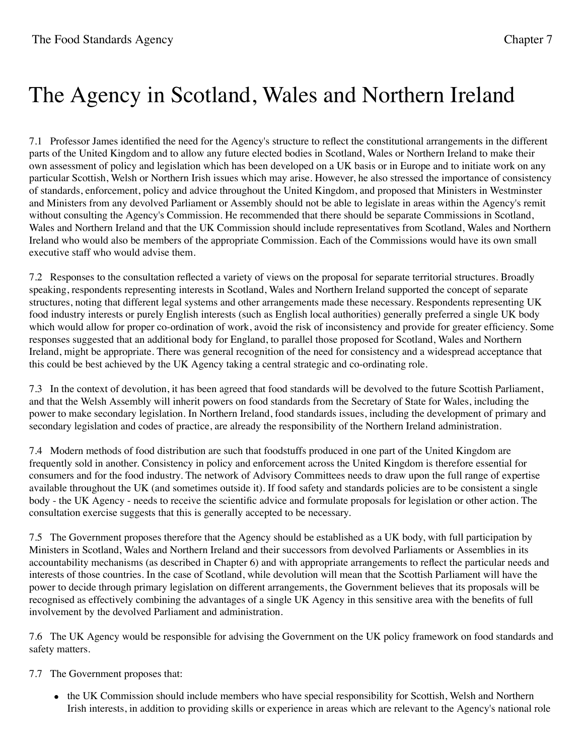# The Agency in Scotland, Wales and Northern Ireland

7.1 Professor James identified the need for the Agency's structure to reflect the constitutional arrangements in the different parts of the United Kingdom and to allow any future elected bodies in Scotland, Wales or Northern Ireland to make their own assessment of policy and legislation which has been developed on a UK basis or in Europe and to initiate work on any particular Scottish, Welsh or Northern Irish issues which may arise. However, he also stressed the importance of consistency of standards, enforcement, policy and advice throughout the United Kingdom, and proposed that Ministers in Westminster and Ministers from any devolved Parliament or Assembly should not be able to legislate in areas within the Agency's remit without consulting the Agency's Commission. He recommended that there should be separate Commissions in Scotland, Wales and Northern Ireland and that the UK Commission should include representatives from Scotland, Wales and Northern Ireland who would also be members of the appropriate Commission. Each of the Commissions would have its own small executive staff who would advise them.

7.2 Responses to the consultation reflected a variety of views on the proposal for separate territorial structures. Broadly speaking, respondents representing interests in Scotland, Wales and Northern Ireland supported the concept of separate structures, noting that different legal systems and other arrangements made these necessary. Respondents representing UK food industry interests or purely English interests (such as English local authorities) generally preferred a single UK body which would allow for proper co-ordination of work, avoid the risk of inconsistency and provide for greater efficiency. Some responses suggested that an additional body for England, to parallel those proposed for Scotland, Wales and Northern Ireland, might be appropriate. There was general recognition of the need for consistency and a widespread acceptance that this could be best achieved by the UK Agency taking a central strategic and co-ordinating role.

7.3 In the context of devolution, it has been agreed that food standards will be devolved to the future Scottish Parliament, and that the Welsh Assembly will inherit powers on food standards from the Secretary of State for Wales, including the power to make secondary legislation. In Northern Ireland, food standards issues, including the development of primary and secondary legislation and codes of practice, are already the responsibility of the Northern Ireland administration.

7.4 Modern methods of food distribution are such that foodstuffs produced in one part of the United Kingdom are frequently sold in another. Consistency in policy and enforcement across the United Kingdom is therefore essential for consumers and for the food industry. The network of Advisory Committees needs to draw upon the full range of expertise available throughout the UK (and sometimes outside it). If food safety and standards policies are to be consistent a single body - the UK Agency - needs to receive the scientific advice and formulate proposals for legislation or other action. The consultation exercise suggests that this is generally accepted to be necessary.

7.5 The Government proposes therefore that the Agency should be established as a UK body, with full participation by Ministers in Scotland, Wales and Northern Ireland and their successors from devolved Parliaments or Assemblies in its accountability mechanisms (as described in Chapter 6) and with appropriate arrangements to reflect the particular needs and interests of those countries. In the case of Scotland, while devolution will mean that the Scottish Parliament will have the power to decide through primary legislation on different arrangements, the Government believes that its proposals will be recognised as effectively combining the advantages of a single UK Agency in this sensitive area with the benefits of full involvement by the devolved Parliament and administration.

7.6 The UK Agency would be responsible for advising the Government on the UK policy framework on food standards and safety matters.

#### 7.7 The Government proposes that:

• the UK Commission should include members who have special responsibility for Scottish, Welsh and Northern Irish interests, in addition to providing skills or experience in areas which are relevant to the Agency's national role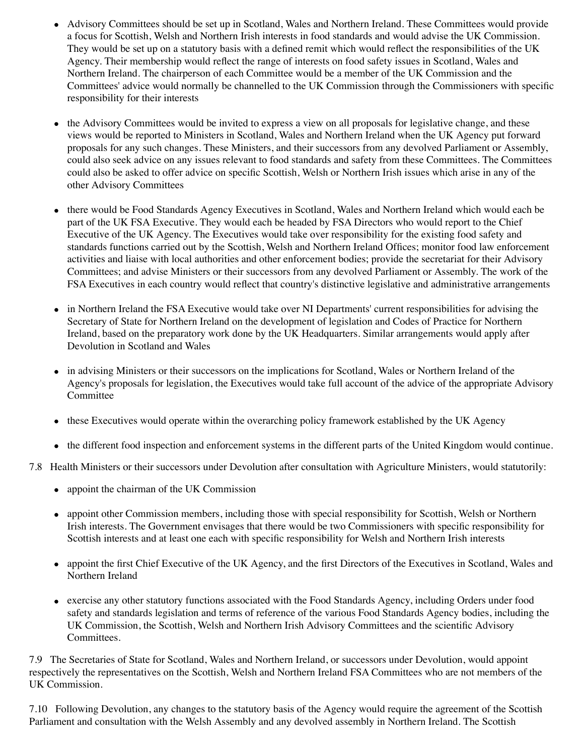- Advisory Committees should be set up in Scotland, Wales and Northern Ireland. These Committees would provide a focus for Scottish, Welsh and Northern Irish interests in food standards and would advise the UK Commission. They would be set up on a statutory basis with a defined remit which would reflect the responsibilities of the UK Agency. Their membership would reflect the range of interests on food safety issues in Scotland, Wales and Northern Ireland. The chairperson of each Committee would be a member of the UK Commission and the Committees' advice would normally be channelled to the UK Commission through the Commissioners with specific responsibility for their interests
- the Advisory Committees would be invited to express a view on all proposals for legislative change, and these views would be reported to Ministers in Scotland, Wales and Northern Ireland when the UK Agency put forward proposals for any such changes. These Ministers, and their successors from any devolved Parliament or Assembly, could also seek advice on any issues relevant to food standards and safety from these Committees. The Committees could also be asked to offer advice on specific Scottish, Welsh or Northern Irish issues which arise in any of the other Advisory Committees
- there would be Food Standards Agency Executives in Scotland, Wales and Northern Ireland which would each be part of the UK FSA Executive. They would each be headed by FSA Directors who would report to the Chief Executive of the UK Agency. The Executives would take over responsibility for the existing food safety and standards functions carried out by the Scottish, Welsh and Northern Ireland Offices; monitor food law enforcement activities and liaise with local authorities and other enforcement bodies; provide the secretariat for their Advisory Committees; and advise Ministers or their successors from any devolved Parliament or Assembly. The work of the FSA Executives in each country would reflect that country's distinctive legislative and administrative arrangements
- in Northern Ireland the FSA Executive would take over NI Departments' current responsibilities for advising the Secretary of State for Northern Ireland on the development of legislation and Codes of Practice for Northern Ireland, based on the preparatory work done by the UK Headquarters. Similar arrangements would apply after Devolution in Scotland and Wales
- in advising Ministers or their successors on the implications for Scotland, Wales or Northern Ireland of the Agency's proposals for legislation, the Executives would take full account of the advice of the appropriate Advisory **Committee**
- these Executives would operate within the overarching policy framework established by the UK Agency
- the different food inspection and enforcement systems in the different parts of the United Kingdom would continue.
- 7.8 Health Ministers or their successors under Devolution after consultation with Agriculture Ministers, would statutorily:
	- appoint the chairman of the UK Commission
	- appoint other Commission members, including those with special responsibility for Scottish, Welsh or Northern Irish interests. The Government envisages that there would be two Commissioners with specific responsibility for Scottish interests and at least one each with specific responsibility for Welsh and Northern Irish interests
	- appoint the first Chief Executive of the UK Agency, and the first Directors of the Executives in Scotland, Wales and Northern Ireland
	- exercise any other statutory functions associated with the Food Standards Agency, including Orders under food safety and standards legislation and terms of reference of the various Food Standards Agency bodies, including the UK Commission, the Scottish, Welsh and Northern Irish Advisory Committees and the scientific Advisory Committees.

7.9 The Secretaries of State for Scotland, Wales and Northern Ireland, or successors under Devolution, would appoint respectively the representatives on the Scottish, Welsh and Northern Ireland FSA Committees who are not members of the UK Commission.

7.10 Following Devolution, any changes to the statutory basis of the Agency would require the agreement of the Scottish Parliament and consultation with the Welsh Assembly and any devolved assembly in Northern Ireland. The Scottish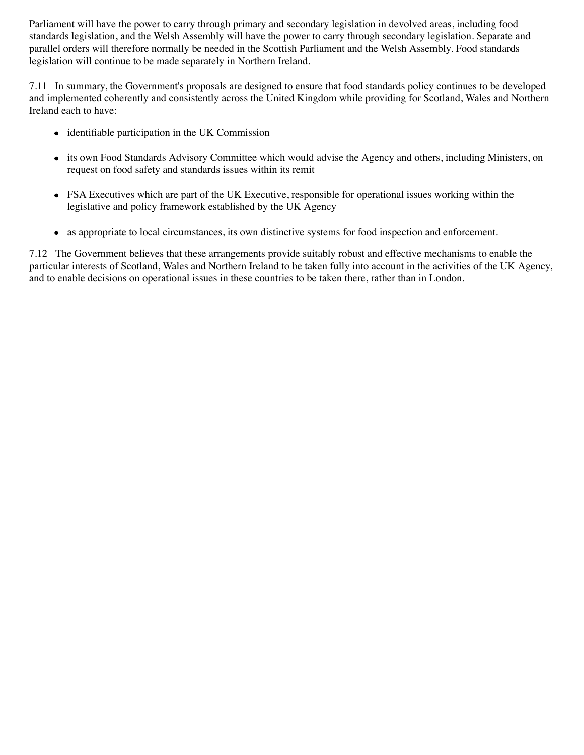Parliament will have the power to carry through primary and secondary legislation in devolved areas, including food standards legislation, and the Welsh Assembly will have the power to carry through secondary legislation. Separate and parallel orders will therefore normally be needed in the Scottish Parliament and the Welsh Assembly. Food standards legislation will continue to be made separately in Northern Ireland.

7.11 In summary, the Government's proposals are designed to ensure that food standards policy continues to be developed and implemented coherently and consistently across the United Kingdom while providing for Scotland, Wales and Northern Ireland each to have:

- identifiable participation in the UK Commission
- its own Food Standards Advisory Committee which would advise the Agency and others, including Ministers, on request on food safety and standards issues within its remit
- FSA Executives which are part of the UK Executive, responsible for operational issues working within the legislative and policy framework established by the UK Agency
- as appropriate to local circumstances, its own distinctive systems for food inspection and enforcement.

7.12 The Government believes that these arrangements provide suitably robust and effective mechanisms to enable the particular interests of Scotland, Wales and Northern Ireland to be taken fully into account in the activities of the UK Agency, and to enable decisions on operational issues in these countries to be taken there, rather than in London.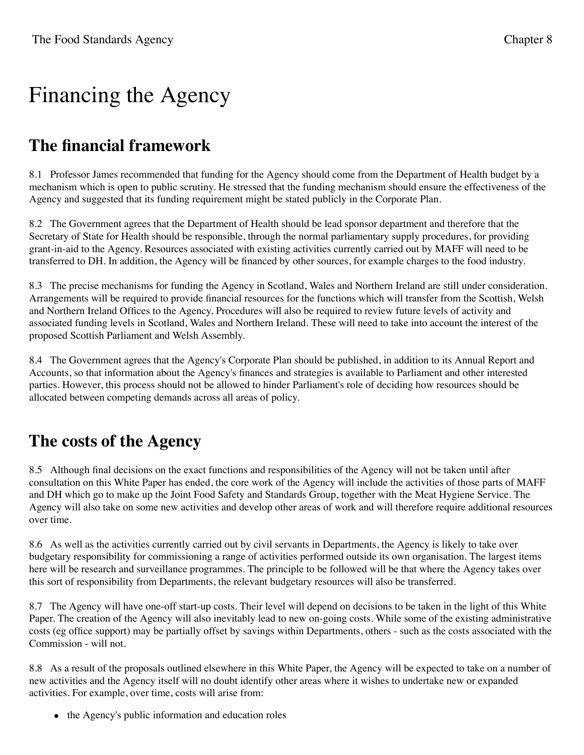# Financing the Agency

### **The financial framework**

8.1 Professor James recommended that funding for the Agency should come from the Department of Health budget by a mechanism which is open to public scrutiny. He stressed that the funding mechanism should ensure the effectiveness of the Agency and suggested that its funding requirement might be stated publicly in the Corporate Plan.

8.2 The Government agrees that the Department of Health should be lead sponsor department and therefore that the Secretary of State for Health should be responsible, through the normal parliamentary supply procedures, for providing grant-in-aid to the Agency. Resources associated with existing activities currently carried out by MAFF will need to be transferred to DH. In addition, the Agency will be financed by other sources, for example charges to the food industry.

8.3 The precise mechanisms for funding the Agency in Scotland, Wales and Northern Ireland are still under consideration. Arrangements will be required to provide financial resources for the functions which will transfer from the Scottish, Welsh and Northern Ireland Offices to the Agency. Procedures will also be required to review future levels of activity and associated funding levels in Scotland, Wales and Northern Ireland. These will need to take into account the interest of the proposed Scottish Parliament and Welsh Assembly.

8.4 The Government agrees that the Agency's Corporate Plan should be published, in addition to its Annual Report and Accounts, so that information about the Agency's finances and strategies is available to Parliament and other interested parties. However, this process should not be allowed to hinder Parliament's role of deciding how resources should be allocated between competing demands across all areas of policy.

### **The costs of the Agency**

8.5 Although final decisions on the exact functions and responsibilities of the Agency will not be taken until after consultation on this White Paper has ended, the core work of the Agency will include the activities of those parts of MAFF and DH which go to make up the Joint Food Safety and Standards Group, together with the Meat Hygiene Service. The Agency will also take on some new activities and develop other areas of work and will therefore require additional resources over time.

8.6 As well as the activities currently carried out by civil servants in Departments, the Agency is likely to take over budgetary responsibility for commissioning a range of activities performed outside its own organisation. The largest items here will be research and surveillance programmes. The principle to be followed will be that where the Agency takes over this sort of responsibility from Departments, the relevant budgetary resources will also be transferred.

8.7 The Agency will have one-off start-up costs. Their level will depend on decisions to be taken in the light of this White Paper. The creation of the Agency will also inevitably lead to new on-going costs. While some of the existing administrative costs (eg office support) may be partially offset by savings within Departments, others - such as the costs associated with the Commission - will not.

8.8 As a result of the proposals outlined elsewhere in this White Paper, the Agency will be expected to take on a number of new activities and the Agency itself will no doubt identify other areas where it wishes to undertake new or expanded activities. For example, over time, costs will arise from:

• the Agency's public information and education roles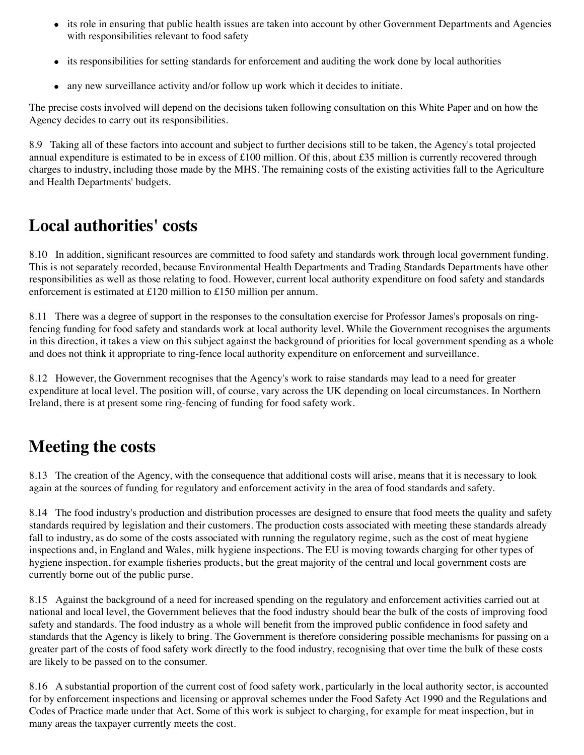- its role in ensuring that public health issues are taken into account by other Government Departments and Agencies with responsibilities relevant to food safety
- its responsibilities for setting standards for enforcement and auditing the work done by local authorities
- any new surveillance activity and/or follow up work which it decides to initiate.

The precise costs involved will depend on the decisions taken following consultation on this White Paper and on how the Agency decides to carry out its responsibilities.

8.9 Taking all of these factors into account and subject to further decisions still to be taken, the Agency's total projected annual expenditure is estimated to be in excess of  $\pounds 100$  million. Of this, about  $\pounds 35$  million is currently recovered through charges to industry, including those made by the MHS. The remaining costs of the existing activities fall to the Agriculture and Health Departments' budgets.

#### **Local authorities' costs**

8.10 In addition, significant resources are committed to food safety and standards work through local government funding. This is not separately recorded, because Environmental Health Departments and Trading Standards Departments have other responsibilities as well as those relating to food. However, current local authority expenditure on food safety and standards enforcement is estimated at £120 million to £150 million per annum.

8.11 There was a degree of support in the responses to the consultation exercise for Professor James's proposals on ringfencing funding for food safety and standards work at local authority level. While the Government recognises the arguments in this direction, it takes a view on this subject against the background of priorities for local government spending as a whole and does not think it appropriate to ring-fence local authority expenditure on enforcement and surveillance.

8.12 However, the Government recognises that the Agency's work to raise standards may lead to a need for greater expenditure at local level. The position will, of course, vary across the UK depending on local circumstances. In Northern Ireland, there is at present some ring-fencing of funding for food safety work.

#### **Meeting the costs**

8.13 The creation of the Agency, with the consequence that additional costs will arise, means that it is necessary to look again at the sources of funding for regulatory and enforcement activity in the area of food standards and safety.

8.14 The food industry's production and distribution processes are designed to ensure that food meets the quality and safety standards required by legislation and their customers. The production costs associated with meeting these standards already fall to industry, as do some of the costs associated with running the regulatory regime, such as the cost of meat hygiene inspections and, in England and Wales, milk hygiene inspections. The EU is moving towards charging for other types of hygiene inspection, for example fisheries products, but the great majority of the central and local government costs are currently borne out of the public purse.

8.15 Against the background of a need for increased spending on the regulatory and enforcement activities carried out at national and local level, the Government believes that the food industry should bear the bulk of the costs of improving food safety and standards. The food industry as a whole will benefit from the improved public confidence in food safety and standards that the Agency is likely to bring. The Government is therefore considering possible mechanisms for passing on a greater part of the costs of food safety work directly to the food industry, recognising that over time the bulk of these costs are likely to be passed on to the consumer.

8.16 A substantial proportion of the current cost of food safety work, particularly in the local authority sector, is accounted for by enforcement inspections and licensing or approval schemes under the Food Safety Act 1990 and the Regulations and Codes of Practice made under that Act. Some of this work is subject to charging, for example for meat inspection, but in many areas the taxpayer currently meets the cost.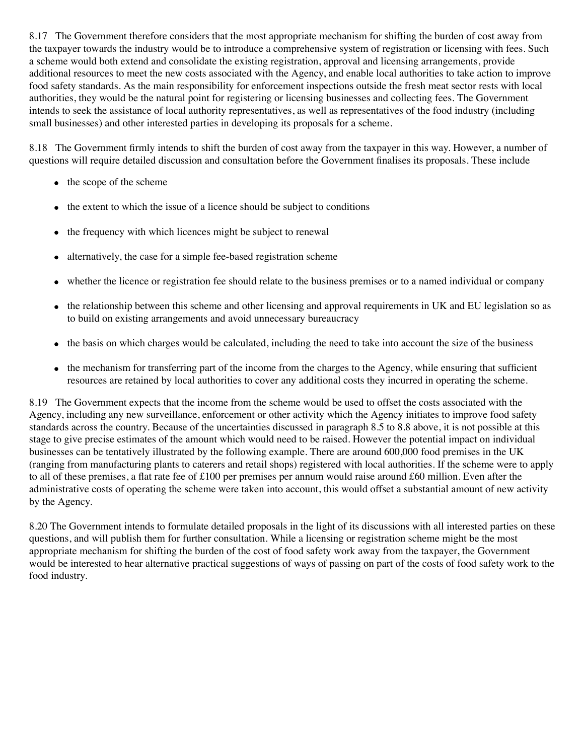8.17 The Government therefore considers that the most appropriate mechanism for shifting the burden of cost away from the taxpayer towards the industry would be to introduce a comprehensive system of registration or licensing with fees. Such a scheme would both extend and consolidate the existing registration, approval and licensing arrangements, provide additional resources to meet the new costs associated with the Agency, and enable local authorities to take action to improve food safety standards. As the main responsibility for enforcement inspections outside the fresh meat sector rests with local authorities, they would be the natural point for registering or licensing businesses and collecting fees. The Government intends to seek the assistance of local authority representatives, as well as representatives of the food industry (including small businesses) and other interested parties in developing its proposals for a scheme.

8.18 The Government firmly intends to shift the burden of cost away from the taxpayer in this way. However, a number of questions will require detailed discussion and consultation before the Government finalises its proposals. These include

- the scope of the scheme
- the extent to which the issue of a licence should be subject to conditions
- the frequency with which licences might be subject to renewal  $\bullet$
- alternatively, the case for a simple fee-based registration scheme
- whether the licence or registration fee should relate to the business premises or to a named individual or company
- the relationship between this scheme and other licensing and approval requirements in UK and EU legislation so as to build on existing arrangements and avoid unnecessary bureaucracy
- the basis on which charges would be calculated, including the need to take into account the size of the business
- $\bullet$  the mechanism for transferring part of the income from the charges to the Agency, while ensuring that sufficient resources are retained by local authorities to cover any additional costs they incurred in operating the scheme.

8.19 The Government expects that the income from the scheme would be used to offset the costs associated with the Agency, including any new surveillance, enforcement or other activity which the Agency initiates to improve food safety standards across the country. Because of the uncertainties discussed in paragraph 8.5 to 8.8 above, it is not possible at this stage to give precise estimates of the amount which would need to be raised. However the potential impact on individual businesses can be tentatively illustrated by the following example. There are around 600,000 food premises in the UK (ranging from manufacturing plants to caterers and retail shops) registered with local authorities. If the scheme were to apply to all of these premises, a flat rate fee of £100 per premises per annum would raise around £60 million. Even after the administrative costs of operating the scheme were taken into account, this would offset a substantial amount of new activity by the Agency.

8.20 The Government intends to formulate detailed proposals in the light of its discussions with all interested parties on these questions, and will publish them for further consultation. While a licensing or registration scheme might be the most appropriate mechanism for shifting the burden of the cost of food safety work away from the taxpayer, the Government would be interested to hear alternative practical suggestions of ways of passing on part of the costs of food safety work to the food industry.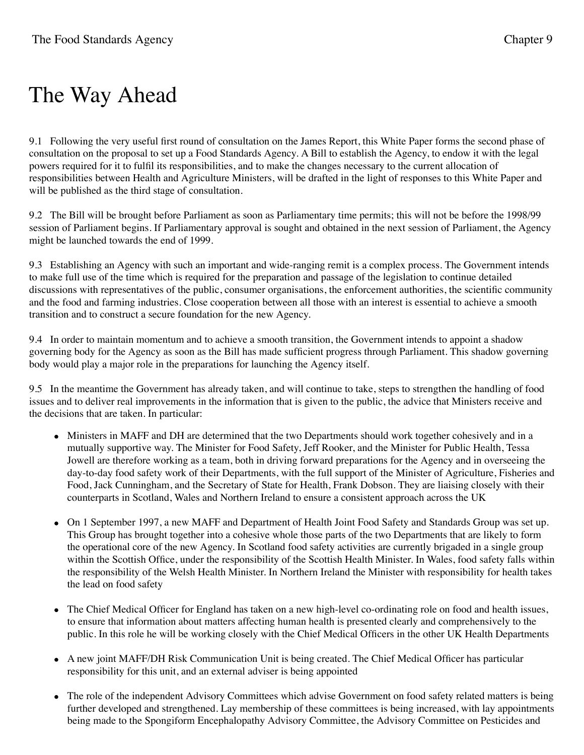# The Way Ahead

9.1 Following the very useful first round of consultation on the James Report, this White Paper forms the second phase of consultation on the proposal to set up a Food Standards Agency. A Bill to establish the Agency, to endow it with the legal powers required for it to fulfil its responsibilities, and to make the changes necessary to the current allocation of responsibilities between Health and Agriculture Ministers, will be drafted in the light of responses to this White Paper and will be published as the third stage of consultation.

9.2 The Bill will be brought before Parliament as soon as Parliamentary time permits; this will not be before the 1998/99 session of Parliament begins. If Parliamentary approval is sought and obtained in the next session of Parliament, the Agency might be launched towards the end of 1999.

9.3 Establishing an Agency with such an important and wide-ranging remit is a complex process. The Government intends to make full use of the time which is required for the preparation and passage of the legislation to continue detailed discussions with representatives of the public, consumer organisations, the enforcement authorities, the scientific community and the food and farming industries. Close cooperation between all those with an interest is essential to achieve a smooth transition and to construct a secure foundation for the new Agency.

9.4 In order to maintain momentum and to achieve a smooth transition, the Government intends to appoint a shadow governing body for the Agency as soon as the Bill has made sufficient progress through Parliament. This shadow governing body would play a major role in the preparations for launching the Agency itself.

9.5 In the meantime the Government has already taken, and will continue to take, steps to strengthen the handling of food issues and to deliver real improvements in the information that is given to the public, the advice that Ministers receive and the decisions that are taken. In particular:

- Ministers in MAFF and DH are determined that the two Departments should work together cohesively and in a mutually supportive way. The Minister for Food Safety, Jeff Rooker, and the Minister for Public Health, Tessa Jowell are therefore working as a team, both in driving forward preparations for the Agency and in overseeing the day-to-day food safety work of their Departments, with the full support of the Minister of Agriculture, Fisheries and Food, Jack Cunningham, and the Secretary of State for Health, Frank Dobson. They are liaising closely with their counterparts in Scotland, Wales and Northern Ireland to ensure a consistent approach across the UK
- On 1 September 1997, a new MAFF and Department of Health Joint Food Safety and Standards Group was set up. This Group has brought together into a cohesive whole those parts of the two Departments that are likely to form the operational core of the new Agency. In Scotland food safety activities are currently brigaded in a single group within the Scottish Office, under the responsibility of the Scottish Health Minister. In Wales, food safety falls within the responsibility of the Welsh Health Minister. In Northern Ireland the Minister with responsibility for health takes the lead on food safety
- The Chief Medical Officer for England has taken on a new high-level co-ordinating role on food and health issues, to ensure that information about matters affecting human health is presented clearly and comprehensively to the public. In this role he will be working closely with the Chief Medical Officers in the other UK Health Departments
- A new joint MAFF/DH Risk Communication Unit is being created. The Chief Medical Officer has particular responsibility for this unit, and an external adviser is being appointed
- The role of the independent Advisory Committees which advise Government on food safety related matters is being further developed and strengthened. Lay membership of these committees is being increased, with lay appointments being made to the Spongiform Encephalopathy Advisory Committee, the Advisory Committee on Pesticides and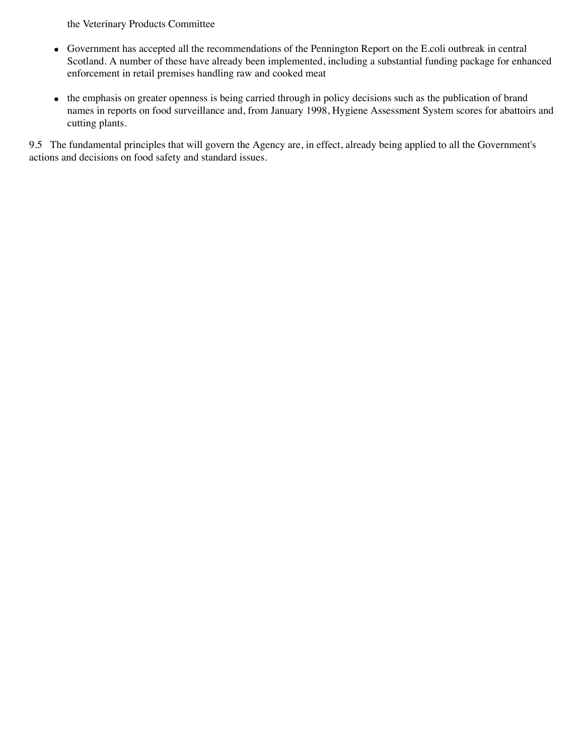the Veterinary Products Committee

- Government has accepted all the recommendations of the Pennington Report on the E.coli outbreak in central Scotland. A number of these have already been implemented, including a substantial funding package for enhanced enforcement in retail premises handling raw and cooked meat
- the emphasis on greater openness is being carried through in policy decisions such as the publication of brand  $\bullet$ names in reports on food surveillance and, from January 1998, Hygiene Assessment System scores for abattoirs and cutting plants.

9.5 The fundamental principles that will govern the Agency are, in effect, already being applied to all the Government's actions and decisions on food safety and standard issues.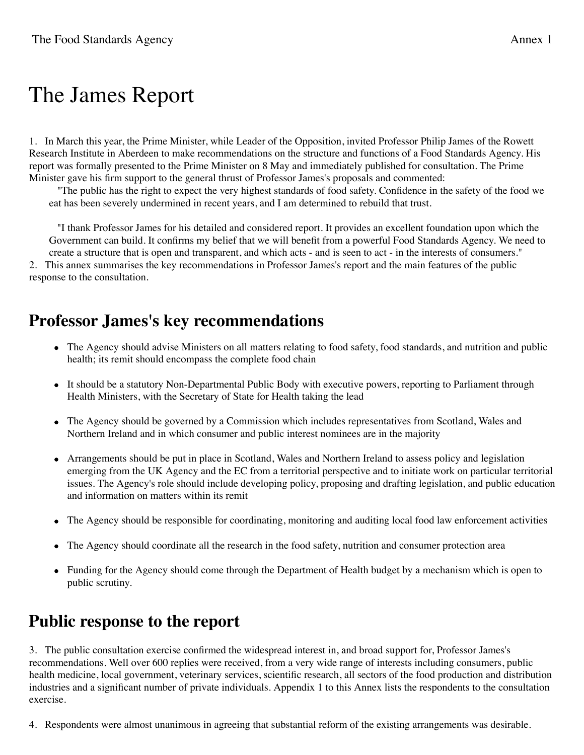# The James Report

1. In March this year, the Prime Minister, while Leader of the Opposition, invited Professor Philip James of the Rowett Research Institute in Aberdeen to make recommendations on the structure and functions of a Food Standards Agency. His report was formally presented to the Prime Minister on 8 May and immediately published for consultation. The Prime Minister gave his firm support to the general thrust of Professor James's proposals and commented:

 "The public has the right to expect the very highest standards of food safety. Confidence in the safety of the food we eat has been severely undermined in recent years, and I am determined to rebuild that trust.

 "I thank Professor James for his detailed and considered report. It provides an excellent foundation upon which the Government can build. It confirms my belief that we will benefit from a powerful Food Standards Agency. We need to create a structure that is open and transparent, and which acts - and is seen to act - in the interests of consumers."

2. This annex summarises the key recommendations in Professor James's report and the main features of the public response to the consultation.

#### **Professor James's key recommendations**

- The Agency should advise Ministers on all matters relating to food safety, food standards, and nutrition and public health; its remit should encompass the complete food chain
- It should be a statutory Non-Departmental Public Body with executive powers, reporting to Parliament through Health Ministers, with the Secretary of State for Health taking the lead
- The Agency should be governed by a Commission which includes representatives from Scotland, Wales and Northern Ireland and in which consumer and public interest nominees are in the majority
- Arrangements should be put in place in Scotland, Wales and Northern Ireland to assess policy and legislation emerging from the UK Agency and the EC from a territorial perspective and to initiate work on particular territorial issues. The Agency's role should include developing policy, proposing and drafting legislation, and public education and information on matters within its remit
- The Agency should be responsible for coordinating, monitoring and auditing local food law enforcement activities
- The Agency should coordinate all the research in the food safety, nutrition and consumer protection area
- Funding for the Agency should come through the Department of Health budget by a mechanism which is open to public scrutiny.

#### **Public response to the report**

3. The public consultation exercise confirmed the widespread interest in, and broad support for, Professor James's recommendations. Well over 600 replies were received, from a very wide range of interests including consumers, public health medicine, local government, veterinary services, scientific research, all sectors of the food production and distribution industries and a significant number of private individuals. Appendix 1 to this Annex lists the respondents to the consultation exercise.

4. Respondents were almost unanimous in agreeing that substantial reform of the existing arrangements was desirable.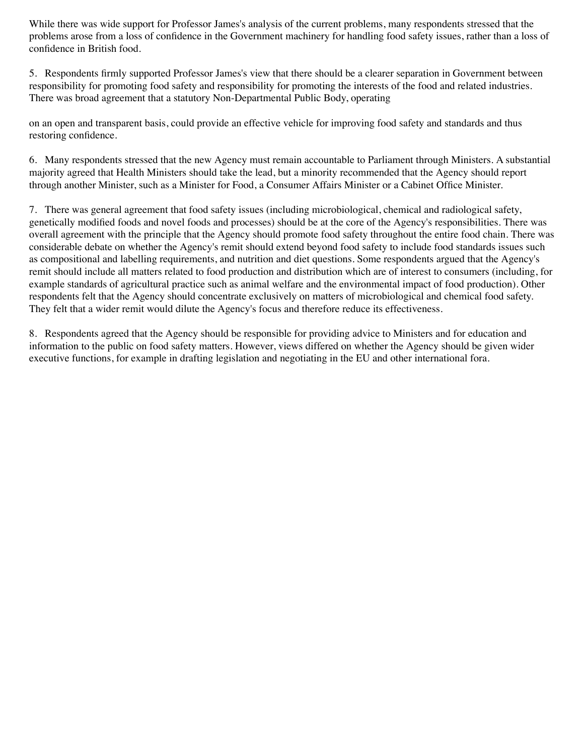While there was wide support for Professor James's analysis of the current problems, many respondents stressed that the problems arose from a loss of confidence in the Government machinery for handling food safety issues, rather than a loss of confidence in British food.

5. Respondents firmly supported Professor James's view that there should be a clearer separation in Government between responsibility for promoting food safety and responsibility for promoting the interests of the food and related industries. There was broad agreement that a statutory Non-Departmental Public Body, operating

on an open and transparent basis, could provide an effective vehicle for improving food safety and standards and thus restoring confidence.

6. Many respondents stressed that the new Agency must remain accountable to Parliament through Ministers. A substantial majority agreed that Health Ministers should take the lead, but a minority recommended that the Agency should report through another Minister, such as a Minister for Food, a Consumer Affairs Minister or a Cabinet Office Minister.

7. There was general agreement that food safety issues (including microbiological, chemical and radiological safety, genetically modified foods and novel foods and processes) should be at the core of the Agency's responsibilities. There was overall agreement with the principle that the Agency should promote food safety throughout the entire food chain. There was considerable debate on whether the Agency's remit should extend beyond food safety to include food standards issues such as compositional and labelling requirements, and nutrition and diet questions. Some respondents argued that the Agency's remit should include all matters related to food production and distribution which are of interest to consumers (including, for example standards of agricultural practice such as animal welfare and the environmental impact of food production). Other respondents felt that the Agency should concentrate exclusively on matters of microbiological and chemical food safety. They felt that a wider remit would dilute the Agency's focus and therefore reduce its effectiveness.

8. Respondents agreed that the Agency should be responsible for providing advice to Ministers and for education and information to the public on food safety matters. However, views differed on whether the Agency should be given wider executive functions, for example in drafting legislation and negotiating in the EU and other international fora.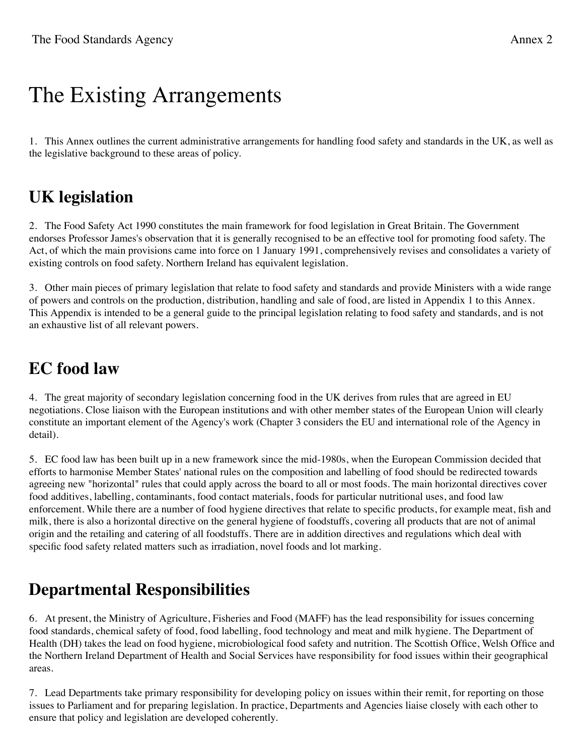# The Existing Arrangements

1. This Annex outlines the current administrative arrangements for handling food safety and standards in the UK, as well as the legislative background to these areas of policy.

## **UK legislation**

2. The Food Safety Act 1990 constitutes the main framework for food legislation in Great Britain. The Government endorses Professor James's observation that it is generally recognised to be an effective tool for promoting food safety. The Act, of which the main provisions came into force on 1 January 1991, comprehensively revises and consolidates a variety of existing controls on food safety. Northern Ireland has equivalent legislation.

3. Other main pieces of primary legislation that relate to food safety and standards and provide Ministers with a wide range of powers and controls on the production, distribution, handling and sale of food, are listed in Appendix 1 to this Annex. This Appendix is intended to be a general guide to the principal legislation relating to food safety and standards, and is not an exhaustive list of all relevant powers.

#### **EC food law**

4. The great majority of secondary legislation concerning food in the UK derives from rules that are agreed in EU negotiations. Close liaison with the European institutions and with other member states of the European Union will clearly constitute an important element of the Agency's work (Chapter 3 considers the EU and international role of the Agency in detail).

5. EC food law has been built up in a new framework since the mid-1980s, when the European Commission decided that efforts to harmonise Member States' national rules on the composition and labelling of food should be redirected towards agreeing new "horizontal" rules that could apply across the board to all or most foods. The main horizontal directives cover food additives, labelling, contaminants, food contact materials, foods for particular nutritional uses, and food law enforcement. While there are a number of food hygiene directives that relate to specific products, for example meat, fish and milk, there is also a horizontal directive on the general hygiene of foodstuffs, covering all products that are not of animal origin and the retailing and catering of all foodstuffs. There are in addition directives and regulations which deal with specific food safety related matters such as irradiation, novel foods and lot marking.

# **Departmental Responsibilities**

6. At present, the Ministry of Agriculture, Fisheries and Food (MAFF) has the lead responsibility for issues concerning food standards, chemical safety of food, food labelling, food technology and meat and milk hygiene. The Department of Health (DH) takes the lead on food hygiene, microbiological food safety and nutrition. The Scottish Office, Welsh Office and the Northern Ireland Department of Health and Social Services have responsibility for food issues within their geographical areas.

7. Lead Departments take primary responsibility for developing policy on issues within their remit, for reporting on those issues to Parliament and for preparing legislation. In practice, Departments and Agencies liaise closely with each other to ensure that policy and legislation are developed coherently.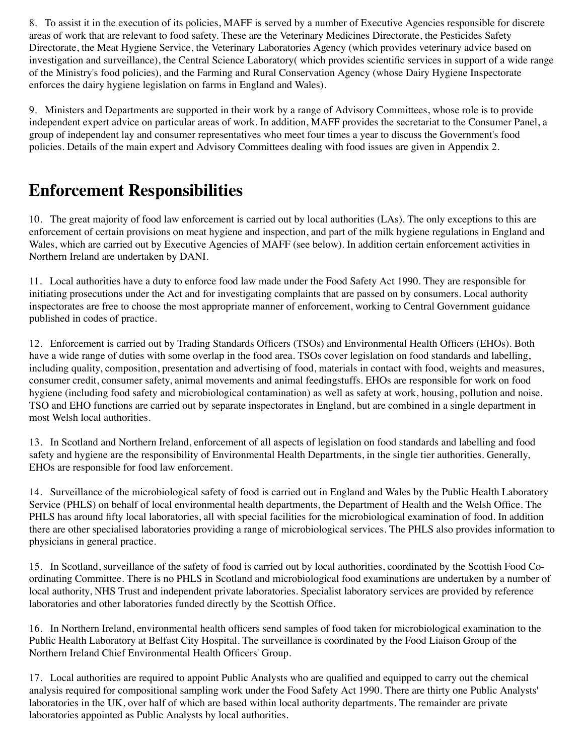8. To assist it in the execution of its policies, MAFF is served by a number of Executive Agencies responsible for discrete areas of work that are relevant to food safety. These are the Veterinary Medicines Directorate, the Pesticides Safety Directorate, the Meat Hygiene Service, the Veterinary Laboratories Agency (which provides veterinary advice based on investigation and surveillance), the Central Science Laboratory( which provides scientific services in support of a wide range of the Ministry's food policies), and the Farming and Rural Conservation Agency (whose Dairy Hygiene Inspectorate enforces the dairy hygiene legislation on farms in England and Wales).

9. Ministers and Departments are supported in their work by a range of Advisory Committees, whose role is to provide independent expert advice on particular areas of work. In addition, MAFF provides the secretariat to the Consumer Panel, a group of independent lay and consumer representatives who meet four times a year to discuss the Government's food policies. Details of the main expert and Advisory Committees dealing with food issues are given in Appendix 2.

### **Enforcement Responsibilities**

10. The great majority of food law enforcement is carried out by local authorities (LAs). The only exceptions to this are enforcement of certain provisions on meat hygiene and inspection, and part of the milk hygiene regulations in England and Wales, which are carried out by Executive Agencies of MAFF (see below). In addition certain enforcement activities in Northern Ireland are undertaken by DANI.

11. Local authorities have a duty to enforce food law made under the Food Safety Act 1990. They are responsible for initiating prosecutions under the Act and for investigating complaints that are passed on by consumers. Local authority inspectorates are free to choose the most appropriate manner of enforcement, working to Central Government guidance published in codes of practice.

12. Enforcement is carried out by Trading Standards Officers (TSOs) and Environmental Health Officers (EHOs). Both have a wide range of duties with some overlap in the food area. TSOs cover legislation on food standards and labelling, including quality, composition, presentation and advertising of food, materials in contact with food, weights and measures, consumer credit, consumer safety, animal movements and animal feedingstuffs. EHOs are responsible for work on food hygiene (including food safety and microbiological contamination) as well as safety at work, housing, pollution and noise. TSO and EHO functions are carried out by separate inspectorates in England, but are combined in a single department in most Welsh local authorities.

13. In Scotland and Northern Ireland, enforcement of all aspects of legislation on food standards and labelling and food safety and hygiene are the responsibility of Environmental Health Departments, in the single tier authorities. Generally, EHOs are responsible for food law enforcement.

14. Surveillance of the microbiological safety of food is carried out in England and Wales by the Public Health Laboratory Service (PHLS) on behalf of local environmental health departments, the Department of Health and the Welsh Office. The PHLS has around fifty local laboratories, all with special facilities for the microbiological examination of food. In addition there are other specialised laboratories providing a range of microbiological services. The PHLS also provides information to physicians in general practice.

15. In Scotland, surveillance of the safety of food is carried out by local authorities, coordinated by the Scottish Food Coordinating Committee. There is no PHLS in Scotland and microbiological food examinations are undertaken by a number of local authority, NHS Trust and independent private laboratories. Specialist laboratory services are provided by reference laboratories and other laboratories funded directly by the Scottish Office.

16. In Northern Ireland, environmental health officers send samples of food taken for microbiological examination to the Public Health Laboratory at Belfast City Hospital. The surveillance is coordinated by the Food Liaison Group of the Northern Ireland Chief Environmental Health Officers' Group.

17. Local authorities are required to appoint Public Analysts who are qualified and equipped to carry out the chemical analysis required for compositional sampling work under the Food Safety Act 1990. There are thirty one Public Analysts' laboratories in the UK, over half of which are based within local authority departments. The remainder are private laboratories appointed as Public Analysts by local authorities.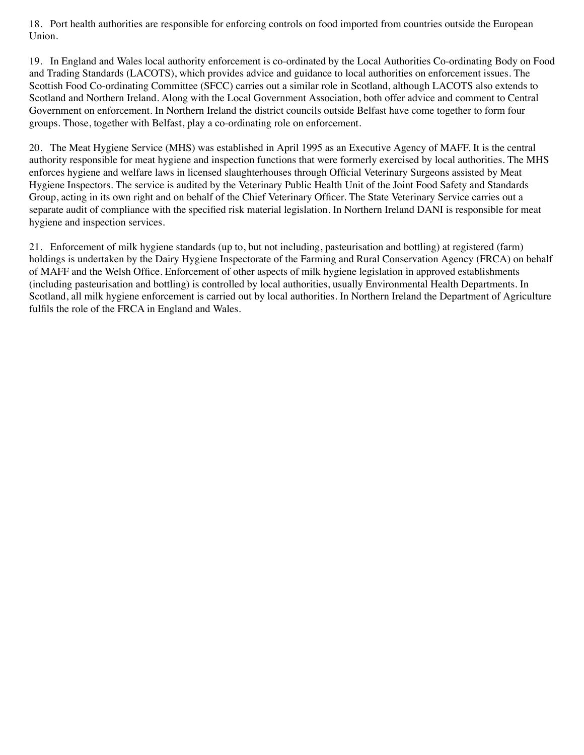18. Port health authorities are responsible for enforcing controls on food imported from countries outside the European Union.

19. In England and Wales local authority enforcement is co-ordinated by the Local Authorities Co-ordinating Body on Food and Trading Standards (LACOTS), which provides advice and guidance to local authorities on enforcement issues. The Scottish Food Co-ordinating Committee (SFCC) carries out a similar role in Scotland, although LACOTS also extends to Scotland and Northern Ireland. Along with the Local Government Association, both offer advice and comment to Central Government on enforcement. In Northern Ireland the district councils outside Belfast have come together to form four groups. Those, together with Belfast, play a co-ordinating role on enforcement.

20. The Meat Hygiene Service (MHS) was established in April 1995 as an Executive Agency of MAFF. It is the central authority responsible for meat hygiene and inspection functions that were formerly exercised by local authorities. The MHS enforces hygiene and welfare laws in licensed slaughterhouses through Official Veterinary Surgeons assisted by Meat Hygiene Inspectors. The service is audited by the Veterinary Public Health Unit of the Joint Food Safety and Standards Group, acting in its own right and on behalf of the Chief Veterinary Officer. The State Veterinary Service carries out a separate audit of compliance with the specified risk material legislation. In Northern Ireland DANI is responsible for meat hygiene and inspection services.

21. Enforcement of milk hygiene standards (up to, but not including, pasteurisation and bottling) at registered (farm) holdings is undertaken by the Dairy Hygiene Inspectorate of the Farming and Rural Conservation Agency (FRCA) on behalf of MAFF and the Welsh Office. Enforcement of other aspects of milk hygiene legislation in approved establishments (including pasteurisation and bottling) is controlled by local authorities, usually Environmental Health Departments. In Scotland, all milk hygiene enforcement is carried out by local authorities. In Northern Ireland the Department of Agriculture fulfils the role of the FRCA in England and Wales.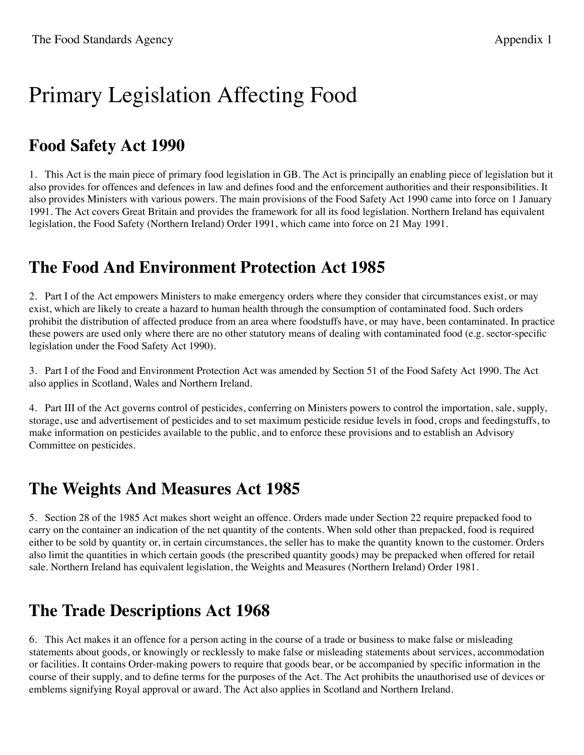# Primary Legislation Affecting Food

### **Food Safety Act 1990**

1. This Act is the main piece of primary food legislation in GB. The Act is principally an enabling piece of legislation but it also provides for offences and defences in law and defines food and the enforcement authorities and their responsibilities. It also provides Ministers with various powers. The main provisions of the Food Safety Act 1990 came into force on 1 January 1991. The Act covers Great Britain and provides the framework for all its food legislation. Northern Ireland has equivalent legislation, the Food Safety (Northern Ireland) Order 1991, which came into force on 21 May 1991.

## **The Food And Environment Protection Act 1985**

2. Part I of the Act empowers Ministers to make emergency orders where they consider that circumstances exist, or may exist, which are likely to create a hazard to human health through the consumption of contaminated food. Such orders prohibit the distribution of affected produce from an area where foodstuffs have, or may have, been contaminated. In practice these powers are used only where there are no other statutory means of dealing with contaminated food (e.g. sector-specific legislation under the Food Safety Act 1990).

3. Part I of the Food and Environment Protection Act was amended by Section 51 of the Food Safety Act 1990. The Act also applies in Scotland, Wales and Northern Ireland.

4. Part III of the Act governs control of pesticides, conferring on Ministers powers to control the importation, sale, supply, storage, use and advertisement of pesticides and to set maximum pesticide residue levels in food, crops and feedingstuffs, to make information on pesticides available to the public, and to enforce these provisions and to establish an Advisory Committee on pesticides.

#### **The Weights And Measures Act 1985**

5. Section 28 of the 1985 Act makes short weight an offence. Orders made under Section 22 require prepacked food to carry on the container an indication of the net quantity of the contents. When sold other than prepacked, food is required either to be sold by quantity or, in certain circumstances, the seller has to make the quantity known to the customer. Orders also limit the quantities in which certain goods (the prescribed quantity goods) may be prepacked when offered for retail sale. Northern Ireland has equivalent legislation, the Weights and Measures (Northern Ireland) Order 1981.

# **The Trade Descriptions Act 1968**

6. This Act makes it an offence for a person acting in the course of a trade or business to make false or misleading statements about goods, or knowingly or recklessly to make false or misleading statements about services, accommodation or facilities. It contains Order-making powers to require that goods bear, or be accompanied by specific information in the course of their supply, and to define terms for the purposes of the Act. The Act prohibits the unauthorised use of devices or emblems signifying Royal approval or award. The Act also applies in Scotland and Northern Ireland.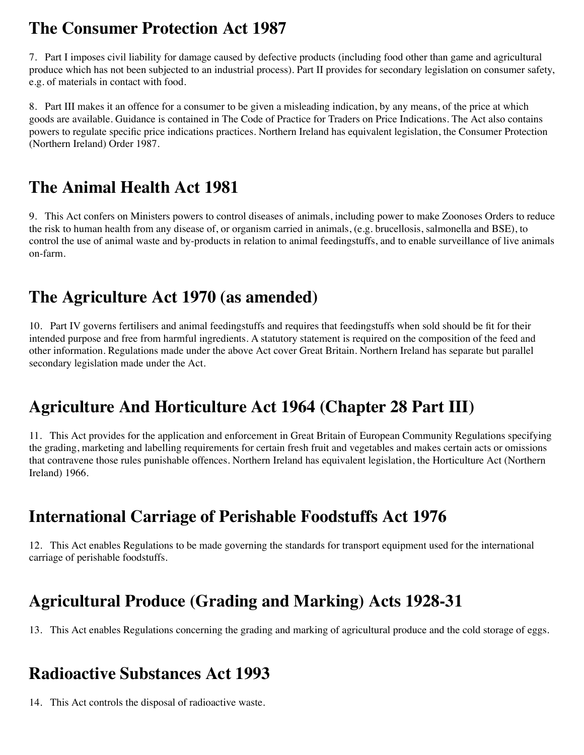### **The Consumer Protection Act 1987**

7. Part I imposes civil liability for damage caused by defective products (including food other than game and agricultural produce which has not been subjected to an industrial process). Part II provides for secondary legislation on consumer safety, e.g. of materials in contact with food.

8. Part III makes it an offence for a consumer to be given a misleading indication, by any means, of the price at which goods are available. Guidance is contained in The Code of Practice for Traders on Price Indications. The Act also contains powers to regulate specific price indications practices. Northern Ireland has equivalent legislation, the Consumer Protection (Northern Ireland) Order 1987.

#### **The Animal Health Act 1981**

9. This Act confers on Ministers powers to control diseases of animals, including power to make Zoonoses Orders to reduce the risk to human health from any disease of, or organism carried in animals, (e.g. brucellosis, salmonella and BSE), to control the use of animal waste and by-products in relation to animal feedingstuffs, and to enable surveillance of live animals on-farm.

#### **The Agriculture Act 1970 (as amended)**

10. Part IV governs fertilisers and animal feedingstuffs and requires that feedingstuffs when sold should be fit for their intended purpose and free from harmful ingredients. A statutory statement is required on the composition of the feed and other information. Regulations made under the above Act cover Great Britain. Northern Ireland has separate but parallel secondary legislation made under the Act.

### **Agriculture And Horticulture Act 1964 (Chapter 28 Part III)**

11. This Act provides for the application and enforcement in Great Britain of European Community Regulations specifying the grading, marketing and labelling requirements for certain fresh fruit and vegetables and makes certain acts or omissions that contravene those rules punishable offences. Northern Ireland has equivalent legislation, the Horticulture Act (Northern Ireland) 1966.

### **International Carriage of Perishable Foodstuffs Act 1976**

12. This Act enables Regulations to be made governing the standards for transport equipment used for the international carriage of perishable foodstuffs.

### **Agricultural Produce (Grading and Marking) Acts 1928-31**

13. This Act enables Regulations concerning the grading and marking of agricultural produce and the cold storage of eggs.

#### **Radioactive Substances Act 1993**

14. This Act controls the disposal of radioactive waste.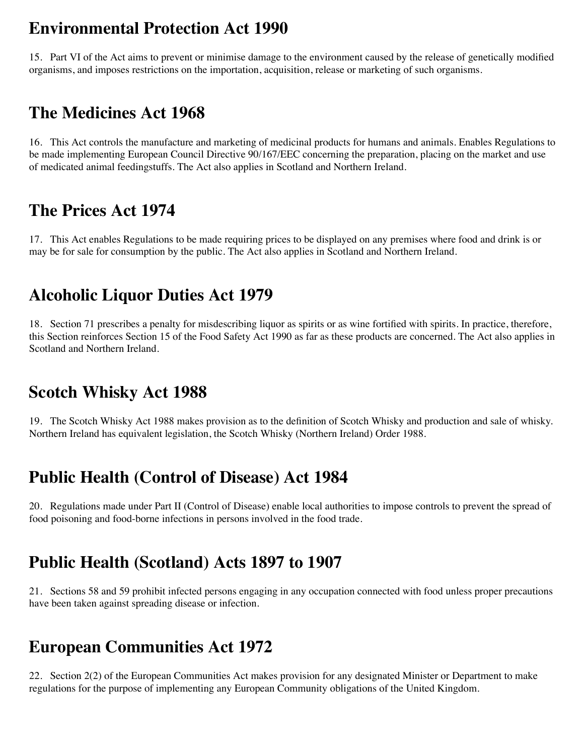#### **Environmental Protection Act 1990**

15. Part VI of the Act aims to prevent or minimise damage to the environment caused by the release of genetically modified organisms, and imposes restrictions on the importation, acquisition, release or marketing of such organisms.

### **The Medicines Act 1968**

16. This Act controls the manufacture and marketing of medicinal products for humans and animals. Enables Regulations to be made implementing European Council Directive 90/167/EEC concerning the preparation, placing on the market and use of medicated animal feedingstuffs. The Act also applies in Scotland and Northern Ireland.

#### **The Prices Act 1974**

17. This Act enables Regulations to be made requiring prices to be displayed on any premises where food and drink is or may be for sale for consumption by the public. The Act also applies in Scotland and Northern Ireland.

#### **Alcoholic Liquor Duties Act 1979**

18. Section 71 prescribes a penalty for misdescribing liquor as spirits or as wine fortified with spirits. In practice, therefore, this Section reinforces Section 15 of the Food Safety Act 1990 as far as these products are concerned. The Act also applies in Scotland and Northern Ireland.

#### **Scotch Whisky Act 1988**

19. The Scotch Whisky Act 1988 makes provision as to the definition of Scotch Whisky and production and sale of whisky. Northern Ireland has equivalent legislation, the Scotch Whisky (Northern Ireland) Order 1988.

### **Public Health (Control of Disease) Act 1984**

20. Regulations made under Part II (Control of Disease) enable local authorities to impose controls to prevent the spread of food poisoning and food-borne infections in persons involved in the food trade.

### **Public Health (Scotland) Acts 1897 to 1907**

21. Sections 58 and 59 prohibit infected persons engaging in any occupation connected with food unless proper precautions have been taken against spreading disease or infection.

# **European Communities Act 1972**

22. Section 2(2) of the European Communities Act makes provision for any designated Minister or Department to make regulations for the purpose of implementing any European Community obligations of the United Kingdom.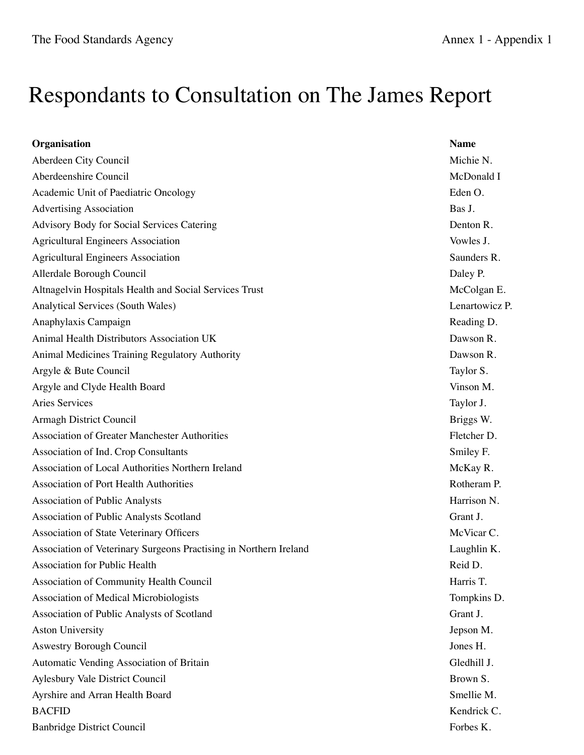# Respondants to Consultation on The James Report

| Organisation                                                      | <b>Name</b>    |
|-------------------------------------------------------------------|----------------|
| Aberdeen City Council                                             | Michie N.      |
| Aberdeenshire Council                                             | McDonald I     |
| Academic Unit of Paediatric Oncology                              | Eden O.        |
| <b>Advertising Association</b>                                    | Bas J.         |
| Advisory Body for Social Services Catering                        | Denton R.      |
| <b>Agricultural Engineers Association</b>                         | Vowles J.      |
| <b>Agricultural Engineers Association</b>                         | Saunders R.    |
| Allerdale Borough Council                                         | Daley P.       |
| Altnagelvin Hospitals Health and Social Services Trust            | McColgan E.    |
| Analytical Services (South Wales)                                 | Lenartowicz P. |
| Anaphylaxis Campaign                                              | Reading D.     |
| Animal Health Distributors Association UK                         | Dawson R.      |
| Animal Medicines Training Regulatory Authority                    | Dawson R.      |
| Argyle & Bute Council                                             | Taylor S.      |
| Argyle and Clyde Health Board                                     | Vinson M.      |
| Aries Services                                                    | Taylor J.      |
| Armagh District Council                                           | Briggs W.      |
| <b>Association of Greater Manchester Authorities</b>              | Fletcher D.    |
| Association of Ind. Crop Consultants                              | Smiley F.      |
| Association of Local Authorities Northern Ireland                 | McKay R.       |
| <b>Association of Port Health Authorities</b>                     | Rotheram P.    |
| <b>Association of Public Analysts</b>                             | Harrison N.    |
| Association of Public Analysts Scotland                           | Grant J.       |
| Association of State Veterinary Officers                          | McVicar C.     |
| Association of Veterinary Surgeons Practising in Northern Ireland | Laughlin K.    |
| Association for Public Health                                     | Reid D.        |
| Association of Community Health Council                           | Harris T.      |
| Association of Medical Microbiologists                            | Tompkins D.    |
| Association of Public Analysts of Scotland                        | Grant J.       |
| <b>Aston University</b>                                           | Jepson M.      |
| <b>Aswestry Borough Council</b>                                   | Jones H.       |
| Automatic Vending Association of Britain                          | Gledhill J.    |
| Aylesbury Vale District Council                                   | Brown S.       |
| Ayrshire and Arran Health Board                                   | Smellie M.     |
| <b>BACFID</b>                                                     | Kendrick C.    |
| <b>Banbridge District Council</b>                                 | Forbes K.      |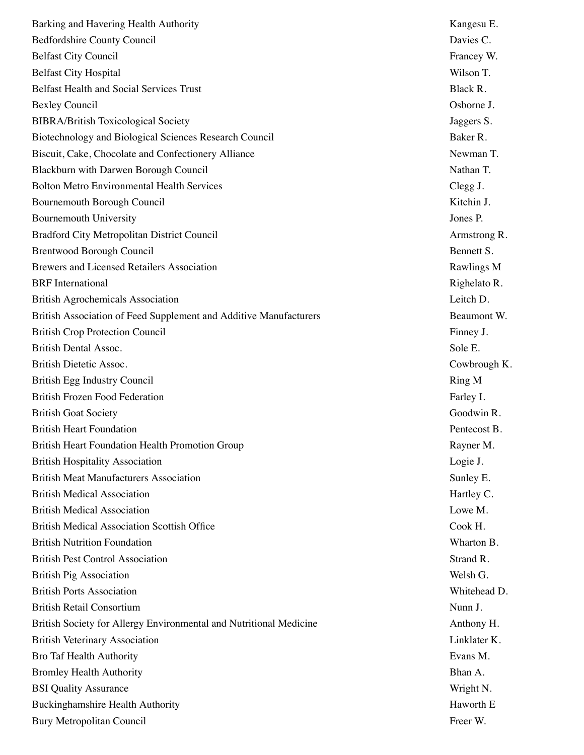Barking and Havering Health Authority **Kangesu E.** All the Second States of the Second States of the Kangesu E. Bedfordshire County Council **Davies C.** Davies C. Belfast City Council **Francey W.** Francey W. Belfast City Hospital Wilson T. Belfast Health and Social Services Trust Black R. Bexley Council Council and the U.S. of the U.S. of the U.S. of the U.S. of the U.S. of the U.S. of the U.S. of the U.S. of the U.S. of the U.S. of the U.S. of the U.S. of the U.S. of the U.S. of the U.S. of the U.S. of the BIBRA/British Toxicological Society Jaggers S. Biotechnology and Biological Sciences Research Council **Baker R.** Baker R. Biscuit, Cake, Chocolate and Confectionery Alliance Newman T. Blackburn with Darwen Borough Council Nathan T. Nathan T. Bolton Metro Environmental Health Services Clegg J. Bournemouth Borough Council **Kitchin J.** Kitchin J. Bournemouth University **Solution** Jones P. Bradford City Metropolitan District Council and Armstrong R. Armstrong R. Brentwood Borough Council and Security Bennett S. Brewers and Licensed Retailers Association Rawlings M BRF International Righelato R. British Agrochemicals Association Leitch D. British Association of Feed Supplement and Additive Manufacturers **Beaumont W.** British Crop Protection Council **Finney J.** Service School Finney J. Finney J. British Dental Assoc. Sole E. British Dietetic Assoc. Cowbrough K. British Egg Industry Council and the state of the state of the Ring M Ring M British Frozen Food Federation **Factual** Farley I. British Goat Society Goodwin R. British Heart Foundation **Pentecost B.** Pentecost B. British Heart Foundation Health Promotion Group **Rayner M.** Rayner M. British Hospitality Association Logie J. British Meat Manufacturers Association Sunley E. Sunley E. British Medical Association **Hartley C. Hartley C. Hartley C. Hartley C. Hartley C. Hartley C. Hartley C. Hartley C. Hartley C. Hartley C. Hartley C. Hartley C. Hartley C. Hartley C. Hartley C.** British Medical Association Lowe M. British Medical Association Scottish Office Cook H. British Nutrition Foundation  $\blacksquare$ British Pest Control Association Strand R. British Pig Association Welsh G. British Ports Association **Exercise 2.1** Whitehead D. British Retail Consortium and the constant of the constant of the constant of the constant of the constant of the constant of the constant of the constant of the constant of the constant of the constant of the constant of British Society for Allergy Environmental and Nutritional Medicine Anthony H. British Veterinary Association **Linklater K.** Bro Taf Health Authority Evans M. Bromley Health Authority **Bhan A.** BSI Quality Assurance Wright N. Buckinghamshire Health Authority **Haworth Exercise 2018** Haworth E Bury Metropolitan Council **Free** W.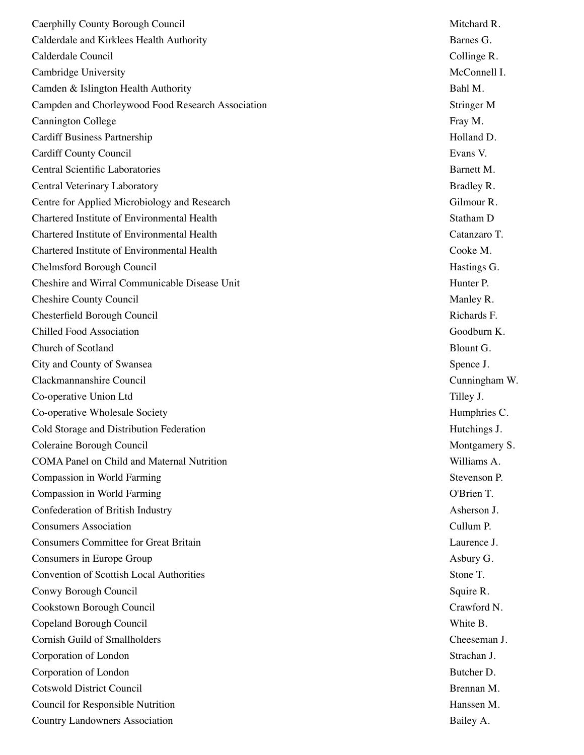Caerphilly County Borough Council Mitchard R. Calderdale and Kirklees Health Authority Barnes G. Calderdale Council Collinge R. Cambridge University McConnell I. Camden & Islington Health Authority Bahl M. Campden and Chorleywood Food Research Association Stringer M Cannington College Fray M. Cardiff Business Partnership **Holland D.** And The Holland D. And The Holland D. And The Holland D. Cardiff County Council **Evans V.** Evans V. Central Scientific Laboratories Barnett M. Central Veterinary Laboratory Bradley R. Centre for Applied Microbiology and Research Gilmour R. Gilmour R. Chartered Institute of Environmental Health Statham D Chartered Institute of Environmental Health Catanzaro T. Chartered Institute of Environmental Health Cooke M. Chelmsford Borough Council Hastings G. Cheshire and Wirral Communicable Disease Unit Hunter P. (1996) 2014 11: 12: 13: 14: Hunter P. Cheshire County Council and Council Manley R. Chesterfield Borough Council and the council Richards F. Chilled Food Association Goodburn K. Church of Scotland Blount G. City and County of Swansea Spence J. Clackmannanshire Council Cunningham W. Co-operative Union Ltd Tilley J. Co-operative Wholesale Society **Humphries C.** All the Society **Humphries C.** All the Society **Humphries C.** All the Society **Humphries C.** All the Society **Humphries C.** All the Society **Humphries C.** All the Society **Hump** Cold Storage and Distribution Federation **Hutchings J.** Hutchings J. Coleraine Borough Council **Montgamery S.** Montgamery S. COMA Panel on Child and Maternal Nutrition COMA Panel on Child and Maternal Nutrition Compassion in World Farming Stevenson P. Compassion in World Farming O'Brien T. Confederation of British Industry Asherson J. Consumers Association Cullum P. Consumers Committee for Great Britain Laurence J. Laurence J. Consumers in Europe Group **Asbury G.** Asbury G. Convention of Scottish Local Authorities Stone T. Conwy Borough Council Squire R. Cookstown Borough Council Crawford N. Copeland Borough Council White B. Cornish Guild of Smallholders Cheeseman J. Corporation of London Strachan J. Corporation of London Butcher D. Cotswold District Council and Council Brennan M. Council for Responsible Nutrition **Hanssen M.** Annual Media and Hanssen M. Annual Media and Hanssen M. Country Landowners Association **Bailey A.** Sailey A.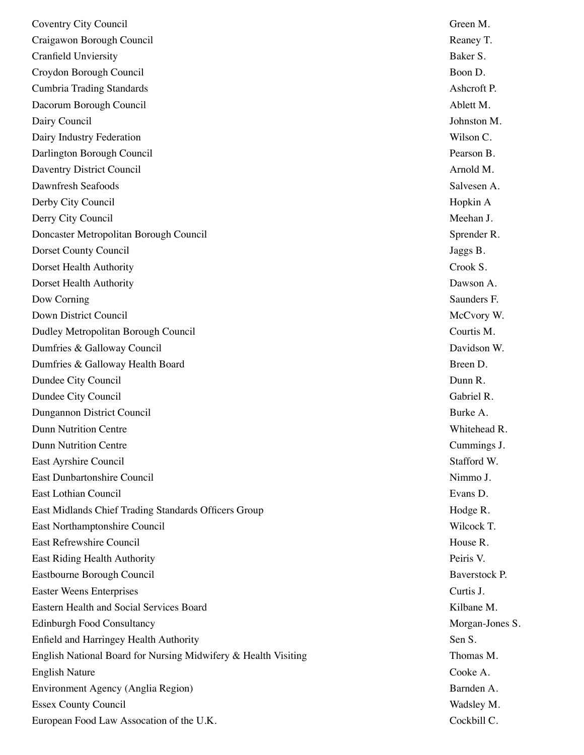Coventry City Council Green M. Craigawon Borough Council Reaney T. Cranfield Unviersity Baker S. Croydon Borough Council Boon D. Cumbria Trading Standards Ashcroft P. Dacorum Borough Council and the Council Ablett M. Dairy Council **Dairy Council** Johnston M. Dairy Industry Federation Wilson C. Darlington Borough Council Pearson B. Daventry District Council and M. Arnold M. Dawnfresh Seafoods Salvesen A. Derby City Council Hopkin A Derry City Council Meehan J. Doncaster Metropolitan Borough Council Sprender R. Sprender R. Sprender R. Dorset County Council and the United States of the United States of the United States of the United States of the United States of the United States of the United States of the United States of the United States of the Uni Dorset Health Authority Crook S. Dorset Health Authority Dawson A. Dow Corning Saunders F. Down District Council McCvory W. Dudley Metropolitan Borough Council Courtis M. Dumfries & Galloway Council Davidson W. Dumfries & Galloway Health Board Breen D. Dundee City Council **Dunn R.** Dundee City Council Gabriel R. Dungannon District Council Burke A. Dunn Nutrition Centre Whitehead R. Dunn Nutrition Centre Cummings J. East Ayrshire Council Stafford W. East Dunbartonshire Council and the council number of the council number of  $\mu$  Nimmo J. Example 2011 Evans D. Evans D. Evans D. Evans D. Evans D. Evans D. Evans D. Evans D. Evans D. Evans D. Evans D. East Midlands Chief Trading Standards Officers Group Hodge R. Hodge R. East Northamptonshire Council Wilcock T. East Refrewshire Council and the council House R. East Riding Health Authority **Peiris V.** Peiris V. Eastbourne Borough Council and the contract of the Baverstock P. Easter Weens Enterprises Curtis J. Eastern Health and Social Services Board Kilbane M. (Kilbane M. Kilbane M. Kilbane M. Kilbane M. Kilbane M. Kilbane M. Kilbane M. Kilbane M. Kilbane M. Kilbane M. Kilbane M. Kilbane M. Kilbane M. Kilbane M. Kilbane M. Kilb Edinburgh Food Consultancy and the set of the set of the set of the Morgan-Jones S. Enfield and Harringey Health Authority Sen S. English National Board for Nursing Midwifery & Health Visiting Thomas M. English Nature Cooke A. Environment Agency (Anglia Region) Barnden A. Essex County Council Wadsley M. European Food Law Assocation of the U.K. Cockbill C.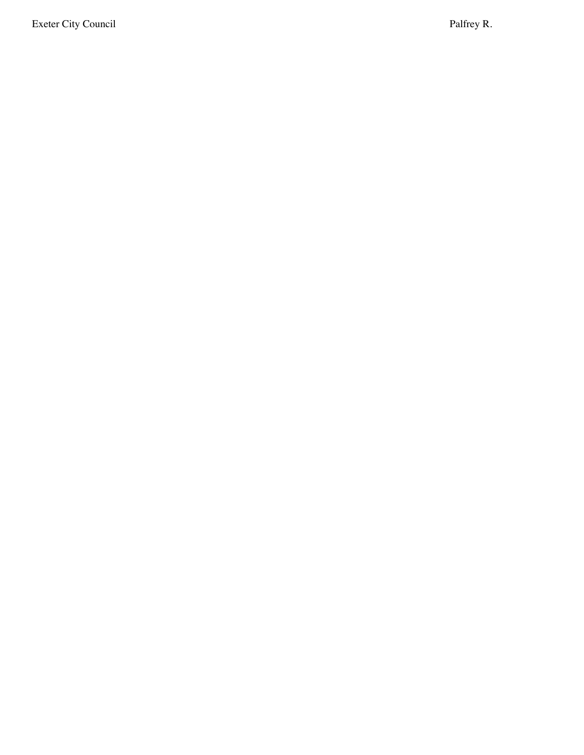Exeter City Council Palfrey R.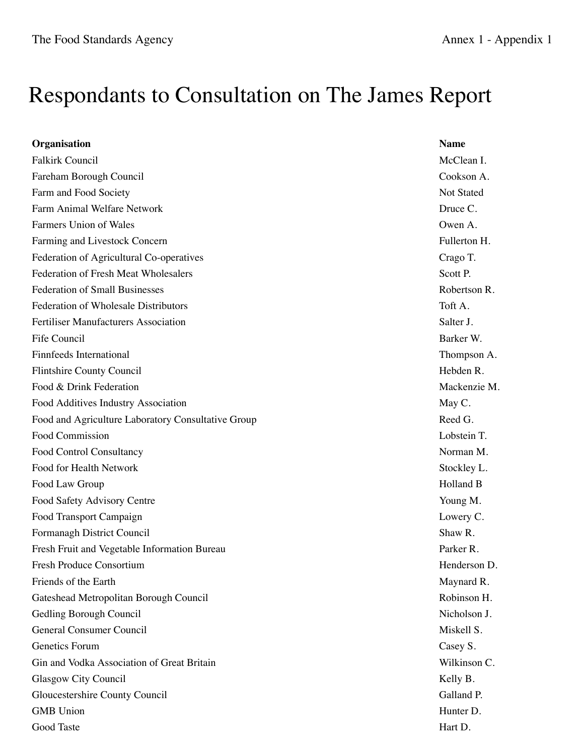# Respondants to Consultation on The James Report

| Organisation                                       | <b>Name</b>  |
|----------------------------------------------------|--------------|
| <b>Falkirk Council</b>                             | McClean I.   |
| Fareham Borough Council                            | Cookson A.   |
| Farm and Food Society                              | Not Stated   |
| Farm Animal Welfare Network                        | Druce C.     |
| Farmers Union of Wales                             | Owen A.      |
| Farming and Livestock Concern                      | Fullerton H. |
| Federation of Agricultural Co-operatives           | Crago T.     |
| <b>Federation of Fresh Meat Wholesalers</b>        | Scott P.     |
| <b>Federation of Small Businesses</b>              | Robertson R. |
| Federation of Wholesale Distributors               | Toft A.      |
| <b>Fertiliser Manufacturers Association</b>        | Salter J.    |
| Fife Council                                       | Barker W.    |
| Finnfeeds International                            | Thompson A.  |
| Flintshire County Council                          | Hebden R.    |
| Food & Drink Federation                            | Mackenzie M. |
| Food Additives Industry Association                | May C.       |
| Food and Agriculture Laboratory Consultative Group | Reed G.      |
| Food Commission                                    | Lobstein T.  |
| Food Control Consultancy                           | Norman M.    |
| Food for Health Network                            | Stockley L.  |
| Food Law Group                                     | Holland B    |
| Food Safety Advisory Centre                        | Young M.     |
| Food Transport Campaign                            | Lowery C.    |
| Formanagh District Council                         | Shaw R.      |
| Fresh Fruit and Vegetable Information Bureau       | Parker R.    |
| <b>Fresh Produce Consortium</b>                    | Henderson D. |
| Friends of the Earth                               | Maynard R.   |
| Gateshead Metropolitan Borough Council             | Robinson H.  |
| Gedling Borough Council                            | Nicholson J. |
| <b>General Consumer Council</b>                    | Miskell S.   |
| <b>Genetics Forum</b>                              | Casey S.     |
| Gin and Vodka Association of Great Britain         | Wilkinson C. |
| <b>Glasgow City Council</b>                        | Kelly B.     |
| Gloucestershire County Council                     | Galland P.   |
| <b>GMB</b> Union                                   | Hunter D.    |
| Good Taste                                         | Hart D.      |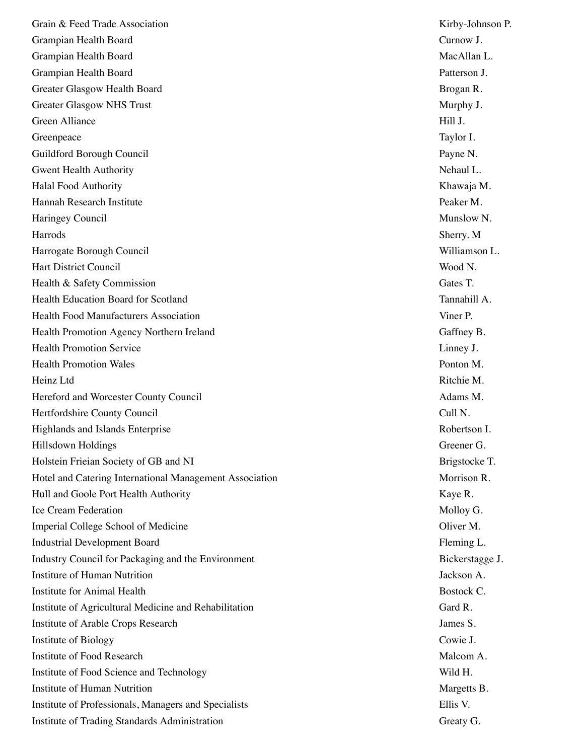Grain & Feed Trade Association **Example 2018** Service Association **Kirby-Johnson P.** And Trade Association **Kirby-Johnson P.** Grampian Health Board Curnow J. Grampian Health Board MacAllan L. Grampian Health Board Patterson J. Greater Glasgow Health Board Brogan R. Greater Glasgow NHS Trust Murphy J. Green Alliance Hill J. Greenpeace Taylor I. Guildford Borough Council **Payne N.** Payne N. Gwent Health Authority Nehaul L. Halal Food Authority Khawaja M. Hannah Research Institute Peaker M. Haringey Council Munslow N. Harrods Sherry. M Harrogate Borough Council Williamson L. Hart District Council Wood N. Health & Safety Commission Gates T. Health Education Board for Scotland Tannahill A. Health Food Manufacturers Association Viner P. Health Promotion Agency Northern Ireland Gaffney B. Health Promotion Service Linney J. Health Promotion Wales Ponton M. Heinz Ltd Ritchie M. Hereford and Worcester County Council and Solution Adams M. Hertfordshire County Council Cull N. Highlands and Islands Enterprise Robertson I. Hillsdown Holdings Greener G. Holstein Frieian Society of GB and NI Brigstocke T. Hotel and Catering International Management Association Morrison R. Morrison R. Hull and Goole Port Health Authority **Kaye R.** Kaye R. Ice Cream Federation **Molloy G.** The Secret of the Molloy G. Imperial College School of Medicine  $O(1)$ Industrial Development Board Fleming L. Industry Council for Packaging and the Environment Bickerstagge J. Institure of Human Nutrition **Institute of Human Nutrition** Jackson A. Institute for Animal Health Bostock C. Institute of Agricultural Medicine and Rehabilitation Gard R. Gard R. Institute of Arable Crops Research James S. Institute of Biology Cowie J. Institute of Food Research Malcom A. Institute of Food Science and Technology Wild H. Institute of Human Nutrition **Margetts B.** Margetts B. Institute of Professionals, Managers and Specialists Ellis V. Institute of Trading Standards Administration Greaty G. Greaty G.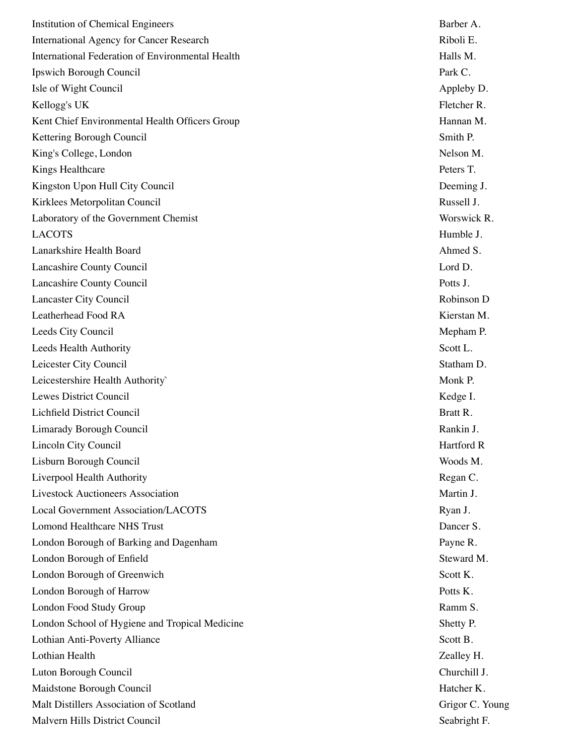Institution of Chemical Engineers Barber A. International Agency for Cancer Research **Riboli E.** All the Riboli E. International Federation of Environmental Health **Halls M.** Halls M. Ipswich Borough Council **Park C.** Park C. Isle of Wight Council Appleby D. Kellogg's UK Fletcher R. Kent Chief Environmental Health Officers Group Hannan M. Kettering Borough Council Smith P. King's College, London Nelson M. Kings Healthcare Peters T. Kingston Upon Hull City Council Deeming J. Kirklees Metorpolitan Council and Souncil Russell J. All and Souncil Russell J. Russell J. Laboratory of the Government Chemist Worswick R. LACOTS Humble J. Lanarkshire Health Board and Ahmed S. Lancashire County Council **Lord D.** Lord D. Lancashire County Council Potts J. Lancaster City Council **Robinson D** Leatherhead Food RA Kierstan M. Leeds City Council and the council and the council method of the matter of the Mepham P. Leeds Health Authority Scott L. Leicester City Council Statham D. Leicestershire Health Authority` Monk P. Lewes District Council and the council council and the council and the council council and the council and the council  $\alpha$ Lichfield District Council Bratt R. Limarady Borough Council and the council Rankin J. Lincoln City Council Hartford R Lisburn Borough Council Woods M. Liverpool Health Authority Regan C. Livestock Auctioneers Association Martin J. Local Government Association/LACOTS Ryan J. Lomond Healthcare NHS Trust Dancer S. London Borough of Barking and Dagenham **Payne R.** Payne R. London Borough of Enfield Steward M. London Borough of Greenwich Scott K. London Borough of Harrow Potts K. London Food Study Group **Ramm S.** All the study Group **Ramm S.** All the study Group **Ramm S.** All the study Group **Ramm S.** All the study Group **Ramm S.** All the study Group **Ramm S.** All the study Group **Ramm S.** All the London School of Hygiene and Tropical Medicine Shetty P. Lothian Anti-Poverty Alliance Scott B. Lothian Health Zealley H. Luton Borough Council Churchill J. Maidstone Borough Council Hatcher K. Malt Distillers Association of Scotland Grigor C. Young Malvern Hills District Council Seabright F. Seabright F.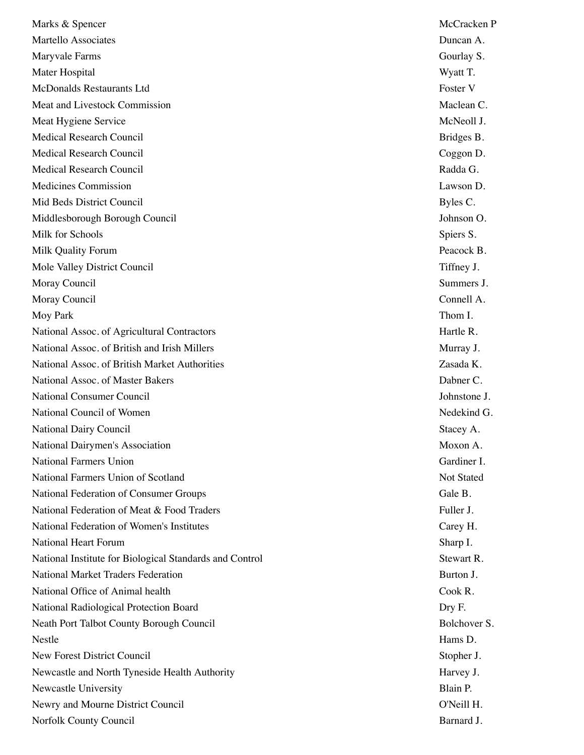Marks & Spencer McCracken P Martello Associates Duncan A. Maryvale Farms Gourlay S. Mater Hospital Wyatt T. McDonalds Restaurants Ltd Foster V Meat and Livestock Commission Maclean C. Meat Hygiene Service **McNeoll** J. Medical Research Council and the search Council and the search of the search of the search of the search of the search of the search of the search of the search of the search of the search of the search of the search of th Medical Research Council **Connect Connect Connect Connect Connect Connect Connect Connect Connect Connect Connect Connect Connect Connect Connect Connect Connect Connect Connect Connect Connect Connect Connect Connect Conn** Medical Research Council and the contract of the contract of the contract of the Radda G. Medicines Commission **Lawson D.** Lawson D. Mid Beds District Council and the set of the set of the set of the Byles C. Middlesborough Borough Council Johnson O. Milk for Schools Spiers S. Milk Quality Forum **Peacock B.** Mole Valley District Council Tiffney J. Moray Council Summers J. Moray Council Connell A. Moy Park Thom I. National Assoc. of Agricultural Contractors **Hartle R.** All the R. All the R. All the R. All the R. All the R. All the R. All the R. All the R. All the R. All the R. All the R. All the R. All the R. All the R. All the R. A National Assoc. of British and Irish Millers Multish And Irish Multish Murray J. National Assoc. of British Market Authorities Zasada K. National Assoc. of Master Bakers Dabner C. National Consumer Council Johnstone J. National Council of Women Nedekind G. National Dairy Council Stacey A. National Dairymen's Association Moxon A. National Farmers Union Gardiner I. National Farmers Union of Scotland Not Stated Not Stated National Federation of Consumer Groups Gale B. (Gale B. Gale B. Gale B. Gale B. Gale B. Gale B. Gale B. Gale B. National Federation of Meat & Food Traders Fuller J. National Federation of Women's Institutes Carey H. Carey H. National Heart Forum Sharp I. National Institute for Biological Standards and Control Stewart R. Stewart R. National Market Traders Federation Burton J. National Office of Animal health Cook R. National Radiological Protection Board Dry F. Neath Port Talbot County Borough Council Bolchover S. Nestle Hams D. New Forest District Council Stopher J. Newcastle and North Tyneside Health Authority Harvey J. Harvey J. Newcastle University Blain P. Newry and Mourne District Council O'Neill H. Norfolk County Council Barnard J.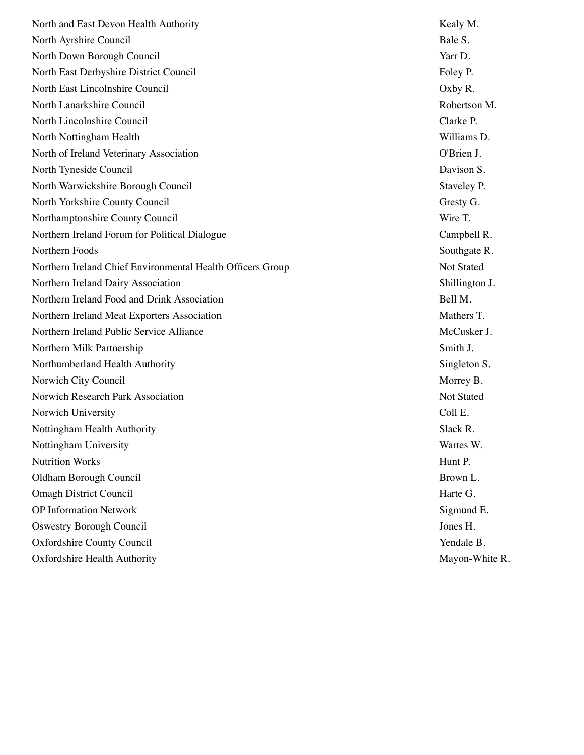North and East Devon Health Authority **Kealy M.** Kealy M. North Ayrshire Council Bale S. North Down Borough Council **North Down Borough Council** Yarr D. North East Derbyshire District Council **Foley P.** Soley P. North East Lincolnshire Council **Oxover Council** Oxby R. North Lanarkshire Council and the council and the council and the council Robertson M. North Lincolnshire Council Clarke P. North Nottingham Health Williams D. North of Ireland Veterinary Association **North Community** O'Brien J. North Tyneside Council Davison S. North Warwickshire Borough Council Staveley P. Staveley P. North Yorkshire County Council Greater G. Council Greater G. Council Greater G. Greaty G. Northamptonshire County Council Wire T. Northern Ireland Forum for Political Dialogue Campbell R. Northern Foods Southgate R. Northern Ireland Chief Environmental Health Officers Group Not Stated Northern Ireland Dairy Association Shillington J. Northern Ireland Food and Drink Association **Bell M.** Bell M. Northern Ireland Meat Exporters Association **Mathers T.** Mathers T. Northern Ireland Public Service Alliance McCusker J. Northern Milk Partnership Smith J. Northumberland Health Authority Singleton S. Norwich City Council and the state of the state of the Morrey B. Norwich Research Park Association Not Stated Norwich University Coll E. Nottingham Health Authority Slack R. Nottingham University **Wartes W.** Wartes W. Nutrition Works Hunt P. Oldham Borough Council and the council brown L. Omagh District Council Harte G. OP Information Network Sigmund E. Oswestry Borough Council Jones H. Oxfordshire County Council Yendale B. Oxfordshire Health Authority Mayon-White R.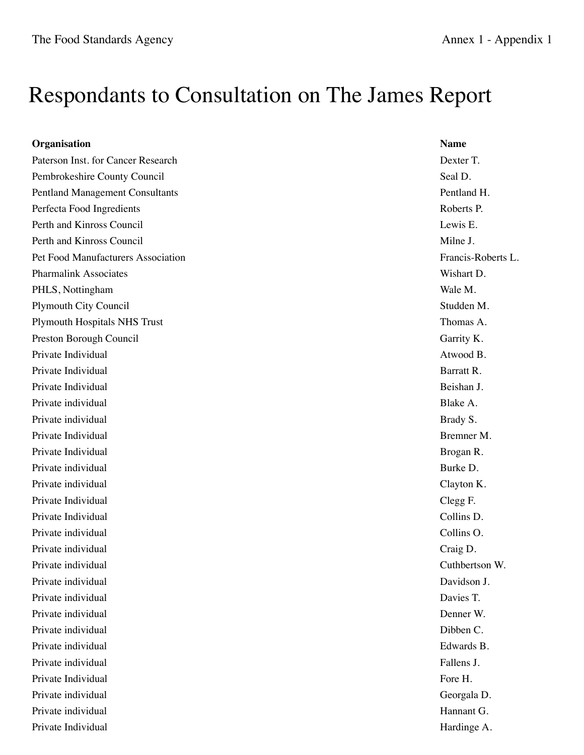# Respondants to Consultation on The James Report

| Organisation                           | <b>Name</b>        |
|----------------------------------------|--------------------|
| Paterson Inst. for Cancer Research     | Dexter T.          |
| Pembrokeshire County Council           | Seal D.            |
| <b>Pentland Management Consultants</b> | Pentland H.        |
| Perfecta Food Ingredients              | Roberts P.         |
| Perth and Kinross Council              | Lewis E.           |
| Perth and Kinross Council              | Milne J.           |
| Pet Food Manufacturers Association     | Francis-Roberts L. |
| <b>Pharmalink Associates</b>           | Wishart D.         |
| PHLS, Nottingham                       | Wale M.            |
| Plymouth City Council                  | Studden M.         |
| <b>Plymouth Hospitals NHS Trust</b>    | Thomas A.          |
| Preston Borough Council                | Garrity K.         |
| Private Individual                     | Atwood B.          |
| Private Individual                     | Barratt R.         |
| Private Individual                     | Beishan J.         |
| Private individual                     | Blake A.           |
| Private individual                     | Brady S.           |
| Private Individual                     | Bremner M.         |
| Private Individual                     | Brogan R.          |
| Private individual                     | Burke D.           |
| Private individual                     | Clayton K.         |
| Private Individual                     | Clegg F.           |
| Private Individual                     | Collins D.         |
| Private individual                     | Collins O.         |
| Private individual                     | Craig D.           |
| Private individual                     | Cuthbertson W.     |
| Private individual                     | Davidson J.        |
| Private individual                     | Davies T.          |
| Private individual                     | Denner W.          |
| Private individual                     | Dibben C.          |
| Private individual                     | Edwards B.         |
| Private individual                     | Fallens J.         |
| Private Individual                     | Fore H.            |
| Private individual                     | Georgala D.        |
| Private individual                     | Hannant G.         |
| Private Individual                     | Hardinge A.        |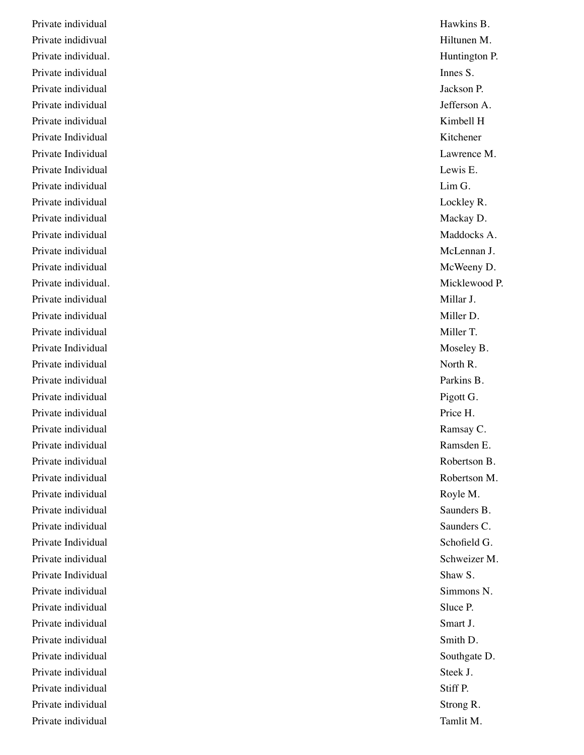Private individual and the extension of the extension of the Hawkins B. Private indidivual expansion of the extension of the extension of the Hiltunen M. Private individual. Huntington P. Private individual and the set of the set of the set of the set of the set of the set of the set of the set of the set of the set of the set of the set of the set of the set of the set of the set of the set of the set of t Private individual and the state of the state of the state of the state of the state of the state of the state of the state of the state of the state of the state of the state of the state of the state of the state of the Private individual and the set of the set of the set of the set of the set of the set of the set of the set of the set of the set of the set of the set of the set of the set of the set of the set of the set of the set of t Private individual and the contract of the contract of the contract of the contract of the contract of the contract of the contract of the contract of the contract of the contract of the contract of the contract of the con Private Individual and the contract of the contract of the contract of the contract of the contract of the contract of the contract of the contract of the contract of the contract of the contract of the contract of the con Private Individual Lawrence M. Private Individual Lewis E. Private individual and the contract of the contract of the contract of the contract of the contract of the contract of the contract of the contract of the contract of the contract of the contract of the contract of the con Private individual Lockley R. Private individual and the contract of the contract of the contract of the Mackay D. Mackay D. Private individual and the contract of the contract of the contract of the Maddocks A. Private individual and the contract of the contract of the contract of the McLennan J. Private individual McWeeny D. Private individual. The contract of the contract of the contract of the contract of the contract of the contract of the contract of the contract of the contract of the contract of the contract of the contract of the contra Private individual and the contract of the contract of the contract of the contract of the Millar J. Private individual and the contract of the contract of the contract of the contract of the contract of the contract of the contract of the contract of the contract of the contract of the contract of the contract of the con Private individual and the contract of the contract of the contract of the Miller T. Private Individual Moseley B. Private individual and the contract of the contract of the contract of the contract of the contract of the contract of the contract of the contract of the contract of the contract of the contract of the contract of the con Private individual and the contract of the contract of the contract of the Parkins B. Private individual **Private** individual **Pigott G.** Private individual **Private** individual **Price H.** Private individual **Ramsay C. Ramsay C. Ramsay C. Ramsay C. Ramsay C. Ramsay C. Ramsay C. Ramsay C. Ramsay C. Ramsay C. Ramsay C. Ramsay C. Ramsay C. Ramsay C. Ramsay C. Ramsay C. Ramsay C.** Private individual and the contract of the contract of the contract of the Ramsden E. Private individual Robertson B. Private individual Robertson M. Private individual Royle M. **Royle M.** Royle M. Private individual Saunders B. Private individual Saunders C. Private Individual and Schofield G. The Schoffeld G. The Schoffeld G. The Schoffeld G. Private individual and the set of the set of the set of the set of the Schweizer M. Private Individual Shaw S. Private individual Simmons N. Private individual Sluce P. Private individual Smart J. Private individual Smith D. Smith D. Private individual Southgate D. Private individual Steek J. Private individual Stiff P. Private individual Strong R. Private individual Tamlit M.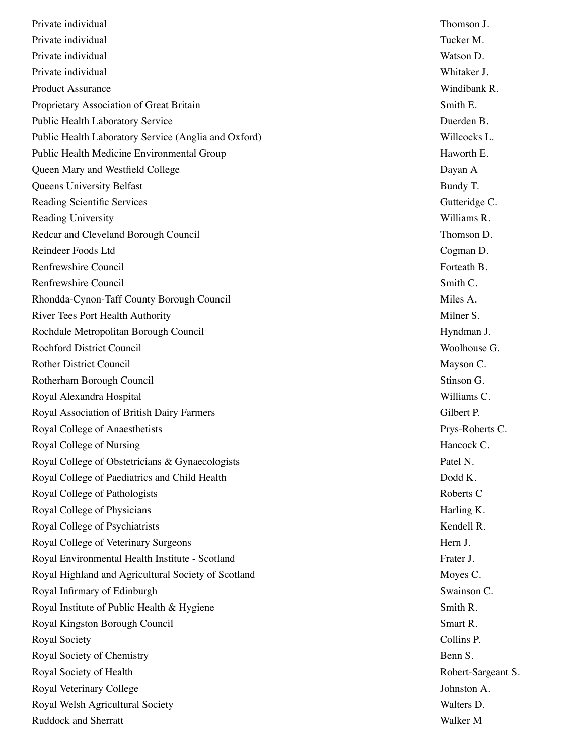Private individual and the contract of the contract of the contract of the contract of the contract of the contract of the contract of the contract of the contract of the contract of the contract of the contract of the con Private individual Tucker M. Private individual Watson D. Private individual Whitaker J. Product Assurance Windibank R. Proprietary Association of Great Britain Smith E. Public Health Laboratory Service Duerden B. Public Health Laboratory Service (Anglia and Oxford) Willcocks L. Public Health Medicine Environmental Group **Haward Haward Haworth E.** All experiences and Haworth E. Queen Mary and Westfield College Dayan A **Oueens University Belfast** Bundy T. Reading Scientific Services Gutteridge C. Reading University Williams R. Redcar and Cleveland Borough Council Thomson D. Thomson D. Reindeer Foods Ltd Cogman D. Renfrewshire Council **Forteath B.** The Council **Forteath B.** The Second Second Second Second Second Second Second Second Second Second Second Second Second Second Second Second Second Second Second Second Second Second Sec Renfrewshire Council and the council state of the state of the Smith C. Rhondda-Cynon-Taff County Borough Council Miles A. River Tees Port Health Authority Milner S. Rochdale Metropolitan Borough Council **Hyndman J.** Hyndman J. Rochford District Council November 2012 12:00 November 2012 12:00 November 2013 12:00 November 2013 12:00 November 2013 Rother District Council and the council may be a set of the council may be a set of the Mayson C. Rotherham Borough Council Stinson G. Royal Alexandra Hospital Williams C. Royal Association of British Dairy Farmers Gilbert P. (Gilbert P. Gilbert P. Gilbert P. Gilbert P. Gilbert P. Gilbert P. (Gilbert P. Gilbert P. Gilbert P. Gilbert P. Gilbert P. Gilbert P. (Gilbert P. Gilbert P. Gilbert P. Royal College of Anaesthetists **Prys-Roberts C.** Prys-Roberts C. Royal College of Nursing Hancock C. Royal College of Obstetricians & Gynaecologists Patel N. Royal College of Paediatrics and Child Health Dodd K. Royal College of Pathologists Roberts C Royal College of Physicians **Harling K.** And College of Physicians **Harling K.** And College of Physicians **Harling K.** And College of Physicians **Harling K.** And College of Physicians **Harling K.** And College of Physicians Royal College of Psychiatrists Kendell R. Royal College of Veterinary Surgeons Hern J. Royal Environmental Health Institute - Scotland Frater J. Royal Highland and Agricultural Society of Scotland Moyes C. Royal Infirmary of Edinburgh Swainson C. Royal Institute of Public Health & Hygiene Smith R. Royal Kingston Borough Council Smart R. Royal Society Collins P. Royal Society of Chemistry Benn S. Royal Society of Health Robert-Sargeant S. Royal Veterinary College Johnston A. Royal Welsh Agricultural Society Walters D. Ruddock and Sherratt **Walker M**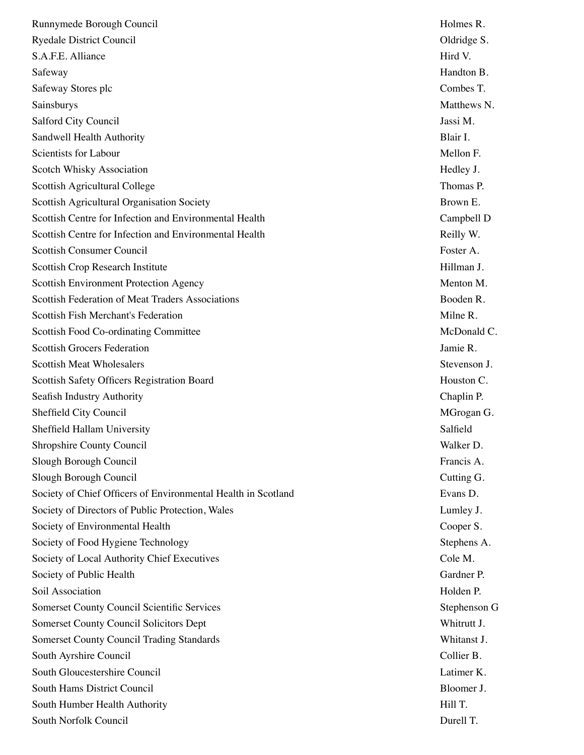Runnymede Borough Council and the settlement of the settlement of the Holmes R. Ryedale District Council **Network** Council **Council Council Council Council Council Council Council Council Council Council Council Council Council Council Council Council Council Council** S.A.F.E. Alliance Hird V. The Bigger Hird V. The Bigger Hird V. The Bigger Hird V. The Bigger Hird V. Safeway Handton B. Safeway Stores plc Combes T. Sainsburys Matthews N. Salford City Council Jassi M. Sandwell Health Authority Blair I. Scientists for Labour Mellon F. Scotch Whisky Association Hedley J. Scottish Agricultural College Thomas P. Scottish Agricultural Organisation Society Brown E. Scottish Centre for Infection and Environmental Health Campbell D Campbell D Scottish Centre for Infection and Environmental Health Reilly W. Scottish Consumer Council **Foster A.** Scottish Consumer Council **Foster A.** Scottish Consumer Council **Foster A.** Scottish Consumer Council **Foster A.** Scottish Consumer Council **Foster A.** Scottish Consumer Council **Foste** Scottish Crop Research Institute Hillman J. Scottish Environment Protection Agency Menton M. Scottish Federation of Meat Traders Associations **Booden R**. **Booden R.** Scottish Fish Merchant's Federation Milne R. Scottish Food Co-ordinating Committee McDonald C. Scottish Grocers Federation **Scottish Grocers** Federation **Jamie R. Jamie R. Jamie R.** Scottish Meat Wholesalers Stevenson J. Scottish Safety Officers Registration Board **Houston C.** Houston C. Seafish Industry Authority **Chaplin P.** Chaplin P. Sheffield City Council **MGrogan G.** The Sheffield City Council **MGrogan G.** The MGrogan G. Sheffield Hallam University Salfield Sheffield Hallam University Salfield Shropshire County Council **Walker D.** Walker D. Slough Borough Council **Francis A.** Francis A. Slough Borough Council Cutting G. Society of Chief Officers of Environmental Health in Scotland Evans D. Evans D. Society of Directors of Public Protection, Wales Lumley J. Lumley J. Society of Environmental Health Cooper S. Society of Food Hygiene Technology Stephens A. Society of Local Authority Chief Executives Cole M. Society of Public Health Gardner P. Soil Association **Holden P.** The Soil Association **Holden P.** The Soil Association **Holden** P. Somerset County Council Scientific Services Stephenson G Somerset County Council Solicitors Dept Whitrutt J. Somerset County Council Trading Standards Whitanst J. South Ayrshire Council Collier B. South Gloucestershire Council **Latimer K.** Latimer K. South Hams District Council and the set of the set of the set of the Bloomer J. Bloomer J. South Humber Health Authority **Hill T.** All the state of the Hill T. South Norfolk Council **Durell T.**  $\blacksquare$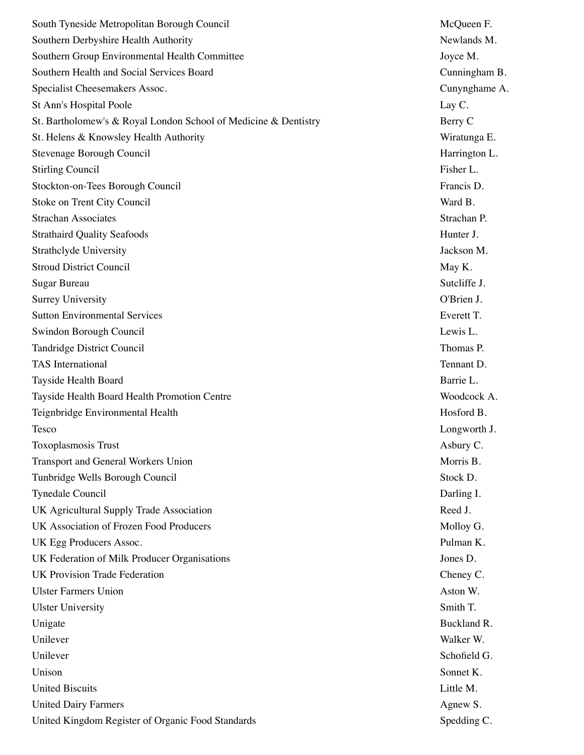South Tyneside Metropolitan Borough Council McQueen F. McQueen F. Southern Derbyshire Health Authority Newlands M. Newlands M. Southern Group Environmental Health Committee Joyce M. Southern Health and Social Services Board **Cunningham B.** Cunningham B. Specialist Cheesemakers Assoc. Cunynghame A. St Ann's Hospital Poole Lay C. St. Bartholomew's & Royal London School of Medicine & Dentistry Berry C St. Helens & Knowsley Health Authority **E.** All the state of the Wiratunga E. Stevenage Borough Council and Stevenage Borough Council Harrington L. Stirling Council Fisher L. Stockton-on-Tees Borough Council Francis D. Stoke on Trent City Council Ward B. Strachan Associates Strachan P. Strathaird Quality Seafoods **Hunter J.** All the strathaird Quality Seafoods **Hunter J.** All the strathaird Quality Seafoods **Hunter J.** All the strathaird Quality Seafoods **Hunter J.** All the strathaird Quality Seafoods **H** Strathclyde University **Strathclyde University** Jackson M. Stroud District Council May K. Sugar Bureau Sutcliffe J. Surrey University O'Brien J. Sutton Environmental Services **Everett T.** Sutton Everett T. Swindon Borough Council Lewis L. Tandridge District Council Thomas P. TAS International Tennant D. Tayside Health Board Barrie L. Tayside Health Board Health Promotion Centre Woodcock A. Teignbridge Environmental Health **Hospital** Hosford B. Tesco Longworth J. Toxoplasmosis Trust **Asbury C.** The contract Asbury C. Transport and General Workers Union Morris B. Tunbridge Wells Borough Council Stock D. Stock D. Tynedale Council Darling I. UK Agricultural Supply Trade Association **Reed J.** Reed J. UK Association of Frozen Food Producers and American States and American Molloy G. UK Egg Producers Assoc. Pulman K. UK Federation of Milk Producer Organisations Jones D. UK Provision Trade Federation Cheney C. Ulster Farmers Union Aston W. Aston W. Ulster University Smith T. Unigate Buckland R. Unilever Walker W. Unilever Schofield G. Unison Sonnet K. United Biscuits **Little M.** United Dairy Farmers **Agnew S.** Agnew S. United Kingdom Register of Organic Food Standards Spedding C.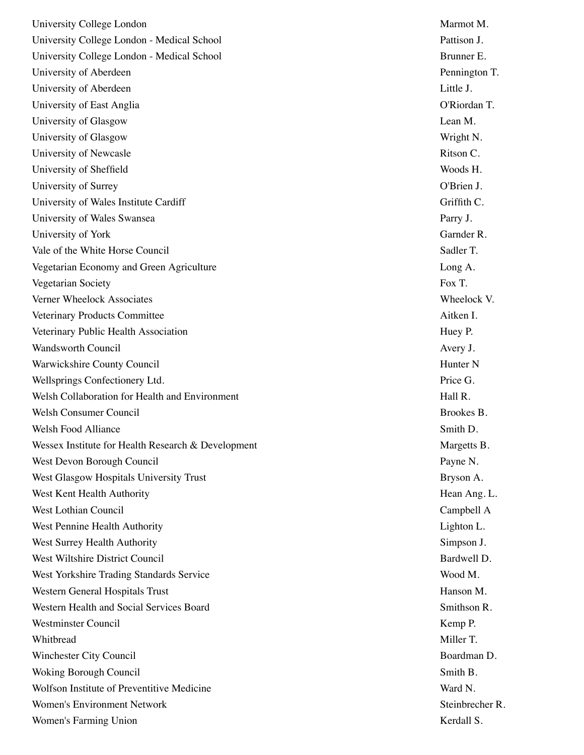University College London Marmot M. University College London - Medical School **Pattison J.** Pattison J. University College London - Medical School Brunner E. University of Aberdeen Pennington T. University of Aberdeen **Little J.** Little J. University of East Anglia O'Riordan T. University of Glasgow Lean M. University of Glasgow Wright N. University of Newcasle **Ritson C.** The Ritson C. University of Sheffield Woods H. University of Surrey Contract of Surrey Contract of Surrey Contract of Surrey Contract of Surrey Contract of Surrey Contract of Surrey Contract of Surrey Contract of Surrey Contract of Surrey Contract of Surrey Contract of University of Wales Institute Cardiff Griffith C. University of Wales Swansea **Parry J.** Parry J. University of York Garnder R. Vale of the White Horse Council Sadler T. Vegetarian Economy and Green Agriculture Long A. Vegetarian Society Fox T. Verner Wheelock Associates Wheelock V. Veterinary Products Committee Aitken I. Veterinary Public Health Association **Huey P.** (1994) 1996 Wandsworth Council and the council and the council and the council and the council and the council and  $\alpha$ Warwickshire County Council **Hunter N** Accounts **Hunter N** Accounts **Hunter N** Accounts **Hunter N** Wellsprings Confectionery Ltd.  $\Box$ Welsh Collaboration for Health and Environment **Hall R**. Welsh Consumer Council and the consumer Council Brookes B. Welsh Food Alliance Smith D. Wessex Institute for Health Research & Development Margetts B. West Devon Borough Council **Payne N.** West Glasgow Hospitals University Trust Bryson A. West Kent Health Authority **Heat** Authority Hean Ang. L. West Lothian Council **Campbell A** Campbell A West Pennine Health Authority **Lighton L.** Lighton L. West Surrey Health Authority Simpson J. West Wiltshire District Council and the state of the state of the Bardwell D. West Yorkshire Trading Standards Service Wood M. Western General Hospitals Trust Hanson M. Western Health and Social Services Board Smithson R. Westminster Council and the council Kemp P. Whitbread Miller T. Winchester City Council Boardman D. Woking Borough Council Smith B. Wolfson Institute of Preventitive Medicine Ward N. Women's Environment Network Steinbrecher R. Women's Farming Union **Kerdall S.** The Momen's Farming Union **Kerdall S.** The Momen's Farming Union **Kerdall S.** The Momen's Farming Union **Kerdall S.** The Momen's Farming Union **Kerdall S.** The Moment of the Moment of the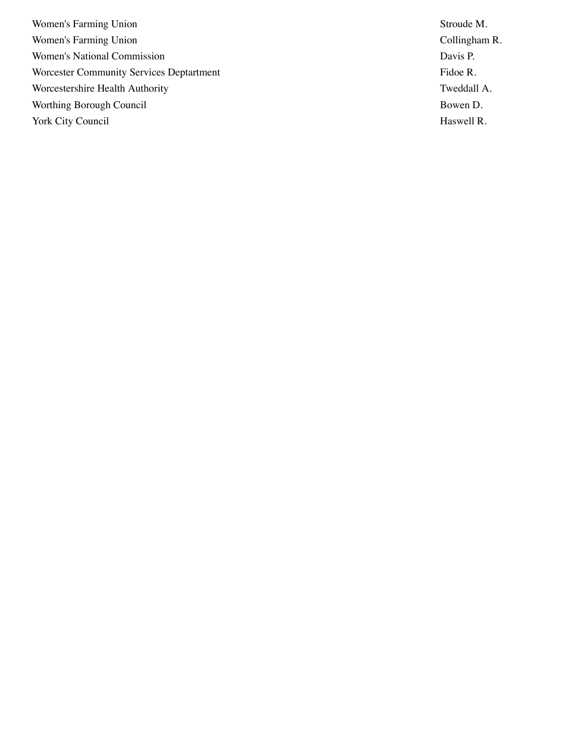Women's Farming Union Stroude M. Women's Farming Union Collingham R. Women's National Commission Davis P. Worcester Community Services Deptartment Fidoe R. Worcestershire Health Authority **Tweddall A.** Worthing Borough Council Bowen D. York City Council Haswell R.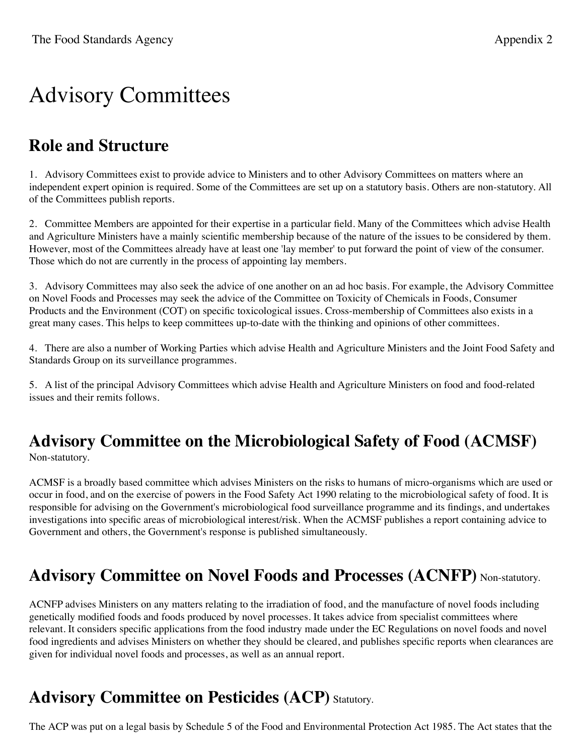## Advisory Committees

#### **Role and Structure**

1. Advisory Committees exist to provide advice to Ministers and to other Advisory Committees on matters where an independent expert opinion is required. Some of the Committees are set up on a statutory basis. Others are non-statutory. All of the Committees publish reports.

2. Committee Members are appointed for their expertise in a particular field. Many of the Committees which advise Health and Agriculture Ministers have a mainly scientific membership because of the nature of the issues to be considered by them. However, most of the Committees already have at least one 'lay member' to put forward the point of view of the consumer. Those which do not are currently in the process of appointing lay members.

3. Advisory Committees may also seek the advice of one another on an ad hoc basis. For example, the Advisory Committee on Novel Foods and Processes may seek the advice of the Committee on Toxicity of Chemicals in Foods, Consumer Products and the Environment (COT) on specific toxicological issues. Cross-membership of Committees also exists in a great many cases. This helps to keep committees up-to-date with the thinking and opinions of other committees.

4. There are also a number of Working Parties which advise Health and Agriculture Ministers and the Joint Food Safety and Standards Group on its surveillance programmes.

5. A list of the principal Advisory Committees which advise Health and Agriculture Ministers on food and food-related issues and their remits follows.

## **Advisory Committee on the Microbiological Safety of Food (ACMSF)**

Non-statutory.

ACMSF is a broadly based committee which advises Ministers on the risks to humans of micro-organisms which are used or occur in food, and on the exercise of powers in the Food Safety Act 1990 relating to the microbiological safety of food. It is responsible for advising on the Government's microbiological food surveillance programme and its findings, and undertakes investigations into specific areas of microbiological interest/risk. When the ACMSF publishes a report containing advice to Government and others, the Government's response is published simultaneously.

### **Advisory Committee on Novel Foods and Processes (ACNFP)** Non-statutory.

ACNFP advises Ministers on any matters relating to the irradiation of food, and the manufacture of novel foods including genetically modified foods and foods produced by novel processes. It takes advice from specialist committees where relevant. It considers specific applications from the food industry made under the EC Regulations on novel foods and novel food ingredients and advises Ministers on whether they should be cleared, and publishes specific reports when clearances are given for individual novel foods and processes, as well as an annual report.

## **Advisory Committee on Pesticides (ACP)** Statutory.

The ACP was put on a legal basis by Schedule 5 of the Food and Environmental Protection Act 1985. The Act states that the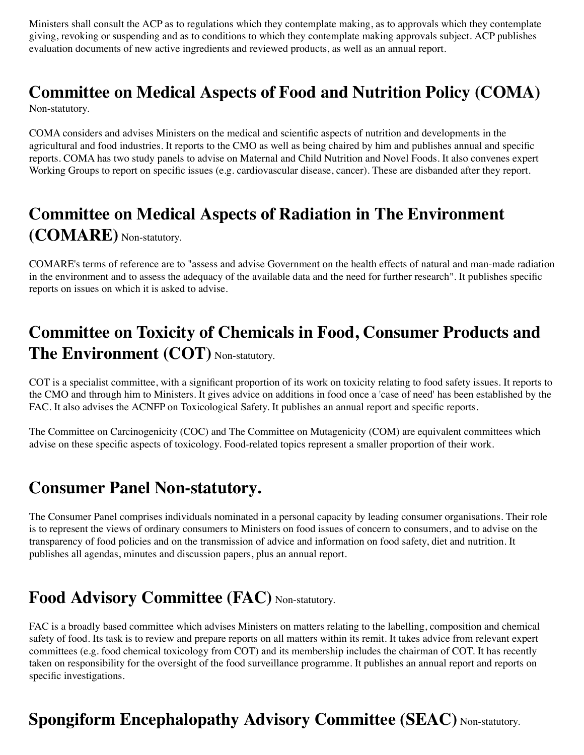Ministers shall consult the ACP as to regulations which they contemplate making, as to approvals which they contemplate giving, revoking or suspending and as to conditions to which they contemplate making approvals subject. ACP publishes evaluation documents of new active ingredients and reviewed products, as well as an annual report.

## **Committee on Medical Aspects of Food and Nutrition Policy (COMA)**

Non-statutory.

COMA considers and advises Ministers on the medical and scientific aspects of nutrition and developments in the agricultural and food industries. It reports to the CMO as well as being chaired by him and publishes annual and specific reports. COMA has two study panels to advise on Maternal and Child Nutrition and Novel Foods. It also convenes expert Working Groups to report on specific issues (e.g. cardiovascular disease, cancer). These are disbanded after they report.

## **Committee on Medical Aspects of Radiation in The Environment (COMARE)** Non-statutory.

COMARE's terms of reference are to "assess and advise Government on the health effects of natural and man-made radiation in the environment and to assess the adequacy of the available data and the need for further research". It publishes specific reports on issues on which it is asked to advise.

## **Committee on Toxicity of Chemicals in Food, Consumer Products and The Environment (COT)** Non-statutory.

COT is a specialist committee, with a significant proportion of its work on toxicity relating to food safety issues. It reports to the CMO and through him to Ministers. It gives advice on additions in food once a 'case of need' has been established by the FAC. It also advises the ACNFP on Toxicological Safety. It publishes an annual report and specific reports.

The Committee on Carcinogenicity (COC) and The Committee on Mutagenicity (COM) are equivalent committees which advise on these specific aspects of toxicology. Food-related topics represent a smaller proportion of their work.

### **Consumer Panel Non-statutory.**

The Consumer Panel comprises individuals nominated in a personal capacity by leading consumer organisations. Their role is to represent the views of ordinary consumers to Ministers on food issues of concern to consumers, and to advise on the transparency of food policies and on the transmission of advice and information on food safety, diet and nutrition. It publishes all agendas, minutes and discussion papers, plus an annual report.

## **Food Advisory Committee (FAC)** Non-statutory.

FAC is a broadly based committee which advises Ministers on matters relating to the labelling, composition and chemical safety of food. Its task is to review and prepare reports on all matters within its remit. It takes advice from relevant expert committees (e.g. food chemical toxicology from COT) and its membership includes the chairman of COT. It has recently taken on responsibility for the oversight of the food surveillance programme. It publishes an annual report and reports on specific investigations.

### **Spongiform Encephalopathy Advisory Committee (SEAC)** Non-statutory.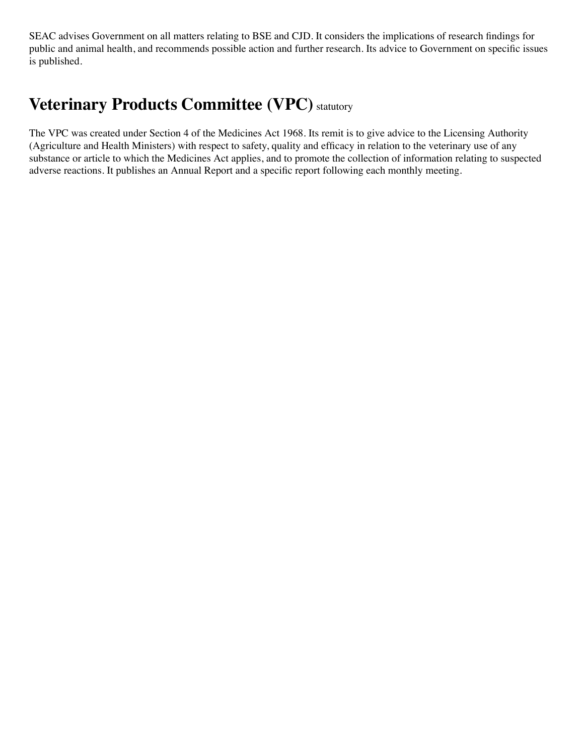SEAC advises Government on all matters relating to BSE and CJD. It considers the implications of research findings for public and animal health, and recommends possible action and further research. Its advice to Government on specific issues is published.

### **Veterinary Products Committee (VPC)** statutory

The VPC was created under Section 4 of the Medicines Act 1968. Its remit is to give advice to the Licensing Authority (Agriculture and Health Ministers) with respect to safety, quality and efficacy in relation to the veterinary use of any substance or article to which the Medicines Act applies, and to promote the collection of information relating to suspected adverse reactions. It publishes an Annual Report and a specific report following each monthly meeting.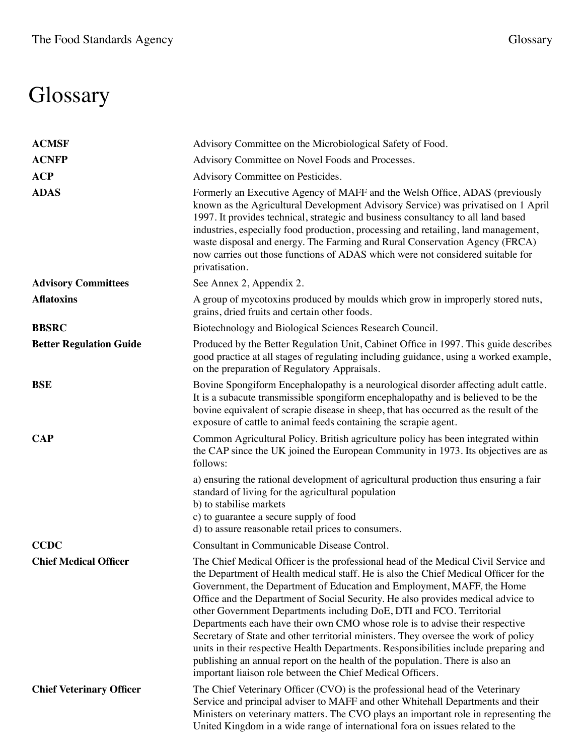# **Glossary**

| <b>ACMSF</b>                    | Advisory Committee on the Microbiological Safety of Food.                                                                                                                                                                                                                                                                                                                                                                                                                                                                                                                                                                                                                                                                                                                                                                       |
|---------------------------------|---------------------------------------------------------------------------------------------------------------------------------------------------------------------------------------------------------------------------------------------------------------------------------------------------------------------------------------------------------------------------------------------------------------------------------------------------------------------------------------------------------------------------------------------------------------------------------------------------------------------------------------------------------------------------------------------------------------------------------------------------------------------------------------------------------------------------------|
| <b>ACNFP</b>                    | Advisory Committee on Novel Foods and Processes.                                                                                                                                                                                                                                                                                                                                                                                                                                                                                                                                                                                                                                                                                                                                                                                |
| <b>ACP</b>                      | Advisory Committee on Pesticides.                                                                                                                                                                                                                                                                                                                                                                                                                                                                                                                                                                                                                                                                                                                                                                                               |
| <b>ADAS</b>                     | Formerly an Executive Agency of MAFF and the Welsh Office, ADAS (previously<br>known as the Agricultural Development Advisory Service) was privatised on 1 April<br>1997. It provides technical, strategic and business consultancy to all land based<br>industries, especially food production, processing and retailing, land management,<br>waste disposal and energy. The Farming and Rural Conservation Agency (FRCA)<br>now carries out those functions of ADAS which were not considered suitable for<br>privatisation.                                                                                                                                                                                                                                                                                                  |
| <b>Advisory Committees</b>      | See Annex 2, Appendix 2.                                                                                                                                                                                                                                                                                                                                                                                                                                                                                                                                                                                                                                                                                                                                                                                                        |
| <b>Aflatoxins</b>               | A group of mycotoxins produced by moulds which grow in improperly stored nuts,<br>grains, dried fruits and certain other foods.                                                                                                                                                                                                                                                                                                                                                                                                                                                                                                                                                                                                                                                                                                 |
| <b>BBSRC</b>                    | Biotechnology and Biological Sciences Research Council.                                                                                                                                                                                                                                                                                                                                                                                                                                                                                                                                                                                                                                                                                                                                                                         |
| <b>Better Regulation Guide</b>  | Produced by the Better Regulation Unit, Cabinet Office in 1997. This guide describes<br>good practice at all stages of regulating including guidance, using a worked example,<br>on the preparation of Regulatory Appraisals.                                                                                                                                                                                                                                                                                                                                                                                                                                                                                                                                                                                                   |
| <b>BSE</b>                      | Bovine Spongiform Encephalopathy is a neurological disorder affecting adult cattle.<br>It is a subacute transmissible spongiform encephalopathy and is believed to be the<br>bovine equivalent of scrapie disease in sheep, that has occurred as the result of the<br>exposure of cattle to animal feeds containing the scrapie agent.                                                                                                                                                                                                                                                                                                                                                                                                                                                                                          |
| <b>CAP</b>                      | Common Agricultural Policy. British agriculture policy has been integrated within<br>the CAP since the UK joined the European Community in 1973. Its objectives are as<br>follows:                                                                                                                                                                                                                                                                                                                                                                                                                                                                                                                                                                                                                                              |
|                                 | a) ensuring the rational development of agricultural production thus ensuring a fair<br>standard of living for the agricultural population<br>b) to stabilise markets<br>c) to guarantee a secure supply of food<br>d) to assure reasonable retail prices to consumers.                                                                                                                                                                                                                                                                                                                                                                                                                                                                                                                                                         |
| <b>CCDC</b>                     | Consultant in Communicable Disease Control.                                                                                                                                                                                                                                                                                                                                                                                                                                                                                                                                                                                                                                                                                                                                                                                     |
| <b>Chief Medical Officer</b>    | The Chief Medical Officer is the professional head of the Medical Civil Service and<br>the Department of Health medical staff. He is also the Chief Medical Officer for the<br>Government, the Department of Education and Employment, MAFF, the Home<br>Office and the Department of Social Security. He also provides medical advice to<br>other Government Departments including DoE, DTI and FCO. Territorial<br>Departments each have their own CMO whose role is to advise their respective<br>Secretary of State and other territorial ministers. They oversee the work of policy<br>units in their respective Health Departments. Responsibilities include preparing and<br>publishing an annual report on the health of the population. There is also an<br>important liaison role between the Chief Medical Officers. |
| <b>Chief Veterinary Officer</b> | The Chief Veterinary Officer (CVO) is the professional head of the Veterinary<br>Service and principal adviser to MAFF and other Whitehall Departments and their<br>Ministers on veterinary matters. The CVO plays an important role in representing the<br>United Kingdom in a wide range of international fora on issues related to the                                                                                                                                                                                                                                                                                                                                                                                                                                                                                       |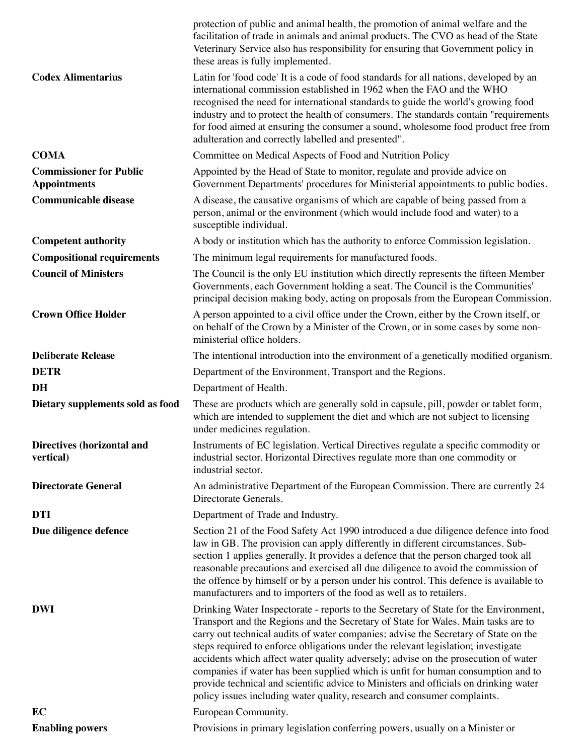|                                                       | protection of public and animal health, the promotion of animal welfare and the<br>facilitation of trade in animals and animal products. The CVO as head of the State<br>Veterinary Service also has responsibility for ensuring that Government policy in<br>these areas is fully implemented.                                                                                                                                                                                                                                                                                                                                                                                                     |
|-------------------------------------------------------|-----------------------------------------------------------------------------------------------------------------------------------------------------------------------------------------------------------------------------------------------------------------------------------------------------------------------------------------------------------------------------------------------------------------------------------------------------------------------------------------------------------------------------------------------------------------------------------------------------------------------------------------------------------------------------------------------------|
| <b>Codex Alimentarius</b>                             | Latin for 'food code' It is a code of food standards for all nations, developed by an<br>international commission established in 1962 when the FAO and the WHO<br>recognised the need for international standards to guide the world's growing food<br>industry and to protect the health of consumers. The standards contain "requirements<br>for food aimed at ensuring the consumer a sound, wholesome food product free from<br>adulteration and correctly labelled and presented".                                                                                                                                                                                                             |
| <b>COMA</b>                                           | Committee on Medical Aspects of Food and Nutrition Policy                                                                                                                                                                                                                                                                                                                                                                                                                                                                                                                                                                                                                                           |
| <b>Commissioner for Public</b><br><b>Appointments</b> | Appointed by the Head of State to monitor, regulate and provide advice on<br>Government Departments' procedures for Ministerial appointments to public bodies.                                                                                                                                                                                                                                                                                                                                                                                                                                                                                                                                      |
| <b>Communicable disease</b>                           | A disease, the causative organisms of which are capable of being passed from a<br>person, animal or the environment (which would include food and water) to a<br>susceptible individual.                                                                                                                                                                                                                                                                                                                                                                                                                                                                                                            |
| <b>Competent authority</b>                            | A body or institution which has the authority to enforce Commission legislation.                                                                                                                                                                                                                                                                                                                                                                                                                                                                                                                                                                                                                    |
| <b>Compositional requirements</b>                     | The minimum legal requirements for manufactured foods.                                                                                                                                                                                                                                                                                                                                                                                                                                                                                                                                                                                                                                              |
| <b>Council of Ministers</b>                           | The Council is the only EU institution which directly represents the fifteen Member<br>Governments, each Government holding a seat. The Council is the Communities'<br>principal decision making body, acting on proposals from the European Commission.                                                                                                                                                                                                                                                                                                                                                                                                                                            |
| <b>Crown Office Holder</b>                            | A person appointed to a civil office under the Crown, either by the Crown itself, or<br>on behalf of the Crown by a Minister of the Crown, or in some cases by some non-<br>ministerial office holders.                                                                                                                                                                                                                                                                                                                                                                                                                                                                                             |
| <b>Deliberate Release</b>                             | The intentional introduction into the environment of a genetically modified organism.                                                                                                                                                                                                                                                                                                                                                                                                                                                                                                                                                                                                               |
| <b>DETR</b>                                           | Department of the Environment, Transport and the Regions.                                                                                                                                                                                                                                                                                                                                                                                                                                                                                                                                                                                                                                           |
| DH                                                    | Department of Health.                                                                                                                                                                                                                                                                                                                                                                                                                                                                                                                                                                                                                                                                               |
| Dietary supplements sold as food                      | These are products which are generally sold in capsule, pill, powder or tablet form,<br>which are intended to supplement the diet and which are not subject to licensing<br>under medicines regulation.                                                                                                                                                                                                                                                                                                                                                                                                                                                                                             |
| Directives (horizontal and<br>vertical)               | Instruments of EC legislation. Vertical Directives regulate a specific commodity or<br>industrial sector. Horizontal Directives regulate more than one commodity or<br>industrial sector.                                                                                                                                                                                                                                                                                                                                                                                                                                                                                                           |
| <b>Directorate General</b>                            | An administrative Department of the European Commission. There are currently 24<br>Directorate Generals.                                                                                                                                                                                                                                                                                                                                                                                                                                                                                                                                                                                            |
| <b>DTI</b>                                            | Department of Trade and Industry.                                                                                                                                                                                                                                                                                                                                                                                                                                                                                                                                                                                                                                                                   |
| Due diligence defence                                 | Section 21 of the Food Safety Act 1990 introduced a due diligence defence into food<br>law in GB. The provision can apply differently in different circumstances. Sub-<br>section 1 applies generally. It provides a defence that the person charged took all<br>reasonable precautions and exercised all due diligence to avoid the commission of<br>the offence by himself or by a person under his control. This defence is available to<br>manufacturers and to importers of the food as well as to retailers.                                                                                                                                                                                  |
| <b>DWI</b>                                            | Drinking Water Inspectorate - reports to the Secretary of State for the Environment,<br>Transport and the Regions and the Secretary of State for Wales. Main tasks are to<br>carry out technical audits of water companies; advise the Secretary of State on the<br>steps required to enforce obligations under the relevant legislation; investigate<br>accidents which affect water quality adversely; advise on the prosecution of water<br>companies if water has been supplied which is unfit for human consumption and to<br>provide technical and scientific advice to Ministers and officials on drinking water<br>policy issues including water quality, research and consumer complaints. |
| EC                                                    | European Community.                                                                                                                                                                                                                                                                                                                                                                                                                                                                                                                                                                                                                                                                                 |
| <b>Enabling powers</b>                                | Provisions in primary legislation conferring powers, usually on a Minister or                                                                                                                                                                                                                                                                                                                                                                                                                                                                                                                                                                                                                       |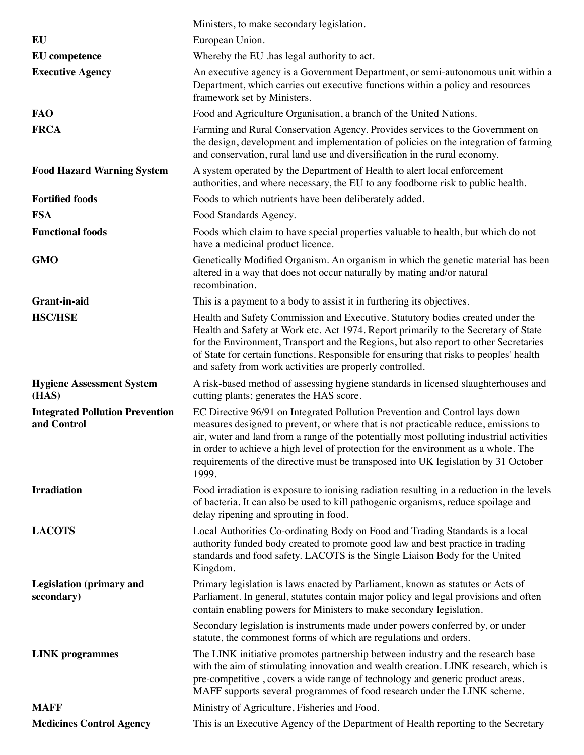|                                                       | Ministers, to make secondary legislation.                                                                                                                                                                                                                                                                                                                                                                                                           |
|-------------------------------------------------------|-----------------------------------------------------------------------------------------------------------------------------------------------------------------------------------------------------------------------------------------------------------------------------------------------------------------------------------------------------------------------------------------------------------------------------------------------------|
| EU                                                    | European Union.                                                                                                                                                                                                                                                                                                                                                                                                                                     |
| <b>EU</b> competence                                  | Whereby the EU .has legal authority to act.                                                                                                                                                                                                                                                                                                                                                                                                         |
| <b>Executive Agency</b>                               | An executive agency is a Government Department, or semi-autonomous unit within a<br>Department, which carries out executive functions within a policy and resources<br>framework set by Ministers.                                                                                                                                                                                                                                                  |
| <b>FAO</b>                                            | Food and Agriculture Organisation, a branch of the United Nations.                                                                                                                                                                                                                                                                                                                                                                                  |
| <b>FRCA</b>                                           | Farming and Rural Conservation Agency. Provides services to the Government on<br>the design, development and implementation of policies on the integration of farming<br>and conservation, rural land use and diversification in the rural economy.                                                                                                                                                                                                 |
| <b>Food Hazard Warning System</b>                     | A system operated by the Department of Health to alert local enforcement<br>authorities, and where necessary, the EU to any foodborne risk to public health.                                                                                                                                                                                                                                                                                        |
| <b>Fortified foods</b>                                | Foods to which nutrients have been deliberately added.                                                                                                                                                                                                                                                                                                                                                                                              |
| <b>FSA</b>                                            | Food Standards Agency.                                                                                                                                                                                                                                                                                                                                                                                                                              |
| <b>Functional foods</b>                               | Foods which claim to have special properties valuable to health, but which do not<br>have a medicinal product licence.                                                                                                                                                                                                                                                                                                                              |
| <b>GMO</b>                                            | Genetically Modified Organism. An organism in which the genetic material has been<br>altered in a way that does not occur naturally by mating and/or natural<br>recombination.                                                                                                                                                                                                                                                                      |
| <b>Grant-in-aid</b>                                   | This is a payment to a body to assist it in furthering its objectives.                                                                                                                                                                                                                                                                                                                                                                              |
| <b>HSC/HSE</b>                                        | Health and Safety Commission and Executive. Statutory bodies created under the<br>Health and Safety at Work etc. Act 1974. Report primarily to the Secretary of State<br>for the Environment, Transport and the Regions, but also report to other Secretaries<br>of State for certain functions. Responsible for ensuring that risks to peoples' health<br>and safety from work activities are properly controlled.                                 |
|                                                       |                                                                                                                                                                                                                                                                                                                                                                                                                                                     |
| <b>Hygiene Assessment System</b><br>(HAS)             | A risk-based method of assessing hygiene standards in licensed slaughterhouses and<br>cutting plants; generates the HAS score.                                                                                                                                                                                                                                                                                                                      |
| <b>Integrated Pollution Prevention</b><br>and Control | EC Directive 96/91 on Integrated Pollution Prevention and Control lays down<br>measures designed to prevent, or where that is not practicable reduce, emissions to<br>air, water and land from a range of the potentially most polluting industrial activities<br>in order to achieve a high level of protection for the environment as a whole. The<br>requirements of the directive must be transposed into UK legislation by 31 October<br>1999. |
| <b>Irradiation</b>                                    | Food irradiation is exposure to ionising radiation resulting in a reduction in the levels<br>of bacteria. It can also be used to kill pathogenic organisms, reduce spoilage and<br>delay ripening and sprouting in food.                                                                                                                                                                                                                            |
| <b>LACOTS</b>                                         | Local Authorities Co-ordinating Body on Food and Trading Standards is a local<br>authority funded body created to promote good law and best practice in trading<br>standards and food safety. LACOTS is the Single Liaison Body for the United<br>Kingdom.                                                                                                                                                                                          |
| <b>Legislation (primary and</b><br>secondary)         | Primary legislation is laws enacted by Parliament, known as statutes or Acts of<br>Parliament. In general, statutes contain major policy and legal provisions and often<br>contain enabling powers for Ministers to make secondary legislation.                                                                                                                                                                                                     |
|                                                       | Secondary legislation is instruments made under powers conferred by, or under<br>statute, the commonest forms of which are regulations and orders.                                                                                                                                                                                                                                                                                                  |
| <b>LINK</b> programmes                                | The LINK initiative promotes partnership between industry and the research base<br>with the aim of stimulating innovation and wealth creation. LINK research, which is<br>pre-competitive, covers a wide range of technology and generic product areas.<br>MAFF supports several programmes of food research under the LINK scheme.                                                                                                                 |
| <b>MAFF</b>                                           | Ministry of Agriculture, Fisheries and Food.                                                                                                                                                                                                                                                                                                                                                                                                        |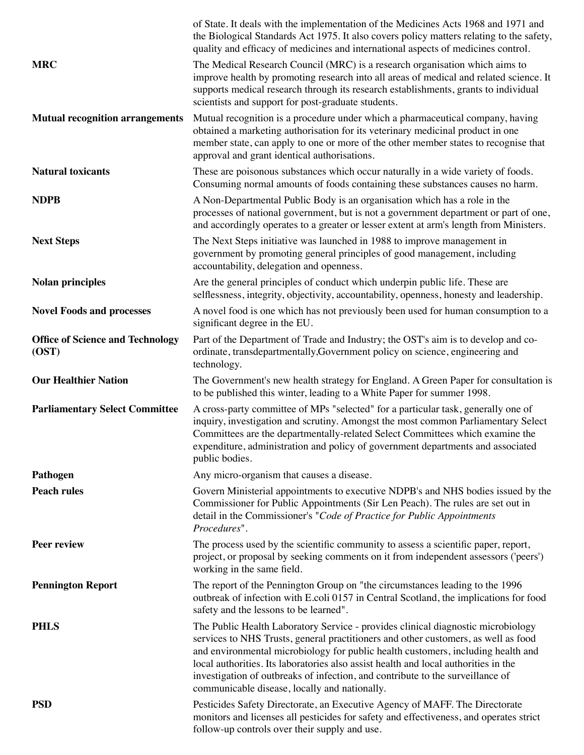|                                                  | of State. It deals with the implementation of the Medicines Acts 1968 and 1971 and<br>the Biological Standards Act 1975. It also covers policy matters relating to the safety,<br>quality and efficacy of medicines and international aspects of medicines control.                                                                                                                                                                                                                  |
|--------------------------------------------------|--------------------------------------------------------------------------------------------------------------------------------------------------------------------------------------------------------------------------------------------------------------------------------------------------------------------------------------------------------------------------------------------------------------------------------------------------------------------------------------|
| <b>MRC</b>                                       | The Medical Research Council (MRC) is a research organisation which aims to<br>improve health by promoting research into all areas of medical and related science. It<br>supports medical research through its research establishments, grants to individual<br>scientists and support for post-graduate students.                                                                                                                                                                   |
| <b>Mutual recognition arrangements</b>           | Mutual recognition is a procedure under which a pharmaceutical company, having<br>obtained a marketing authorisation for its veterinary medicinal product in one<br>member state, can apply to one or more of the other member states to recognise that<br>approval and grant identical authorisations.                                                                                                                                                                              |
| <b>Natural toxicants</b>                         | These are poisonous substances which occur naturally in a wide variety of foods.<br>Consuming normal amounts of foods containing these substances causes no harm.                                                                                                                                                                                                                                                                                                                    |
| <b>NDPB</b>                                      | A Non-Departmental Public Body is an organisation which has a role in the<br>processes of national government, but is not a government department or part of one,<br>and accordingly operates to a greater or lesser extent at arm's length from Ministers.                                                                                                                                                                                                                          |
| <b>Next Steps</b>                                | The Next Steps initiative was launched in 1988 to improve management in<br>government by promoting general principles of good management, including<br>accountability, delegation and openness.                                                                                                                                                                                                                                                                                      |
| <b>Nolan principles</b>                          | Are the general principles of conduct which underpin public life. These are<br>selflessness, integrity, objectivity, accountability, openness, honesty and leadership.                                                                                                                                                                                                                                                                                                               |
| <b>Novel Foods and processes</b>                 | A novel food is one which has not previously been used for human consumption to a<br>significant degree in the EU.                                                                                                                                                                                                                                                                                                                                                                   |
| <b>Office of Science and Technology</b><br>(OST) | Part of the Department of Trade and Industry; the OST's aim is to develop and co-<br>ordinate, transdepartmentally, Government policy on science, engineering and<br>technology.                                                                                                                                                                                                                                                                                                     |
| <b>Our Healthier Nation</b>                      | The Government's new health strategy for England. A Green Paper for consultation is<br>to be published this winter, leading to a White Paper for summer 1998.                                                                                                                                                                                                                                                                                                                        |
| <b>Parliamentary Select Committee</b>            | A cross-party committee of MPs "selected" for a particular task, generally one of<br>inquiry, investigation and scrutiny. Amongst the most common Parliamentary Select<br>Committees are the departmentally-related Select Committees which examine the<br>expenditure, administration and policy of government departments and associated<br>public bodies.                                                                                                                         |
| Pathogen                                         | Any micro-organism that causes a disease.                                                                                                                                                                                                                                                                                                                                                                                                                                            |
| <b>Peach rules</b>                               | Govern Ministerial appointments to executive NDPB's and NHS bodies issued by the<br>Commissioner for Public Appointments (Sir Len Peach). The rules are set out in<br>detail in the Commissioner's "Code of Practice for Public Appointments<br>Procedures".                                                                                                                                                                                                                         |
| Peer review                                      | The process used by the scientific community to assess a scientific paper, report,<br>project, or proposal by seeking comments on it from independent assessors ('peers')<br>working in the same field.                                                                                                                                                                                                                                                                              |
| <b>Pennington Report</b>                         | The report of the Pennington Group on "the circumstances leading to the 1996<br>outbreak of infection with E.coli 0157 in Central Scotland, the implications for food<br>safety and the lessons to be learned".                                                                                                                                                                                                                                                                      |
| <b>PHLS</b>                                      | The Public Health Laboratory Service - provides clinical diagnostic microbiology<br>services to NHS Trusts, general practitioners and other customers, as well as food<br>and environmental microbiology for public health customers, including health and<br>local authorities. Its laboratories also assist health and local authorities in the<br>investigation of outbreaks of infection, and contribute to the surveillance of<br>communicable disease, locally and nationally. |
| <b>PSD</b>                                       | Pesticides Safety Directorate, an Executive Agency of MAFF. The Directorate<br>monitors and licenses all pesticides for safety and effectiveness, and operates strict<br>follow-up controls over their supply and use.                                                                                                                                                                                                                                                               |